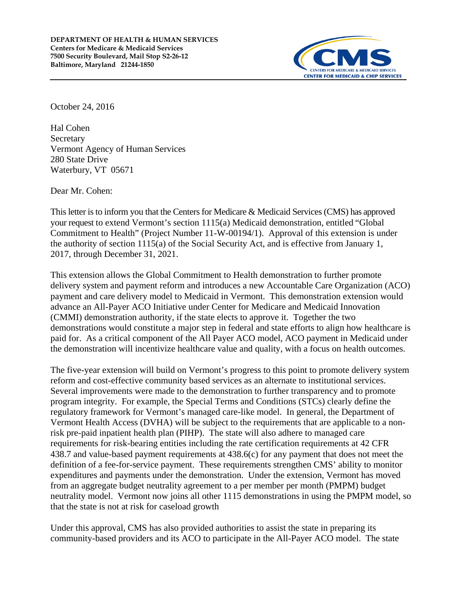

October 24, 2016

Hal Cohen **Secretary** Vermont Agency of Human Services 280 State Drive Waterbury, VT 05671

Dear Mr. Cohen:

This letter is to inform you that the Centers for Medicare & Medicaid Services (CMS) has approved your request to extend Vermont's section 1115(a) Medicaid demonstration, entitled "Global Commitment to Health" (Project Number 11-W-00194/1). Approval of this extension is under the authority of section 1115(a) of the Social Security Act, and is effective from January 1, 2017, through December 31, 2021.

This extension allows the Global Commitment to Health demonstration to further promote delivery system and payment reform and introduces a new Accountable Care Organization (ACO) payment and care delivery model to Medicaid in Vermont. This demonstration extension would advance an All-Payer ACO Initiative under Center for Medicare and Medicaid Innovation (CMMI) demonstration authority, if the state elects to approve it. Together the two demonstrations would constitute a major step in federal and state efforts to align how healthcare is paid for. As a critical component of the All Payer ACO model, ACO payment in Medicaid under the demonstration will incentivize healthcare value and quality, with a focus on health outcomes.

The five-year extension will build on Vermont's progress to this point to promote delivery system reform and cost-effective community based services as an alternate to institutional services. Several improvements were made to the demonstration to further transparency and to promote program integrity. For example, the Special Terms and Conditions (STCs) clearly define the regulatory framework for Vermont's managed care-like model. In general, the Department of Vermont Health Access (DVHA) will be subject to the requirements that are applicable to a nonrisk pre-paid inpatient health plan (PIHP). The state will also adhere to managed care requirements for risk-bearing entities including the rate certification requirements at 42 CFR 438.7 and value-based payment requirements at 438.6(c) for any payment that does not meet the definition of a fee-for-service payment. These requirements strengthen CMS' ability to monitor expenditures and payments under the demonstration. Under the extension, Vermont has moved from an aggregate budget neutrality agreement to a per member per month (PMPM) budget neutrality model. Vermont now joins all other 1115 demonstrations in using the PMPM model, so that the state is not at risk for caseload growth

Under this approval, CMS has also provided authorities to assist the state in preparing its community-based providers and its ACO to participate in the All-Payer ACO model. The state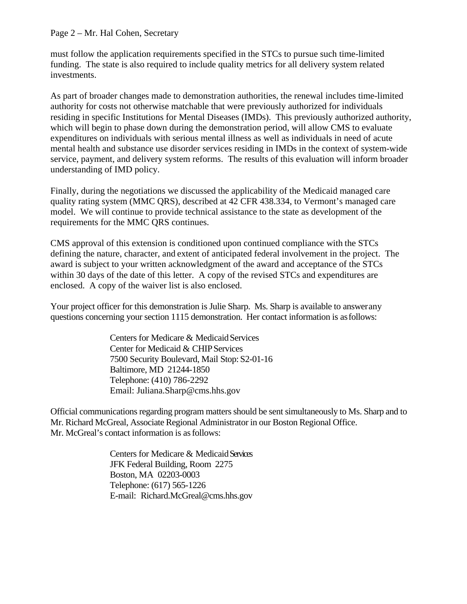#### Page 2 – Mr. Hal Cohen, Secretary

must follow the application requirements specified in the STCs to pursue such time-limited funding. The state is also required to include quality metrics for all delivery system related investments.

As part of broader changes made to demonstration authorities, the renewal includes time-limited authority for costs not otherwise matchable that were previously authorized for individuals residing in specific Institutions for Mental Diseases (IMDs). This previously authorized authority, which will begin to phase down during the demonstration period, will allow CMS to evaluate expenditures on individuals with serious mental illness as well as individuals in need of acute mental health and substance use disorder services residing in IMDs in the context of system-wide service, payment, and delivery system reforms. The results of this evaluation will inform broader understanding of IMD policy.

Finally, during the negotiations we discussed the applicability of the Medicaid managed care quality rating system (MMC QRS), described at 42 CFR 438.334, to Vermont's managed care model. We will continue to provide technical assistance to the state as development of the requirements for the MMC QRS continues.

CMS approval of this extension is conditioned upon continued compliance with the STCs defining the nature, character, and extent of anticipated federal involvement in the project. The award is subject to your written acknowledgment of the award and acceptance of the STCs within 30 days of the date of this letter. A copy of the revised STCs and expenditures are enclosed. A copy of the waiver list is also enclosed.

Your project officer for this demonstration is Julie Sharp. Ms. Sharp is available to answerany questions concerning your section 1115 demonstration. Her contact information is asfollows:

> Centers for Medicare & Medicaid Services Center for Medicaid & CHIP Services 7500 Security Boulevard, Mail Stop: S2-01-16 Baltimore, MD 21244-1850 Telephone: (410) 786-2292 Email: Juliana.Sharp@cms.hhs.gov

Official communications regarding program matters should be sent simultaneously to Ms. Sharp and to Mr. Richard McGreal, Associate Regional Administrator in our Boston Regional Office. Mr. McGreal's contact information is as follows:

> Centers for Medicare & Medicaid Services JFK Federal Building, Room 2275 Boston, MA 02203-0003 Telephone: (617) 565-1226 E-mail: [Richard.McGreal@cms.hhs.gov](mailto:Richard.McGreal@cms.hhs.gov)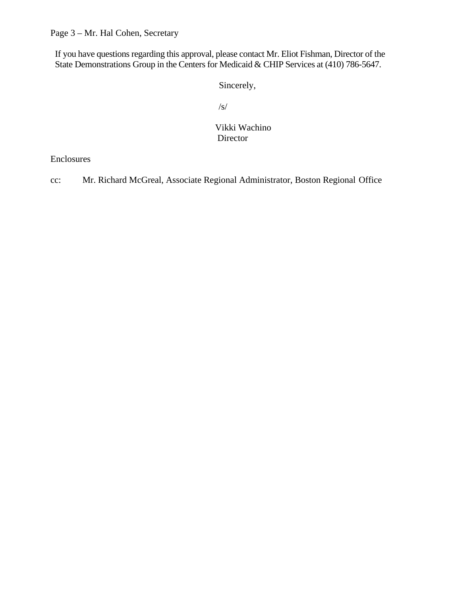Page 3 – Mr. Hal Cohen, Secretary

If you have questions regarding this approval, please contact Mr. Eliot Fishman, Director of the State Demonstrations Group in the Centers for Medicaid & CHIP Services at (410) 786-5647.

Sincerely,

/s/

 Vikki Wachino Director

Enclosures

cc: Mr. Richard McGreal, Associate Regional Administrator, Boston Regional Office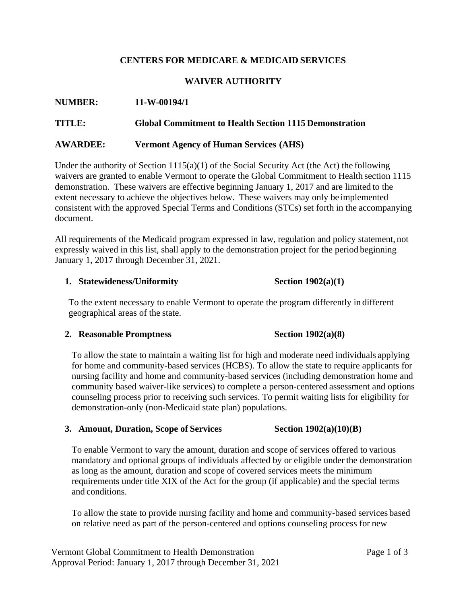# **CENTERS FOR MEDICARE & MEDICAID SERVICES**

# **WAIVER AUTHORITY**

## **NUMBER: 11-W-00194/1**

#### **TITLE: Global Commitment to Health Section 1115 Demonstration**

#### **AWARDEE: Vermont Agency of Human Services (AHS)**

Under the authority of Section 1115(a)(1) of the Social Security Act (the Act) the following waivers are granted to enable Vermont to operate the Global Commitment to Health section 1115 demonstration. These waivers are effective beginning January 1, 2017 and are limited to the extent necessary to achieve the objectives below. These waivers may only be implemented consistent with the approved Special Terms and Conditions (STCs) set forth in the accompanying document.

All requirements of the Medicaid program expressed in law, regulation and policy statement, not expressly waived in this list, shall apply to the demonstration project for the period beginning January 1, 2017 through December 31, 2021.

#### **1. Statewideness/Uniformity Section 1902(a)(1)**

To the extent necessary to enable Vermont to operate the program differently in different geographical areas of the state.

#### **2. Reasonable Promptness Section 1902(a)(8)**

To allow the state to maintain a waiting list for high and moderate need individuals applying for home and community-based services (HCBS). To allow the state to require applicants for nursing facility and home and community-based services (including demonstration home and community based waiver-like services) to complete a person-centered assessment and options counseling process prior to receiving such services. To permit waiting lists for eligibility for demonstration-only (non-Medicaid state plan) populations.

#### **3. Amount, Duration, Scope of Services Section 1902(a)(10)(B)**

To enable Vermont to vary the amount, duration and scope of services offered to various mandatory and optional groups of individuals affected by or eligible under the demonstration as long as the amount, duration and scope of covered services meets the minimum requirements under title XIX of the Act for the group (if applicable) and the special terms and conditions.

To allow the state to provide nursing facility and home and community-based services based on relative need as part of the person-centered and options counseling process for new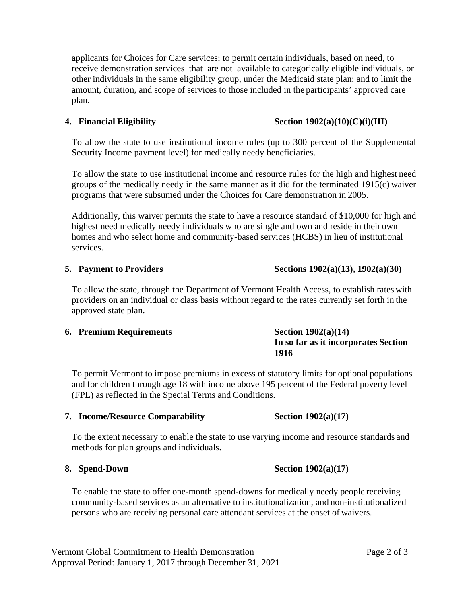applicants for Choices for Care services; to permit certain individuals, based on need, to receive demonstration services that are not available to categorically eligible individuals, or other individuals in the same eligibility group, under the Medicaid state plan; and to limit the amount, duration, and scope of services to those included in the participants' approved care plan.

#### **4. Financial Eligibility Section 1902(a)(10)(C)(i)(III)**

To allow the state to use institutional income rules (up to 300 percent of the Supplemental Security Income payment level) for medically needy beneficiaries.

To allow the state to use institutional income and resource rules for the high and highest need groups of the medically needy in the same manner as it did for the terminated 1915(c) waiver programs that were subsumed under the Choices for Care demonstration in 2005.

Additionally, this waiver permits the state to have a resource standard of \$10,000 for high and highest need medically needy individuals who are single and own and reside in their own homes and who select home and community-based services (HCBS) in lieu of institutional services.

#### **5. Payment to Providers Sections 1902(a)(13), 1902(a)(30)**

To allow the state, through the Department of Vermont Health Access, to establish rates with providers on an individual or class basis without regard to the rates currently set forth in the approved state plan.

#### **6. Premium Requirements Section 1902(a)(14)**

# **In so far as it incorporates Section 1916**

To permit Vermont to impose premiums in excess of statutory limits for optional populations and for children through age 18 with income above 195 percent of the Federal poverty level (FPL) as reflected in the Special Terms and Conditions.

#### **7. Income/Resource Comparability Section 1902(a)(17)**

To the extent necessary to enable the state to use varying income and resource standards and methods for plan groups and individuals.

#### **8. Spend-Down Section 1902(a)(17)**

To enable the state to offer one-month spend-downs for medically needy people receiving community-based services as an alternative to institutionalization, and non-institutionalized persons who are receiving personal care attendant services at the onset of waivers.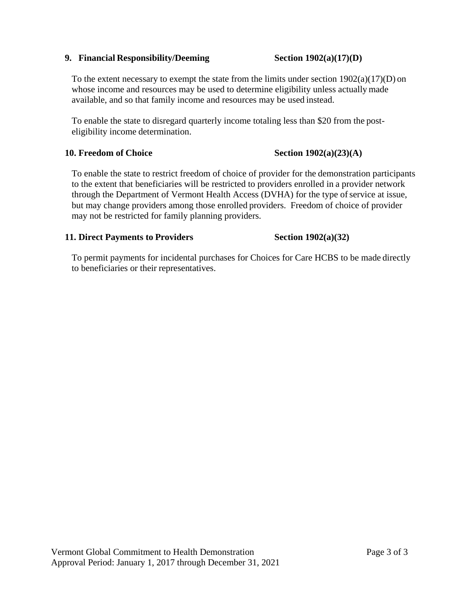#### **9. Financial Responsibility/Deeming Section 1902(a)(17)(D)**

#### To the extent necessary to exempt the state from the limits under section  $1902(a)(17)(D)$  on whose income and resources may be used to determine eligibility unless actually made available, and so that family income and resources may be used instead.

To enable the state to disregard quarterly income totaling less than \$20 from the posteligibility income determination.

#### **10. Freedom of Choice Section 1902(a)(23)(A)**

To enable the state to restrict freedom of choice of provider for the demonstration participants to the extent that beneficiaries will be restricted to providers enrolled in a provider network through the Department of Vermont Health Access (DVHA) for the type of service at issue, but may change providers among those enrolled providers. Freedom of choice of provider may not be restricted for family planning providers.

#### **11. Direct Payments to Providers Section 1902(a)(32)**

## To permit payments for incidental purchases for Choices for Care HCBS to be made directly to beneficiaries or their representatives.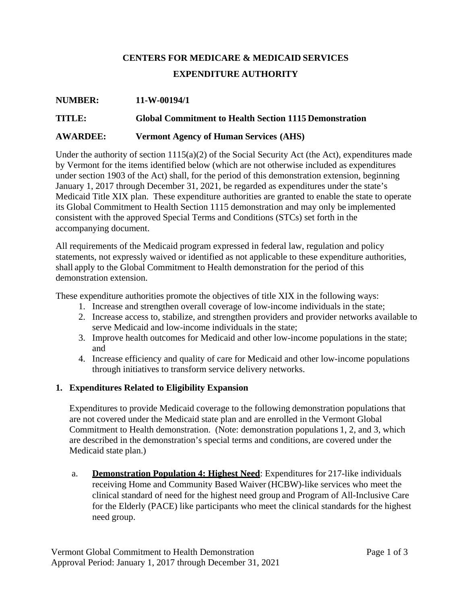# **CENTERS FOR MEDICARE & MEDICAID SERVICES EXPENDITURE AUTHORITY**

#### **NUMBER: 11-W-00194/1**

## **TITLE: Global Commitment to Health Section 1115 Demonstration**

#### **AWARDEE: Vermont Agency of Human Services (AHS)**

Under the authority of section 1115(a)(2) of the Social Security Act (the Act), expenditures made by Vermont for the items identified below (which are not otherwise included as expenditures under section 1903 of the Act) shall, for the period of this demonstration extension, beginning January 1, 2017 through December 31, 2021, be regarded as expenditures under the state's Medicaid Title XIX plan. These expenditure authorities are granted to enable the state to operate its Global Commitment to Health Section 1115 demonstration and may only be implemented consistent with the approved Special Terms and Conditions (STCs) set forth in the accompanying document.

All requirements of the Medicaid program expressed in federal law, regulation and policy statements, not expressly waived or identified as not applicable to these expenditure authorities, shall apply to the Global Commitment to Health demonstration for the period of this demonstration extension.

These expenditure authorities promote the objectives of title XIX in the following ways:

- 1. Increase and strengthen overall coverage of low-income individuals in the state;
- 2. Increase access to, stabilize, and strengthen providers and provider networks available to serve Medicaid and low-income individuals in the state;
- 3. Improve health outcomes for Medicaid and other low-income populations in the state; and
- 4. Increase efficiency and quality of care for Medicaid and other low-income populations through initiatives to transform service delivery networks.

#### **1. Expenditures Related to Eligibility Expansion**

Expenditures to provide Medicaid coverage to the following demonstration populations that are not covered under the Medicaid state plan and are enrolled in the Vermont Global Commitment to Health demonstration. (Note: demonstration populations 1, 2, and 3, which are described in the demonstration's special terms and conditions, are covered under the Medicaid state plan.)

a. **Demonstration Population 4: Highest Need**: Expenditures for 217-like individuals receiving Home and Community Based Waiver (HCBW)-like services who meet the clinical standard of need for the highest need group and Program of All-Inclusive Care for the Elderly (PACE) like participants who meet the clinical standards for the highest need group.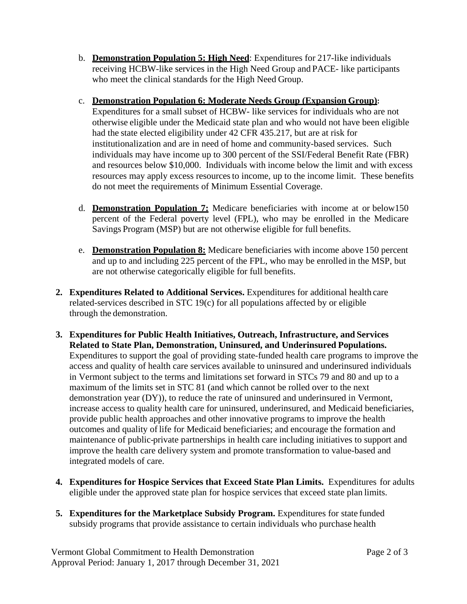b. **Demonstration Population 5: High Need**: Expenditures for 217-like individuals receiving HCBW-like services in the High Need Group and PACE- like participants who meet the clinical standards for the High Need Group.

## c. **Demonstration Population 6: Moderate Needs Group (Expansion Group):**

Expenditures for a small subset of HCBW- like services for individuals who are not otherwise eligible under the Medicaid state plan and who would not have been eligible had the state elected eligibility under 42 CFR 435.217, but are at risk for institutionalization and are in need of home and community-based services. Such individuals may have income up to 300 percent of the SSI/Federal Benefit Rate (FBR) and resources below \$10,000. Individuals with income below the limit and with excess resources may apply excess resourcesto income, up to the income limit. These benefits do not meet the requirements of Minimum Essential Coverage.

- d. **Demonstration Population 7:** Medicare beneficiaries with income at or below150 percent of the Federal poverty level (FPL), who may be enrolled in the Medicare Savings Program (MSP) but are not otherwise eligible for full benefits.
- e. **Demonstration Population 8:** Medicare beneficiaries with income above 150 percent and up to and including 225 percent of the FPL, who may be enrolled in the MSP, but are not otherwise categorically eligible for full benefits.
- **2. Expenditures Related to Additional Services.** Expenditures for additional health care related-services described in STC 19(c) for all populations affected by or eligible through the demonstration.
- **3. Expenditures for Public Health Initiatives, Outreach, Infrastructure, and Services Related to State Plan, Demonstration, Uninsured, and Underinsured Populations.**  Expenditures to support the goal of providing state-funded health care programs to improve the access and quality of health care services available to uninsured and underinsured individuals in Vermont subject to the terms and limitations set forward in STCs 79 and 80 and up to a maximum of the limits set in STC 81 (and which cannot be rolled over to the next demonstration year (DY)), to reduce the rate of uninsured and underinsured in Vermont, increase access to quality health care for uninsured, underinsured, and Medicaid beneficiaries, provide public health approaches and other innovative programs to improve the health outcomes and quality of life for Medicaid beneficiaries; and encourage the formation and maintenance of public-private partnerships in health care including initiatives to support and improve the health care delivery system and promote transformation to value-based and integrated models of care.
- **4. Expenditures for Hospice Services that Exceed State Plan Limits.** Expenditures for adults eligible under the approved state plan for hospice services that exceed state plan limits.
- **5. Expenditures for the Marketplace Subsidy Program.** Expenditures for state funded subsidy programs that provide assistance to certain individuals who purchase health

Vermont Global Commitment to Health Demonstration Page 2 of 3 Approval Period: January 1, 2017 through December 31, 2021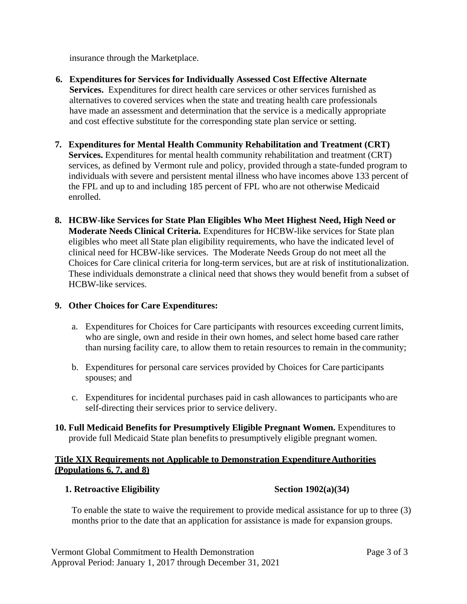insurance through the Marketplace.

- **6. Expenditures for Services for Individually Assessed Cost Effective Alternate Services.** Expenditures for direct health care services or other services furnished as alternatives to covered services when the state and treating health care professionals have made an assessment and determination that the service is a medically appropriate and cost effective substitute for the corresponding state plan service or setting.
- **7. Expenditures for Mental Health Community Rehabilitation and Treatment (CRT) Services.** Expenditures for mental health community rehabilitation and treatment (CRT) services, as defined by Vermont rule and policy, provided through a state-funded program to individuals with severe and persistent mental illness who have incomes above 133 percent of the FPL and up to and including 185 percent of FPL who are not otherwise Medicaid enrolled.
- **8. HCBW-like Services for State Plan Eligibles Who Meet Highest Need, High Need or Moderate Needs Clinical Criteria.** Expenditures for HCBW-like services for State plan eligibles who meet all State plan eligibility requirements, who have the indicated level of clinical need for HCBW-like services. The Moderate Needs Group do not meet all the Choices for Care clinical criteria for long-term services, but are at risk of institutionalization. These individuals demonstrate a clinical need that shows they would benefit from a subset of HCBW-like services.

#### **9. Other Choices for Care Expenditures:**

- a. Expenditures for Choices for Care participants with resources exceeding current limits, who are single, own and reside in their own homes, and select home based care rather than nursing facility care, to allow them to retain resources to remain in the community;
- b. Expenditures for personal care services provided by Choices for Care participants spouses; and
- c. Expenditures for incidental purchases paid in cash allowances to participants who are self-directing their services prior to service delivery.
- **10. Full Medicaid Benefits for Presumptively Eligible Pregnant Women.** Expenditures to provide full Medicaid State plan benefits to presumptively eligible pregnant women.

# **Title XIX Requirements not Applicable to Demonstration ExpenditureAuthorities (Populations 6, 7, and 8)**

#### **1. Retroactive Eligibility Section Section 1902(a)(34)**

To enable the state to waive the requirement to provide medical assistance for up to three (3) months prior to the date that an application for assistance is made for expansion groups.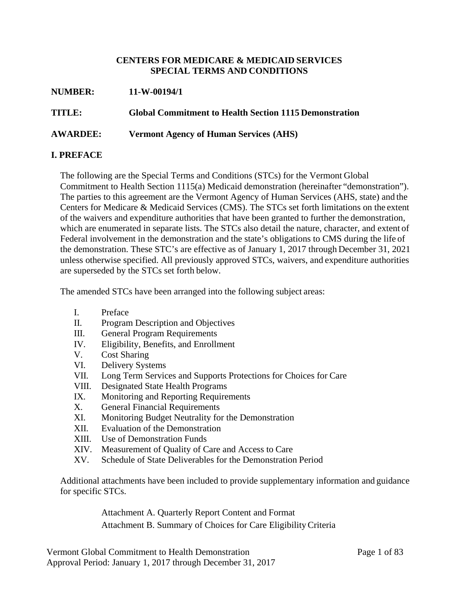#### **CENTERS FOR MEDICARE & MEDICAID SERVICES SPECIAL TERMS AND CONDITIONS**

| <b>NUMBER:</b>  | 11-W-00194/1                                                  |
|-----------------|---------------------------------------------------------------|
| TITLE:          | <b>Global Commitment to Health Section 1115 Demonstration</b> |
| <b>AWARDEE:</b> | <b>Vermont Agency of Human Services (AHS)</b>                 |

# **I. PREFACE**

The following are the Special Terms and Conditions (STCs) for the Vermont Global Commitment to Health Section 1115(a) Medicaid demonstration (hereinafter "demonstration"). The parties to this agreement are the Vermont Agency of Human Services (AHS, state) and the Centers for Medicare & Medicaid Services (CMS). The STCs set forth limitations on the extent of the waivers and expenditure authorities that have been granted to further the demonstration, which are enumerated in separate lists. The STCs also detail the nature, character, and extent of Federal involvement in the demonstration and the state's obligations to CMS during the life of the demonstration. These STC's are effective as of January 1, 2017 through December 31, 2021 unless otherwise specified. All previously approved STCs, waivers, and expenditure authorities are superseded by the STCs set forth below.

The amended STCs have been arranged into the following subject areas:

- I. Preface
- II. Program Description and Objectives
- III. General Program Requirements
- IV. Eligibility, Benefits, and Enrollment
- V. Cost Sharing
- VI. Delivery Systems
- VII. Long Term Services and Supports Protections for Choices for Care
- VIII. Designated State Health Programs
- IX. Monitoring and Reporting Requirements
- X. General Financial Requirements
- XI. Monitoring Budget Neutrality for the Demonstration
- XII. Evaluation of the Demonstration
- XIII. Use of Demonstration Funds
- XIV. Measurement of Quality of Care and Access to Care
- XV. Schedule of State Deliverables for the Demonstration Period

Additional attachments have been included to provide supplementary information and guidance for specific STCs.

> Attachment A. Quarterly Report Content and Format Attachment B. Summary of Choices for Care EligibilityCriteria

Vermont Global Commitment to Health Demonstration Page 1 of 83 Approval Period: January 1, 2017 through December 31, 2017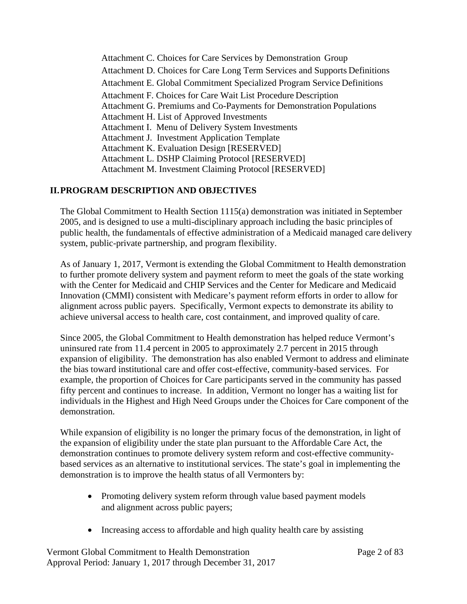Attachment C. Choices for Care Services by Demonstration Group Attachment D. Choices for Care Long Term Services and Supports Definitions Attachment E. Global Commitment Specialized Program Service Definitions Attachment F. Choices for Care Wait List Procedure Description Attachment G. Premiums and Co-Payments for Demonstration Populations Attachment H. List of Approved Investments Attachment I. Menu of Delivery System Investments Attachment J. Investment Application Template Attachment K. Evaluation Design [RESERVED] Attachment L. DSHP Claiming Protocol [RESERVED] Attachment M. Investment Claiming Protocol [RESERVED]

# **II.PROGRAM DESCRIPTION AND OBJECTIVES**

The Global Commitment to Health Section 1115(a) demonstration was initiated in September 2005, and is designed to use a multi-disciplinary approach including the basic principles of public health, the fundamentals of effective administration of a Medicaid managed care delivery system, public-private partnership, and program flexibility.

As of January 1, 2017, Vermont is extending the Global Commitment to Health demonstration to further promote delivery system and payment reform to meet the goals of the state working with the Center for Medicaid and CHIP Services and the Center for Medicare and Medicaid Innovation (CMMI) consistent with Medicare's payment reform efforts in order to allow for alignment across public payers. Specifically, Vermont expects to demonstrate its ability to achieve universal access to health care, cost containment, and improved quality of care.

Since 2005, the Global Commitment to Health demonstration has helped reduce Vermont's uninsured rate from 11.4 percent in 2005 to approximately 2.7 percent in 2015 through expansion of eligibility. The demonstration has also enabled Vermont to address and eliminate the bias toward institutional care and offer cost-effective, community-based services. For example, the proportion of Choices for Care participants served in the community has passed fifty percent and continues to increase. In addition, Vermont no longer has a waiting list for individuals in the Highest and High Need Groups under the Choices for Care component of the demonstration.

While expansion of eligibility is no longer the primary focus of the demonstration, in light of the expansion of eligibility under the state plan pursuant to the Affordable Care Act, the demonstration continues to promote delivery system reform and cost-effective communitybased services as an alternative to institutional services. The state's goal in implementing the demonstration is to improve the health status of all Vermonters by:

- Promoting delivery system reform through value based payment models and alignment across public payers;
- Increasing access to affordable and high quality health care by assisting

Vermont Global Commitment to Health Demonstration Page 2 of 83 Approval Period: January 1, 2017 through December 31, 2017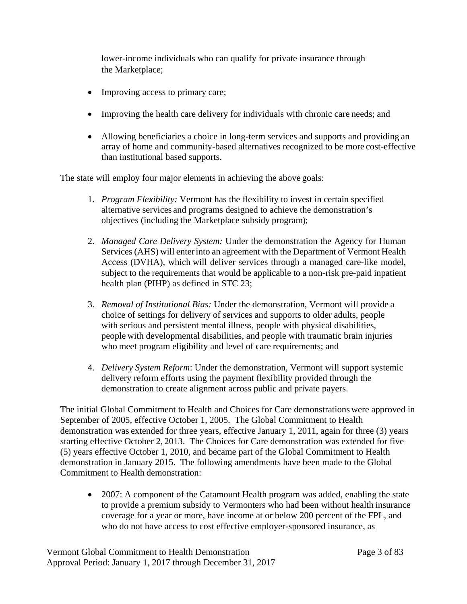lower-income individuals who can qualify for private insurance through the Marketplace;

- Improving access to primary care;
- Improving the health care delivery for individuals with chronic care needs; and
- Allowing beneficiaries a choice in long-term services and supports and providing an array of home and community-based alternatives recognized to be more cost-effective than institutional based supports.

The state will employ four major elements in achieving the above goals:

- 1. *Program Flexibility:* Vermont has the flexibility to invest in certain specified alternative services and programs designed to achieve the demonstration's objectives (including the Marketplace subsidy program);
- 2. *Managed Care Delivery System:* Under the demonstration the Agency for Human Services (AHS) will enterinto an agreement with the Department of Vermont Health Access (DVHA), which will deliver services through a managed care-like model, subject to the requirements that would be applicable to a non-risk pre-paid inpatient health plan (PIHP) as defined in STC 23;
- 3. *Removal of Institutional Bias:* Under the demonstration, Vermont will provide a choice of settings for delivery of services and supports to older adults, people with serious and persistent mental illness, people with physical disabilities, people with developmental disabilities, and people with traumatic brain injuries who meet program eligibility and level of care requirements; and
- 4. *Delivery System Reform*: Under the demonstration, Vermont will support systemic delivery reform efforts using the payment flexibility provided through the demonstration to create alignment across public and private payers.

The initial Global Commitment to Health and Choices for Care demonstrations were approved in September of 2005, effective October 1, 2005. The Global Commitment to Health demonstration was extended for three years, effective January 1, 2011, again for three (3) years starting effective October 2, 2013. The Choices for Care demonstration was extended for five (5) years effective October 1, 2010, and became part of the Global Commitment to Health demonstration in January 2015. The following amendments have been made to the Global Commitment to Health demonstration:

• 2007: A component of the Catamount Health program was added, enabling the state to provide a premium subsidy to Vermonters who had been without health insurance coverage for a year or more, have income at or below 200 percent of the FPL, and who do not have access to cost effective employer-sponsored insurance, as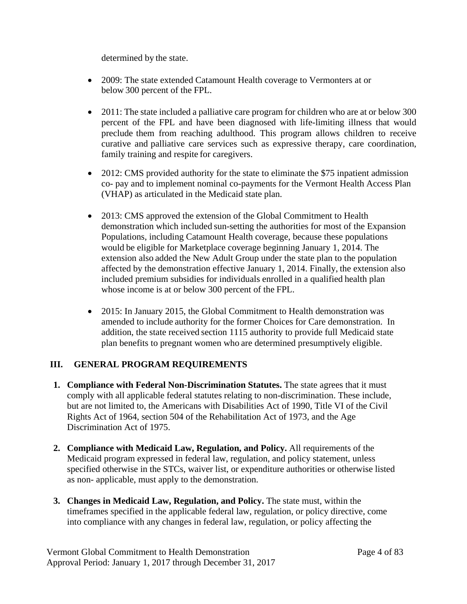determined by the state.

- 2009: The state extended Catamount Health coverage to Vermonters at or below 300 percent of the FPL.
- 2011: The state included a palliative care program for children who are at or below 300 percent of the FPL and have been diagnosed with life-limiting illness that would preclude them from reaching adulthood. This program allows children to receive curative and palliative care services such as expressive therapy, care coordination, family training and respite for caregivers.
- 2012: CMS provided authority for the state to eliminate the \$75 inpatient admission co- pay and to implement nominal co-payments for the Vermont Health Access Plan (VHAP) as articulated in the Medicaid state plan.
- 2013: CMS approved the extension of the Global Commitment to Health demonstration which included sun-setting the authorities for most of the Expansion Populations, including Catamount Health coverage, because these populations would be eligible for Marketplace coverage beginning January 1, 2014. The extension also added the New Adult Group under the state plan to the population affected by the demonstration effective January 1, 2014. Finally, the extension also included premium subsidies for individuals enrolled in a qualified health plan whose income is at or below 300 percent of the FPL.
- 2015: In January 2015, the Global Commitment to Health demonstration was amended to include authority for the former Choices for Care demonstration. In addition, the state received section 1115 authority to provide full Medicaid state plan benefits to pregnant women who are determined presumptively eligible.

# **III. GENERAL PROGRAM REQUIREMENTS**

- **1. Compliance with Federal Non-Discrimination Statutes.** The state agrees that it must comply with all applicable federal statutes relating to non-discrimination. These include, but are not limited to, the Americans with Disabilities Act of 1990, Title VI of the Civil Rights Act of 1964, section 504 of the Rehabilitation Act of 1973, and the Age Discrimination Act of 1975.
- **2. Compliance with Medicaid Law, Regulation, and Policy.** All requirements of the Medicaid program expressed in federal law, regulation, and policy statement, unless specified otherwise in the STCs, waiver list, or expenditure authorities or otherwise listed as non- applicable, must apply to the demonstration.
- **3. Changes in Medicaid Law, Regulation, and Policy.** The state must, within the timeframes specified in the applicable federal law, regulation, or policy directive, come into compliance with any changes in federal law, regulation, or policy affecting the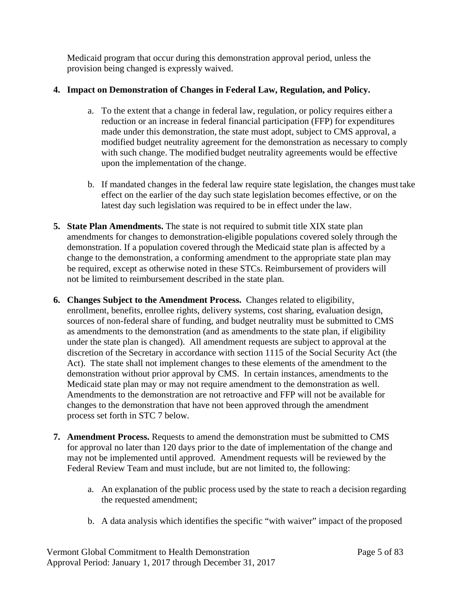Medicaid program that occur during this demonstration approval period, unless the provision being changed is expressly waived.

## **4. Impact on Demonstration of Changes in Federal Law, Regulation, and Policy.**

- a. To the extent that a change in federal law, regulation, or policy requires either a reduction or an increase in federal financial participation (FFP) for expenditures made under this demonstration, the state must adopt, subject to CMS approval, a modified budget neutrality agreement for the demonstration as necessary to comply with such change. The modified budget neutrality agreements would be effective upon the implementation of the change.
- b. If mandated changes in the federal law require state legislation, the changes must take effect on the earlier of the day such state legislation becomes effective, or on the latest day such legislation was required to be in effect under the law.
- **5. State Plan Amendments.** The state is not required to submit title XIX state plan amendments for changes to demonstration-eligible populations covered solely through the demonstration. If a population covered through the Medicaid state plan is affected by a change to the demonstration, a conforming amendment to the appropriate state plan may be required, except as otherwise noted in these STCs. Reimbursement of providers will not be limited to reimbursement described in the state plan.
- **6. Changes Subject to the Amendment Process.** Changes related to eligibility, enrollment, benefits, enrollee rights, delivery systems, cost sharing, evaluation design, sources of non-federal share of funding, and budget neutrality must be submitted to CMS as amendments to the demonstration (and as amendments to the state plan, if eligibility under the state plan is changed). All amendment requests are subject to approval at the discretion of the Secretary in accordance with section 1115 of the Social Security Act (the Act). The state shall not implement changes to these elements of the amendment to the demonstration without prior approval by CMS. In certain instances, amendments to the Medicaid state plan may or may not require amendment to the demonstration as well. Amendments to the demonstration are not retroactive and FFP will not be available for changes to the demonstration that have not been approved through the amendment process set forth in STC 7 below.
- **7. Amendment Process.** Requests to amend the demonstration must be submitted to CMS for approval no later than 120 days prior to the date of implementation of the change and may not be implemented until approved. Amendment requests will be reviewed by the Federal Review Team and must include, but are not limited to, the following:
	- a. An explanation of the public process used by the state to reach a decision regarding the requested amendment;
	- b. A data analysis which identifies the specific "with waiver" impact of the proposed

Vermont Global Commitment to Health Demonstration Page 5 of 83 Approval Period: January 1, 2017 through December 31, 2017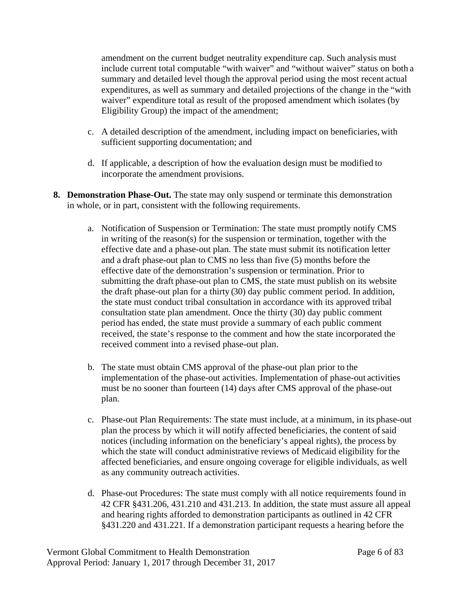amendment on the current budget neutrality expenditure cap. Such analysis must include current total computable "with waiver" and "without waiver" status on both a summary and detailed level though the approval period using the most recent actual expenditures, as well as summary and detailed projections of the change in the "with waiver" expenditure total as result of the proposed amendment which isolates (by Eligibility Group) the impact of the amendment;

- c. A detailed description of the amendment, including impact on beneficiaries, with sufficient supporting documentation; and
- d. If applicable, a description of how the evaluation design must be modified to incorporate the amendment provisions.
- **8. Demonstration Phase-Out.** The state may only suspend or terminate this demonstration in whole, or in part, consistent with the following requirements.
	- a. Notification of Suspension or Termination: The state must promptly notify CMS in writing of the reason(s) for the suspension or termination, together with the effective date and a phase-out plan. The state must submit its notification letter and a draft phase-out plan to CMS no less than five (5) months before the effective date of the demonstration's suspension or termination. Prior to submitting the draft phase-out plan to CMS, the state must publish on its website the draft phase-out plan for a thirty (30) day public comment period. In addition, the state must conduct tribal consultation in accordance with its approved tribal consultation state plan amendment. Once the thirty (30) day public comment period has ended, the state must provide a summary of each public comment received, the state's response to the comment and how the state incorporated the received comment into a revised phase-out plan.
	- b. The state must obtain CMS approval of the phase-out plan prior to the implementation of the phase-out activities. Implementation of phase-out activities must be no sooner than fourteen (14) days after CMS approval of the phase-out plan.
	- c. Phase-out Plan Requirements: The state must include, at a minimum, in its phase-out plan the process by which it will notify affected beneficiaries, the content ofsaid notices (including information on the beneficiary's appeal rights), the process by which the state will conduct administrative reviews of Medicaid eligibility for the affected beneficiaries, and ensure ongoing coverage for eligible individuals, as well as any community outreach activities.
	- d. Phase-out Procedures: The state must comply with all notice requirements found in 42 CFR §431.206, 431.210 and 431.213. In addition, the state must assure all appeal and hearing rights afforded to demonstration participants as outlined in 42 CFR §431.220 and 431.221. If a demonstration participant requests a hearing before the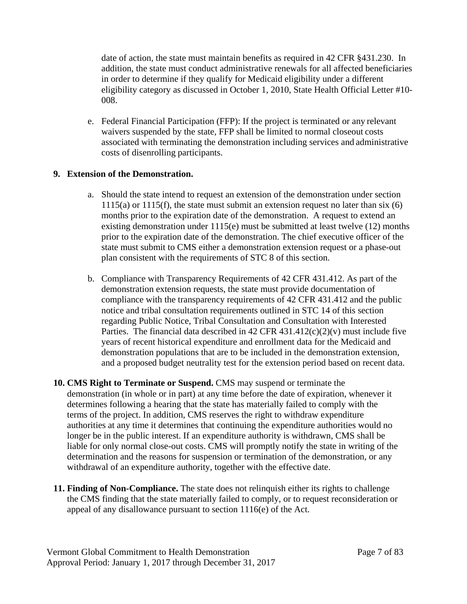date of action, the state must maintain benefits as required in 42 CFR §431.230. In addition, the state must conduct administrative renewals for all affected beneficiaries in order to determine if they qualify for Medicaid eligibility under a different eligibility category as discussed in October 1, 2010, State Health Official Letter #10- 008.

e. Federal Financial Participation (FFP): If the project is terminated or any relevant waivers suspended by the state, FFP shall be limited to normal closeout costs associated with terminating the demonstration including services and administrative costs of disenrolling participants.

#### **9. Extension of the Demonstration.**

- a. Should the state intend to request an extension of the demonstration under section 1115(a) or 1115(f), the state must submit an extension request no later than six (6) months prior to the expiration date of the demonstration. A request to extend an existing demonstration under 1115(e) must be submitted at least twelve (12) months prior to the expiration date of the demonstration. The chief executive officer of the state must submit to CMS either a demonstration extension request or a phase-out plan consistent with the requirements of STC 8 of this section.
- b. Compliance with Transparency Requirements of 42 CFR 431.412. As part of the demonstration extension requests, the state must provide documentation of compliance with the transparency requirements of 42 CFR 431.412 and the public notice and tribal consultation requirements outlined in STC 14 of this section regarding Public Notice, Tribal Consultation and Consultation with Interested Parties. The financial data described in 42 CFR 431.412(c)(2)(v) must include five years of recent historical expenditure and enrollment data for the Medicaid and demonstration populations that are to be included in the demonstration extension, and a proposed budget neutrality test for the extension period based on recent data.
- **10. CMS Right to Terminate or Suspend.** CMS may suspend or terminate the demonstration (in whole or in part) at any time before the date of expiration, whenever it determines following a hearing that the state has materially failed to comply with the terms of the project. In addition, CMS reserves the right to withdraw expenditure authorities at any time it determines that continuing the expenditure authorities would no longer be in the public interest. If an expenditure authority is withdrawn, CMS shall be liable for only normal close-out costs. CMS will promptly notify the state in writing of the determination and the reasons for suspension or termination of the demonstration, or any withdrawal of an expenditure authority, together with the effective date.
- **11. Finding of Non-Compliance.** The state does not relinquish either its rights to challenge the CMS finding that the state materially failed to comply, or to request reconsideration or appeal of any disallowance pursuant to section 1116(e) of the Act.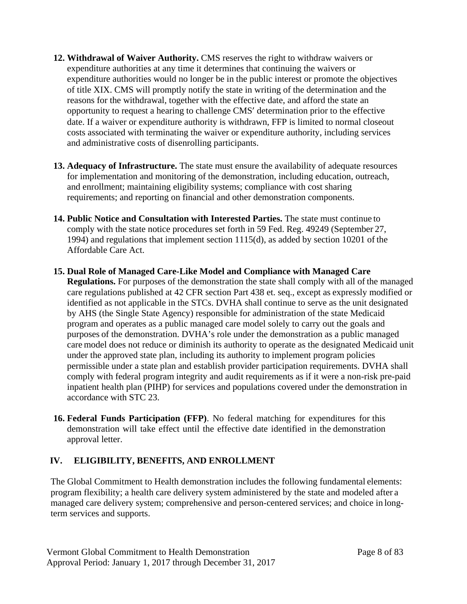- **12. Withdrawal of Waiver Authority.** CMS reserves the right to withdraw waivers or expenditure authorities at any time it determines that continuing the waivers or expenditure authorities would no longer be in the public interest or promote the objectives of title XIX. CMS will promptly notify the state in writing of the determination and the reasons for the withdrawal, together with the effective date, and afford the state an opportunity to request a hearing to challenge CMS' determination prior to the effective date. If a waiver or expenditure authority is withdrawn, FFP is limited to normal closeout costs associated with terminating the waiver or expenditure authority, including services and administrative costs of disenrolling participants.
- **13. Adequacy of Infrastructure.** The state must ensure the availability of adequate resources for implementation and monitoring of the demonstration, including education, outreach, and enrollment; maintaining eligibility systems; compliance with cost sharing requirements; and reporting on financial and other demonstration components.
- **14. Public Notice and Consultation with Interested Parties.** The state must continue to comply with the state notice procedures set forth in 59 Fed. Reg. 49249 (September 27, 1994) and regulations that implement section 1115(d), as added by section 10201 of the Affordable Care Act.
- **15. Dual Role of Managed Care-Like Model and Compliance with Managed Care Regulations.** For purposes of the demonstration the state shall comply with all of the managed care regulations published at 42 CFR section Part 438 et. seq., except as expressly modified or identified as not applicable in the STCs. DVHA shall continue to serve as the unit designated by AHS (the Single State Agency) responsible for administration of the state Medicaid program and operates as a public managed care model solely to carry out the goals and purposes of the demonstration. DVHA's role under the demonstration as a public managed care model does not reduce or diminish its authority to operate as the designated Medicaid unit under the approved state plan, including its authority to implement program policies permissible under a state plan and establish provider participation requirements. DVHA shall comply with federal program integrity and audit requirements as if it were a non-risk pre-paid inpatient health plan (PIHP) for services and populations covered under the demonstration in accordance with STC 23.
- **16. Federal Funds Participation (FFP)**. No federal matching for expenditures for this demonstration will take effect until the effective date identified in the demonstration approval letter.

# **IV. ELIGIBILITY, BENEFITS, AND ENROLLMENT**

The Global Commitment to Health demonstration includes the following fundamental elements: program flexibility; a health care delivery system administered by the state and modeled after a managed care delivery system; comprehensive and person-centered services; and choice in longterm services and supports.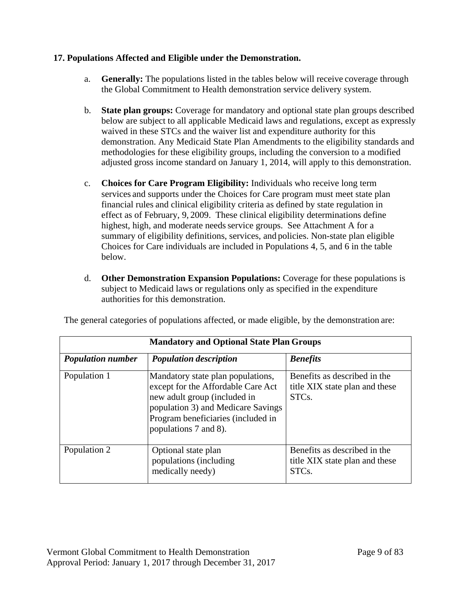# **17. Populations Affected and Eligible under the Demonstration.**

- a. **Generally:** The populations listed in the tables below will receive coverage through the Global Commitment to Health demonstration service delivery system.
- b. **State plan groups:** Coverage for mandatory and optional state plan groups described below are subject to all applicable Medicaid laws and regulations, except as expressly waived in these STCs and the waiver list and expenditure authority for this demonstration. Any Medicaid State Plan Amendments to the eligibility standards and methodologies for these eligibility groups, including the conversion to a modified adjusted gross income standard on January 1, 2014, will apply to this demonstration.
- c. **Choices for Care Program Eligibility:** Individuals who receive long term services and supports under the Choices for Care program must meet state plan financial rules and clinical eligibility criteria as defined by state regulation in effect as of February, 9, 2009. These clinical eligibility determinations define highest, high, and moderate needs service groups. See Attachment A for a summary of eligibility definitions, services, and policies. Non-state plan eligible Choices for Care individuals are included in Populations 4, 5, and 6 in the table below.
- d. **Other Demonstration Expansion Populations:** Coverage for these populations is subject to Medicaid laws or regulations only as specified in the expenditure authorities for this demonstration.

|  |  |  |  | The general categories of populations affected, or made eligible, by the demonstration are: |  |
|--|--|--|--|---------------------------------------------------------------------------------------------|--|
|  |  |  |  |                                                                                             |  |
|  |  |  |  |                                                                                             |  |

| <b>Mandatory and Optional State Plan Groups</b> |                                                                                                                                                                                                              |                                                                                      |  |  |
|-------------------------------------------------|--------------------------------------------------------------------------------------------------------------------------------------------------------------------------------------------------------------|--------------------------------------------------------------------------------------|--|--|
| <b>Population number</b>                        | <b>Population description</b>                                                                                                                                                                                | <b>Benefits</b>                                                                      |  |  |
| Population 1                                    | Mandatory state plan populations,<br>except for the Affordable Care Act<br>new adult group (included in<br>population 3) and Medicare Savings<br>Program beneficiaries (included in<br>populations 7 and 8). | Benefits as described in the<br>title XIX state plan and these<br>STC <sub>s</sub> . |  |  |
| Population 2                                    | Optional state plan<br>populations (including<br>medically needy)                                                                                                                                            | Benefits as described in the<br>title XIX state plan and these<br>STC <sub>s</sub> . |  |  |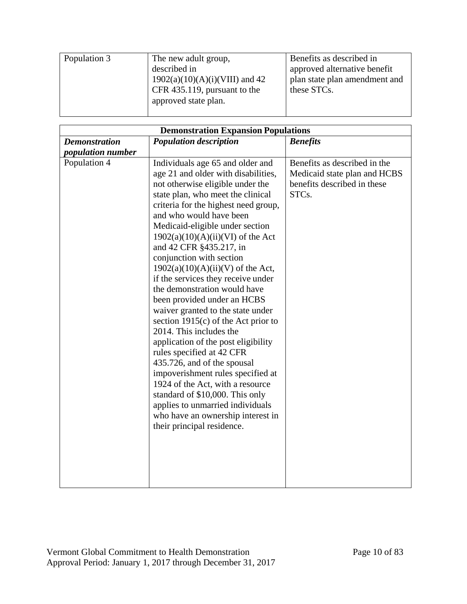| Population 3 | The new adult group,             | Benefits as described in      |
|--------------|----------------------------------|-------------------------------|
|              | described in                     | approved alternative benefit  |
|              | $1902(a)(10)(A)(i)(VIII)$ and 42 | plan state plan amendment and |
|              | CFR 435.119, pursuant to the     | these STCs.                   |
|              | approved state plan.             |                               |
|              |                                  |                               |

| <b>Demonstration Expansion Populations</b> |                                                                                                                                                                                                                                                                                                                                                                                                                                                                                                                                                                                                                                                                                                                                                                                                                                                                                                                                 |                                                                                                                   |  |  |  |  |
|--------------------------------------------|---------------------------------------------------------------------------------------------------------------------------------------------------------------------------------------------------------------------------------------------------------------------------------------------------------------------------------------------------------------------------------------------------------------------------------------------------------------------------------------------------------------------------------------------------------------------------------------------------------------------------------------------------------------------------------------------------------------------------------------------------------------------------------------------------------------------------------------------------------------------------------------------------------------------------------|-------------------------------------------------------------------------------------------------------------------|--|--|--|--|
| <b>Demonstration</b>                       | <b>Population description</b>                                                                                                                                                                                                                                                                                                                                                                                                                                                                                                                                                                                                                                                                                                                                                                                                                                                                                                   | <b>Benefits</b>                                                                                                   |  |  |  |  |
| <i>population number</i>                   |                                                                                                                                                                                                                                                                                                                                                                                                                                                                                                                                                                                                                                                                                                                                                                                                                                                                                                                                 |                                                                                                                   |  |  |  |  |
| Population 4                               | Individuals age 65 and older and<br>age 21 and older with disabilities,<br>not otherwise eligible under the<br>state plan, who meet the clinical<br>criteria for the highest need group,<br>and who would have been<br>Medicaid-eligible under section<br>$1902(a)(10)(A)(ii)(VI)$ of the Act<br>and 42 CFR §435.217, in<br>conjunction with section<br>$1902(a)(10)(A)(ii)(V)$ of the Act,<br>if the services they receive under<br>the demonstration would have<br>been provided under an HCBS<br>waiver granted to the state under<br>section $1915(c)$ of the Act prior to<br>2014. This includes the<br>application of the post eligibility<br>rules specified at 42 CFR<br>435.726, and of the spousal<br>impoverishment rules specified at<br>1924 of the Act, with a resource<br>standard of \$10,000. This only<br>applies to unmarried individuals<br>who have an ownership interest in<br>their principal residence. | Benefits as described in the<br>Medicaid state plan and HCBS<br>benefits described in these<br>STC <sub>s</sub> . |  |  |  |  |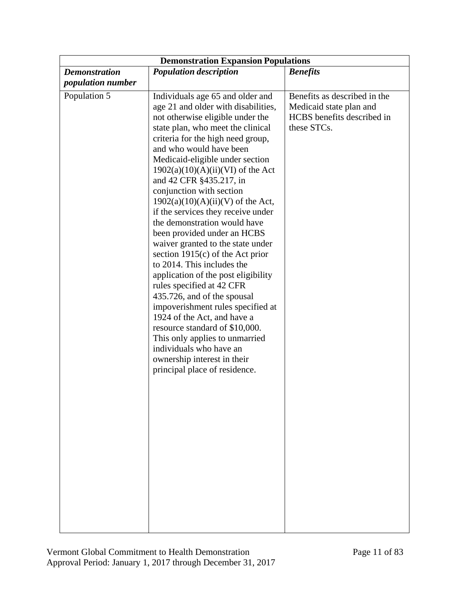| <b>Demonstration Expansion Populations</b>       |                                                                                                                                                                                                                                                                                                                                                                                                                                                                                                                                                                                                                                                                                                                                                                                                                                                                                                                                              |                                                                                                      |  |  |  |  |
|--------------------------------------------------|----------------------------------------------------------------------------------------------------------------------------------------------------------------------------------------------------------------------------------------------------------------------------------------------------------------------------------------------------------------------------------------------------------------------------------------------------------------------------------------------------------------------------------------------------------------------------------------------------------------------------------------------------------------------------------------------------------------------------------------------------------------------------------------------------------------------------------------------------------------------------------------------------------------------------------------------|------------------------------------------------------------------------------------------------------|--|--|--|--|
| <b>Demonstration</b><br><i>population number</i> | <b>Population description</b>                                                                                                                                                                                                                                                                                                                                                                                                                                                                                                                                                                                                                                                                                                                                                                                                                                                                                                                | <b>Benefits</b>                                                                                      |  |  |  |  |
| Population 5                                     | Individuals age 65 and older and<br>age 21 and older with disabilities,<br>not otherwise eligible under the<br>state plan, who meet the clinical<br>criteria for the high need group,<br>and who would have been<br>Medicaid-eligible under section<br>$1902(a)(10)(A)(ii)(VI)$ of the Act<br>and 42 CFR §435.217, in<br>conjunction with section<br>$1902(a)(10)(A)(ii)(V)$ of the Act,<br>if the services they receive under<br>the demonstration would have<br>been provided under an HCBS<br>waiver granted to the state under<br>section $1915(c)$ of the Act prior<br>to 2014. This includes the<br>application of the post eligibility<br>rules specified at 42 CFR<br>435.726, and of the spousal<br>impoverishment rules specified at<br>1924 of the Act, and have a<br>resource standard of \$10,000.<br>This only applies to unmarried<br>individuals who have an<br>ownership interest in their<br>principal place of residence. | Benefits as described in the<br>Medicaid state plan and<br>HCBS benefits described in<br>these STCs. |  |  |  |  |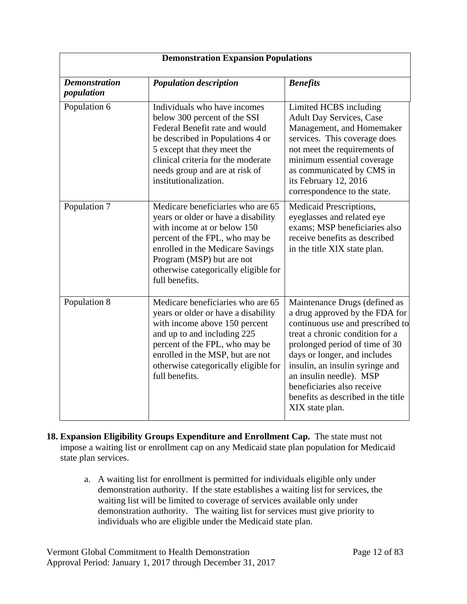| <b>Demonstration Expansion Populations</b> |                                                                                                                                                                                                                                                                          |                                                                                                                                                                                                                                                                                                                                                               |  |  |
|--------------------------------------------|--------------------------------------------------------------------------------------------------------------------------------------------------------------------------------------------------------------------------------------------------------------------------|---------------------------------------------------------------------------------------------------------------------------------------------------------------------------------------------------------------------------------------------------------------------------------------------------------------------------------------------------------------|--|--|
| <b>Demonstration</b><br>population         | <b>Population description</b>                                                                                                                                                                                                                                            | <b>Benefits</b>                                                                                                                                                                                                                                                                                                                                               |  |  |
| Population 6                               | Individuals who have incomes<br>below 300 percent of the SSI<br>Federal Benefit rate and would<br>be described in Populations 4 or<br>5 except that they meet the<br>clinical criteria for the moderate<br>needs group and are at risk of<br>institutionalization.       | Limited HCBS including<br><b>Adult Day Services, Case</b><br>Management, and Homemaker<br>services. This coverage does<br>not meet the requirements of<br>minimum essential coverage<br>as communicated by CMS in<br>its February 12, 2016<br>correspondence to the state.                                                                                    |  |  |
| Population 7                               | Medicare beneficiaries who are 65<br>years or older or have a disability<br>with income at or below 150<br>percent of the FPL, who may be<br>enrolled in the Medicare Savings<br>Program (MSP) but are not<br>otherwise categorically eligible for<br>full benefits.     | Medicaid Prescriptions,<br>eyeglasses and related eye<br>exams; MSP beneficiaries also<br>receive benefits as described<br>in the title XIX state plan.                                                                                                                                                                                                       |  |  |
| Population 8                               | Medicare beneficiaries who are 65<br>years or older or have a disability<br>with income above 150 percent<br>and up to and including 225<br>percent of the FPL, who may be<br>enrolled in the MSP, but are not<br>otherwise categorically eligible for<br>full benefits. | Maintenance Drugs (defined as<br>a drug approved by the FDA for<br>continuous use and prescribed to<br>treat a chronic condition for a<br>prolonged period of time of 30<br>days or longer, and includes<br>insulin, an insulin syringe and<br>an insulin needle). MSP<br>beneficiaries also receive<br>benefits as described in the title<br>XIX state plan. |  |  |

- **18. Expansion Eligibility Groups Expenditure and Enrollment Cap.** The state must not impose a waiting list or enrollment cap on any Medicaid state plan population for Medicaid state plan services.
	- a. A waiting list for enrollment is permitted for individuals eligible only under demonstration authority. If the state establishes a waiting list for services, the waiting list will be limited to coverage of services available only under demonstration authority. The waiting list for services must give priority to individuals who are eligible under the Medicaid state plan.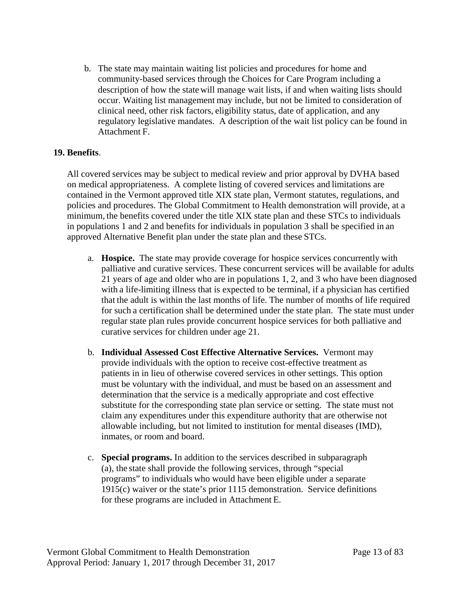b. The state may maintain waiting list policies and procedures for home and community-based services through the Choices for Care Program including a description of how the state will manage wait lists, if and when waiting lists should occur. Waiting list management may include, but not be limited to consideration of clinical need, other risk factors, eligibility status, date of application, and any regulatory legislative mandates. A description of the wait list policy can be found in Attachment F.

# **19. Benefits**.

All covered services may be subject to medical review and prior approval by DVHA based on medical appropriateness. A complete listing of covered services and limitations are contained in the Vermont approved title XIX state plan, Vermont statutes, regulations, and policies and procedures. The Global Commitment to Health demonstration will provide, at a minimum, the benefits covered under the title XIX state plan and these STCs to individuals in populations 1 and 2 and benefits for individuals in population 3 shall be specified in an approved Alternative Benefit plan under the state plan and these STCs.

- a. **Hospice.** The state may provide coverage for hospice services concurrently with palliative and curative services. These concurrent services will be available for adults 21 years of age and older who are in populations 1, 2, and 3 who have been diagnosed with a life-limiting illness that is expected to be terminal, if a physician has certified that the adult is within the last months of life. The number of months of life required for such a certification shall be determined under the state plan. The state must under regular state plan rules provide concurrent hospice services for both palliative and curative services for children under age 21.
- b. **Individual Assessed Cost Effective Alternative Services.** Vermont may provide individuals with the option to receive cost-effective treatment as patients in in lieu of otherwise covered services in other settings. This option must be voluntary with the individual, and must be based on an assessment and determination that the service is a medically appropriate and cost effective substitute for the corresponding state plan service or setting. The state must not claim any expenditures under this expenditure authority that are otherwise not allowable including, but not limited to institution for mental diseases (IMD), inmates, or room and board.
- c. **Special programs.** In addition to the services described in subparagraph (a), the state shall provide the following services, through "special programs" to individuals who would have been eligible under a separate 1915(c) waiver or the state's prior 1115 demonstration. Service definitions for these programs are included in Attachment E.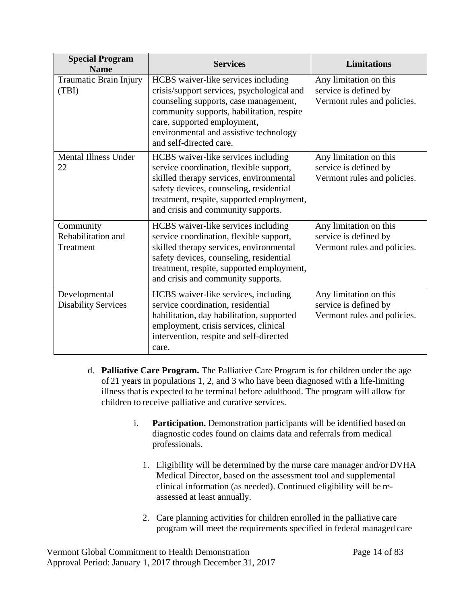| <b>Special Program</b><br><b>Name</b>        | <b>Services</b>                                                                                                                                                                                                                                                             | <b>Limitations</b>                                                             |  |
|----------------------------------------------|-----------------------------------------------------------------------------------------------------------------------------------------------------------------------------------------------------------------------------------------------------------------------------|--------------------------------------------------------------------------------|--|
| Traumatic Brain Injury<br>(TBI)              | HCBS waiver-like services including<br>crisis/support services, psychological and<br>counseling supports, case management,<br>community supports, habilitation, respite<br>care, supported employment,<br>environmental and assistive technology<br>and self-directed care. | Any limitation on this<br>service is defined by<br>Vermont rules and policies. |  |
| <b>Mental Illness Under</b><br>22            | HCBS waiver-like services including<br>service coordination, flexible support,<br>skilled therapy services, environmental<br>safety devices, counseling, residential<br>treatment, respite, supported employment,<br>and crisis and community supports.                     | Any limitation on this<br>service is defined by<br>Vermont rules and policies. |  |
| Community<br>Rehabilitation and<br>Treatment | HCBS waiver-like services including<br>service coordination, flexible support,<br>skilled therapy services, environmental<br>safety devices, counseling, residential<br>treatment, respite, supported employment,<br>and crisis and community supports.                     | Any limitation on this<br>service is defined by<br>Vermont rules and policies. |  |
| Developmental<br><b>Disability Services</b>  | HCBS waiver-like services, including<br>service coordination, residential<br>habilitation, day habilitation, supported<br>employment, crisis services, clinical<br>intervention, respite and self-directed<br>care.                                                         | Any limitation on this<br>service is defined by<br>Vermont rules and policies. |  |

- d. **Palliative Care Program.** The Palliative Care Program is for children under the age of 21 years in populations 1, 2, and 3 who have been diagnosed with a life-limiting illness that is expected to be terminal before adulthood. The program will allow for children to receive palliative and curative services.
	- i. **Participation.** Demonstration participants will be identified based on diagnostic codes found on claims data and referrals from medical professionals.
		- 1. Eligibility will be determined by the nurse care manager and/or DVHA Medical Director, based on the assessment tool and supplemental clinical information (as needed). Continued eligibility will be reassessed at least annually.
		- 2. Care planning activities for children enrolled in the palliative care program will meet the requirements specified in federal managed care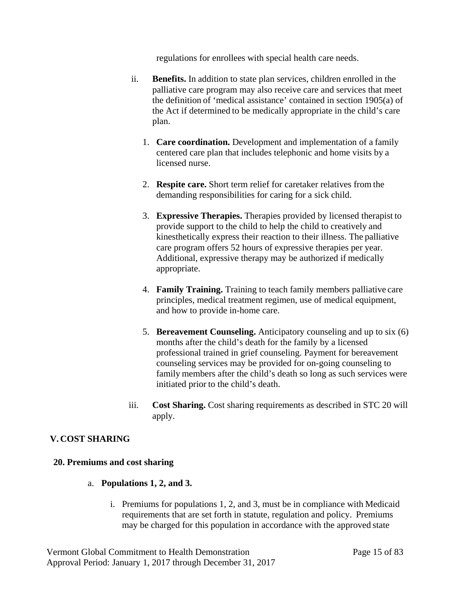regulations for enrollees with special health care needs.

- ii. **Benefits.** In addition to state plan services, children enrolled in the palliative care program may also receive care and services that meet the definition of 'medical assistance' contained in section 1905(a) of the Act if determined to be medically appropriate in the child's care plan.
	- 1. **Care coordination.** Development and implementation of a family centered care plan that includes telephonic and home visits by a licensed nurse.
	- 2. **Respite care.** Short term relief for caretaker relatives from the demanding responsibilities for caring for a sick child.
	- 3. **Expressive Therapies.** Therapies provided by licensed therapist to provide support to the child to help the child to creatively and kinesthetically express their reaction to their illness. The palliative care program offers 52 hours of expressive therapies per year. Additional, expressive therapy may be authorized if medically appropriate.
	- 4. **Family Training.** Training to teach family members palliative care principles, medical treatment regimen, use of medical equipment, and how to provide in-home care.
	- 5. **Bereavement Counseling.** Anticipatory counseling and up to six (6) months after the child's death for the family by a licensed professional trained in grief counseling. Payment for bereavement counseling services may be provided for on-going counseling to family members after the child's death so long as such services were initiated prior to the child's death.
- iii. **Cost Sharing.** Cost sharing requirements as described in S[TC 20](#page-23-0) will apply.

# **V. COST SHARING**

#### <span id="page-23-0"></span>**20. Premiums and cost sharing**

- a. **Populations 1, 2, and 3.**
	- i. Premiums for populations 1, 2, and 3, must be in compliance with Medicaid requirements that are set forth in statute, regulation and policy. Premiums may be charged for this population in accordance with the approved state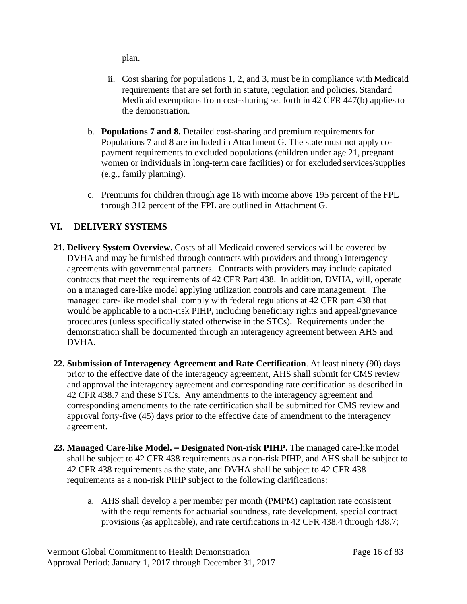plan.

- ii. Cost sharing for populations 1, 2, and 3, must be in compliance with Medicaid requirements that are set forth in statute, regulation and policies. Standard Medicaid exemptions from cost-sharing set forth in 42 CFR 447(b) appliesto the demonstration.
- b. **Populations 7 and 8.** Detailed cost-sharing and premium requirements for Populations 7 and 8 are included in Attachment G. The state must not apply copayment requirements to excluded populations (children under age 21, pregnant women or individuals in long-term care facilities) or for excluded services/supplies (e.g., family planning).
- c. Premiums for children through age 18 with income above 195 percent of the FPL through 312 percent of the FPL are outlined in Attachment G.

# **VI. DELIVERY SYSTEMS**

- **21. Delivery System Overview.** Costs of all Medicaid covered services will be covered by DVHA and may be furnished through contracts with providers and through interagency agreements with governmental partners. Contracts with providers may include capitated contracts that meet the requirements of 42 CFR Part 438. In addition, DVHA, will, operate on a managed care-like model applying utilization controls and care management. The managed care-like model shall comply with federal regulations at 42 CFR part 438 that would be applicable to a non-risk PIHP, including beneficiary rights and appeal/grievance procedures (unless specifically stated otherwise in the STCs). Requirements under the demonstration shall be documented through an interagency agreement between AHS and DVHA.
- **22. Submission of Interagency Agreement and Rate Certification**. At least ninety (90) days prior to the effective date of the interagency agreement, AHS shall submit for CMS review and approval the interagency agreement and corresponding rate certification as described in 42 CFR 438.7 and these STCs. Any amendments to the interagency agreement and corresponding amendments to the rate certification shall be submitted for CMS review and approval forty-five (45) days prior to the effective date of amendment to the interagency agreement.
- **23. Managed Care-like Model. – Designated Non-risk PIHP.** The managed care-like model shall be subject to 42 CFR 438 requirements as a non-risk PIHP, and AHS shall be subject to 42 CFR 438 requirements as the state, and DVHA shall be subject to 42 CFR 438 requirements as a non-risk PIHP subject to the following clarifications:
	- a. AHS shall develop a per member per month (PMPM) capitation rate consistent with the requirements for actuarial soundness, rate development, special contract provisions (as applicable), and rate certifications in 42 CFR 438.4 through 438.7;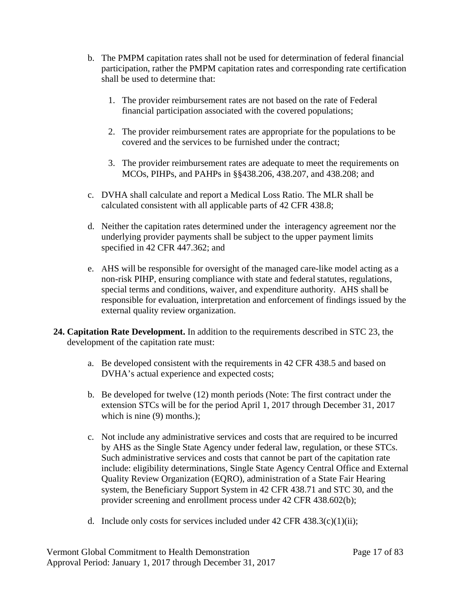- b. The PMPM capitation rates shall not be used for determination of federal financial participation, rather the PMPM capitation rates and corresponding rate certification shall be used to determine that:
	- 1. The provider reimbursement rates are not based on the rate of Federal financial participation associated with the covered populations;
	- 2. The provider reimbursement rates are appropriate for the populations to be covered and the services to be furnished under the contract;
	- 3. The provider reimbursement rates are adequate to meet the requirements on MCOs, PIHPs, and PAHPs in §§438.206, 438.207, and 438.208; and
- c. DVHA shall calculate and report a Medical Loss Ratio. The MLR shall be calculated consistent with all applicable parts of 42 CFR 438.8;
- d. Neither the capitation rates determined under the interagency agreement nor the underlying provider payments shall be subject to the upper payment limits specified in 42 CFR 447.362; and
- e. AHS will be responsible for oversight of the managed care-like model acting as a non-risk PIHP, ensuring compliance with state and federal statutes, regulations, special terms and conditions, waiver, and expenditure authority. AHS shall be responsible for evaluation, interpretation and enforcement of findings issued by the external quality review organization.
- **24. Capitation Rate Development.** In addition to the requirements described in STC 23, the development of the capitation rate must:
	- a. Be developed consistent with the requirements in 42 CFR 438.5 and based on DVHA's actual experience and expected costs;
	- b. Be developed for twelve (12) month periods (Note: The first contract under the extension STCs will be for the period April 1, 2017 through December 31, 2017 which is nine (9) months.);
	- c. Not include any administrative services and costs that are required to be incurred by AHS as the Single State Agency under federal law, regulation, or these STCs. Such administrative services and costs that cannot be part of the capitation rate include: eligibility determinations, Single State Agency Central Office and External Quality Review Organization (EQRO), administration of a State Fair Hearing system, the Beneficiary Support System in 42 CFR 438.71 and STC 30, and the provider screening and enrollment process under 42 CFR 438.602(b);
	- d. Include only costs for services included under  $42 \text{ CFR } 438.3(c)(1)(ii)$ ;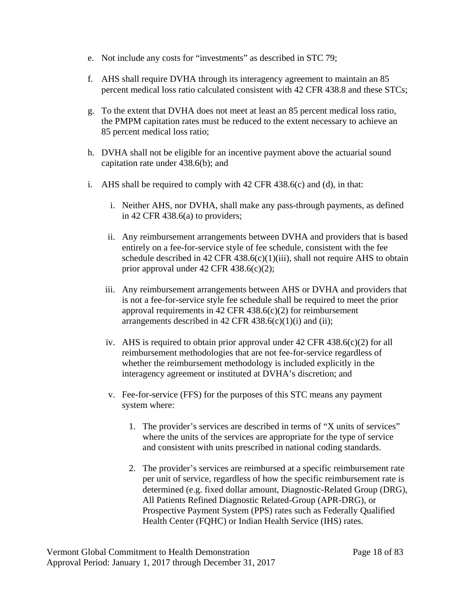- e. Not include any costs for "investments" as described in STC 79;
- f. AHS shall require DVHA through its interagency agreement to maintain an 85 percent medical loss ratio calculated consistent with 42 CFR 438.8 and these STCs;
- g. To the extent that DVHA does not meet at least an 85 percent medical loss ratio, the PMPM capitation rates must be reduced to the extent necessary to achieve an 85 percent medical loss ratio;
- h. DVHA shall not be eligible for an incentive payment above the actuarial sound capitation rate under 438.6(b); and
- i. AHS shall be required to comply with 42 CFR 438.6(c) and (d), in that:
	- i. Neither AHS, nor DVHA, shall make any pass-through payments, as defined in 42 CFR 438.6(a) to providers;
	- ii. Any reimbursement arrangements between DVHA and providers that is based entirely on a fee-for-service style of fee schedule, consistent with the fee schedule described in 42 CFR 438.6(c)(1)(iii), shall not require AHS to obtain prior approval under 42 CFR 438.6(c)(2);
	- iii. Any reimbursement arrangements between AHS or DVHA and providers that is not a fee-for-service style fee schedule shall be required to meet the prior approval requirements in 42 CFR 438.6(c)(2) for reimbursement arrangements described in 42 CFR  $438.6(c)(1)(i)$  and (ii);
	- iv. AHS is required to obtain prior approval under  $42$  CFR  $438.6(c)(2)$  for all reimbursement methodologies that are not fee-for-service regardless of whether the reimbursement methodology is included explicitly in the interagency agreement or instituted at DVHA's discretion; and
	- v. Fee-for-service (FFS) for the purposes of this STC means any payment system where:
		- 1. The provider's services are described in terms of "X units of services" where the units of the services are appropriate for the type of service and consistent with units prescribed in national coding standards.
		- 2. The provider's services are reimbursed at a specific reimbursement rate per unit of service, regardless of how the specific reimbursement rate is determined (e.g. fixed dollar amount, Diagnostic-Related Group (DRG), All Patients Refined Diagnostic Related-Group (APR-DRG), or Prospective Payment System (PPS) rates such as Federally Qualified Health Center (FQHC) or Indian Health Service (IHS) rates.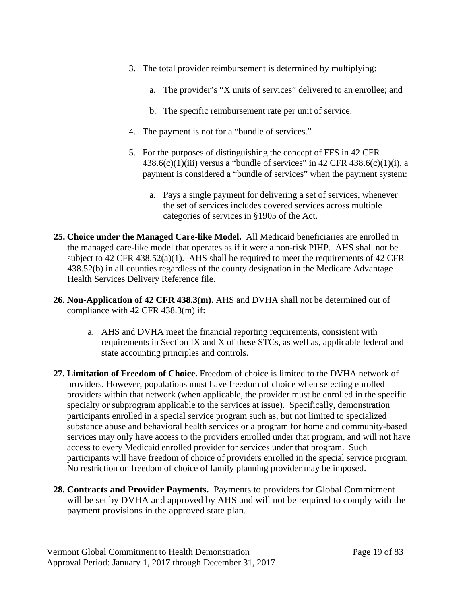- 3. The total provider reimbursement is determined by multiplying:
	- a. The provider's "X units of services" delivered to an enrollee; and
	- b. The specific reimbursement rate per unit of service.
- 4. The payment is not for a "bundle of services."
- 5. For the purposes of distinguishing the concept of FFS in 42 CFR 438.6(c)(1)(iii) versus a "bundle of services" in 42 CFR 438.6(c)(1)(i), a payment is considered a "bundle of services" when the payment system:
	- a. Pays a single payment for delivering a set of services, whenever the set of services includes covered services across multiple categories of services in §1905 of the Act.
- **25. Choice under the Managed Care-like Model.** All Medicaid beneficiaries are enrolled in the managed care-like model that operates as if it were a non-risk PIHP. AHS shall not be subject to 42 CFR 438.52(a)(1). AHS shall be required to meet the requirements of 42 CFR 438.52(b) in all counties regardless of the county designation in the Medicare Advantage Health Services Delivery Reference file.
- **26. Non-Application of 42 CFR 438.3(m).** AHS and DVHA shall not be determined out of compliance with 42 CFR 438.3(m) if:
	- a. AHS and DVHA meet the financial reporting requirements, consistent with requirements in Section IX and X of these STCs, as well as, applicable federal and state accounting principles and controls.
- **27. Limitation of Freedom of Choice.** Freedom of choice is limited to the DVHA network of providers. However, populations must have freedom of choice when selecting enrolled providers within that network (when applicable, the provider must be enrolled in the specific specialty or subprogram applicable to the services at issue). Specifically, demonstration participants enrolled in a special service program such as, but not limited to specialized substance abuse and behavioral health services or a program for home and community-based services may only have access to the providers enrolled under that program, and will not have access to every Medicaid enrolled provider for services under that program. Such participants will have freedom of choice of providers enrolled in the special service program. No restriction on freedom of choice of family planning provider may be imposed.
- **28. Contracts and Provider Payments.** Payments to providers for Global Commitment will be set by DVHA and approved by AHS and will not be required to comply with the payment provisions in the approved state plan.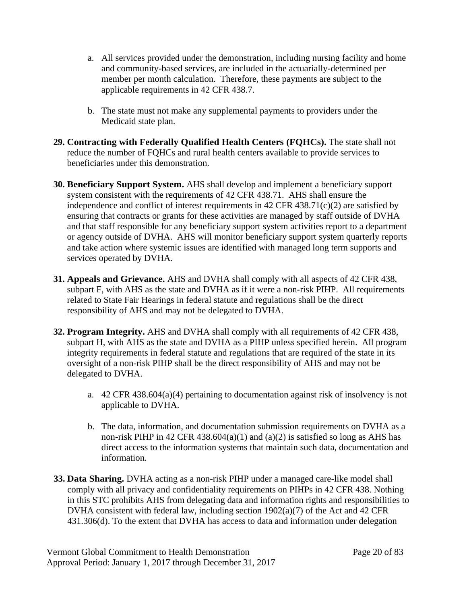- a. All services provided under the demonstration, including nursing facility and home and community-based services, are included in the actuarially-determined per member per month calculation. Therefore, these payments are subject to the applicable requirements in 42 CFR 438.7.
- b. The state must not make any supplemental payments to providers under the Medicaid state plan.
- **29. Contracting with Federally Qualified Health Centers (FQHCs).** The state shall not reduce the number of FQHCs and rural health centers available to provide services to beneficiaries under this demonstration.
- **30. Beneficiary Support System.** AHS shall develop and implement a beneficiary support system consistent with the requirements of 42 CFR 438.71. AHS shall ensure the independence and conflict of interest requirements in 42 CFR 438.71(c)(2) are satisfied by ensuring that contracts or grants for these activities are managed by staff outside of DVHA and that staff responsible for any beneficiary support system activities report to a department or agency outside of DVHA. AHS will monitor beneficiary support system quarterly reports and take action where systemic issues are identified with managed long term supports and services operated by DVHA.
- **31. Appeals and Grievance.** AHS and DVHA shall comply with all aspects of 42 CFR 438, subpart F, with AHS as the state and DVHA as if it were a non-risk PIHP. All requirements related to State Fair Hearings in federal statute and regulations shall be the direct responsibility of AHS and may not be delegated to DVHA.
- **32. Program Integrity.** AHS and DVHA shall comply with all requirements of 42 CFR 438, subpart H, with AHS as the state and DVHA as a PIHP unless specified herein. All program integrity requirements in federal statute and regulations that are required of the state in its oversight of a non-risk PIHP shall be the direct responsibility of AHS and may not be delegated to DVHA.
	- a. 42 CFR 438.604(a)(4) pertaining to documentation against risk of insolvency is not applicable to DVHA.
	- b. The data, information, and documentation submission requirements on DVHA as a non-risk PIHP in 42 CFR 438.604(a)(1) and (a)(2) is satisfied so long as AHS has direct access to the information systems that maintain such data, documentation and information.
- **33. Data Sharing.** DVHA acting as a non-risk PIHP under a managed care-like model shall comply with all privacy and confidentiality requirements on PIHPs in 42 CFR 438. Nothing in this STC prohibits AHS from delegating data and information rights and responsibilities to DVHA consistent with federal law, including section 1902(a)(7) of the Act and 42 CFR 431.306(d). To the extent that DVHA has access to data and information under delegation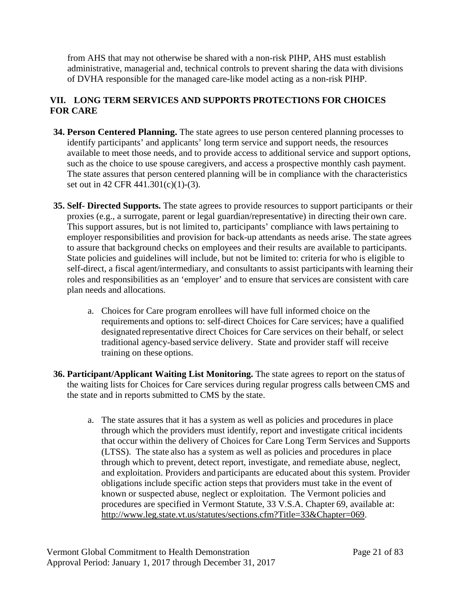from AHS that may not otherwise be shared with a non-risk PIHP, AHS must establish administrative, managerial and, technical controls to prevent sharing the data with divisions of DVHA responsible for the managed care-like model acting as a non-risk PIHP.

# **VII. LONG TERM SERVICES AND SUPPORTS PROTECTIONS FOR CHOICES FOR CARE**

- **34. Person Centered Planning.** The state agrees to use person centered planning processes to identify participants' and applicants' long term service and support needs, the resources available to meet those needs, and to provide access to additional service and support options, such as the choice to use spouse caregivers, and access a prospective monthly cash payment. The state assures that person centered planning will be in compliance with the characteristics set out in 42 CFR 441.301(c)(1)-(3).
- **35. Self- Directed Supports.** The state agrees to provide resources to support participants or their proxies (e.g., a surrogate, parent or legal guardian/representative) in directing their own care. This support assures, but is not limited to, participants' compliance with laws pertaining to employer responsibilities and provision for back-up attendants as needs arise. The state agrees to assure that background checks on employees and their results are available to participants. State policies and guidelines will include, but not be limited to: criteria for who is eligible to self-direct, a fiscal agent/intermediary, and consultants to assist participants with learning their roles and responsibilities as an 'employer' and to ensure that services are consistent with care plan needs and allocations.
	- a. Choices for Care program enrollees will have full informed choice on the requirements and options to: self-direct Choices for Care services; have a qualified designated representative direct Choices for Care services on their behalf, or select traditional agency-based service delivery. State and provider staff will receive training on these options.
- **36. Participant/Applicant Waiting List Monitoring.** The state agrees to report on the status of the waiting lists for Choices for Care services during regular progress calls betweenCMS and the state and in reports submitted to CMS by the state.
	- a. The state assures that it has a system as well as policies and procedures in place through which the providers must identify, report and investigate critical incidents that occur within the delivery of Choices for Care Long Term Services and Supports (LTSS). The state also has a system as well as policies and procedures in place through which to prevent, detect report, investigate, and remediate abuse, neglect, and exploitation. Providers and participants are educated about this system. Provider obligations include specific action steps that providers must take in the event of known or suspected abuse, neglect or exploitation. The Vermont policies and procedures are specified in Vermont Statute, 33 V.S.A. Chapter 69, available at: [http://www.leg.state.vt.us/statutes/sections.cfm?Title=33&Chapter=069.](http://www.leg.state.vt.us/statutes/sections.cfm?Title=33&Chapter=069)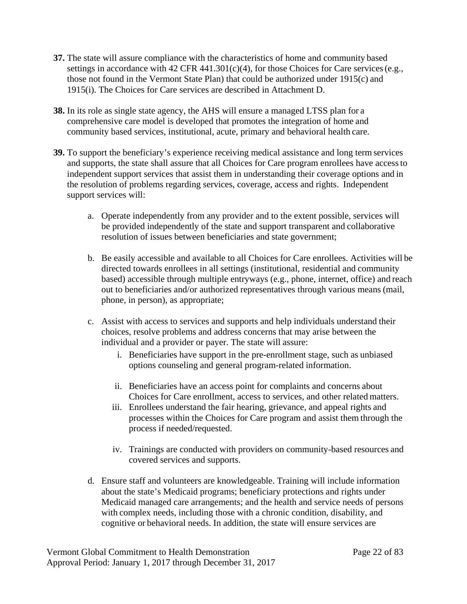- **37.** The state will assure compliance with the characteristics of home and community based settings in accordance with 42 CFR 441.301(c)(4), for those Choices for Care services (e.g., those not found in the Vermont State Plan) that could be authorized under 1915(c) and 1915(i). The Choices for Care services are described in Attachment D.
- **38.** In its role as single state agency, the AHS will ensure a managed LTSS plan for a comprehensive care model is developed that promotes the integration of home and community based services, institutional, acute, primary and behavioral health care.
- **39.** To support the beneficiary's experience receiving medical assistance and long term services and supports, the state shall assure that all Choices for Care program enrollees have accessto independent support services that assist them in understanding their coverage options and in the resolution of problems regarding services, coverage, access and rights. Independent support services will:
	- a. Operate independently from any provider and to the extent possible, services will be provided independently of the state and support transparent and collaborative resolution of issues between beneficiaries and state government;
	- b. Be easily accessible and available to all Choices for Care enrollees. Activities will be directed towards enrollees in all settings (institutional, residential and community based) accessible through multiple entryways (e.g., phone, internet, office) and reach out to beneficiaries and/or authorized representatives through various means (mail, phone, in person), as appropriate;
	- c. Assist with access to services and supports and help individuals understand their choices, resolve problems and address concerns that may arise between the individual and a provider or payer. The state will assure:
		- i. Beneficiaries have support in the pre-enrollment stage, such as unbiased options counseling and general program-related information.
		- ii. Beneficiaries have an access point for complaints and concerns about Choices for Care enrollment, access to services, and other related matters.
		- iii. Enrollees understand the fair hearing, grievance, and appeal rights and processes within the Choices for Care program and assist them through the process if needed/requested.
		- iv. Trainings are conducted with providers on community-based resources and covered services and supports.
	- d. Ensure staff and volunteers are knowledgeable. Training will include information about the state's Medicaid programs; beneficiary protections and rights under Medicaid managed care arrangements; and the health and service needs of persons with complex needs, including those with a chronic condition, disability, and cognitive or behavioral needs. In addition, the state will ensure services are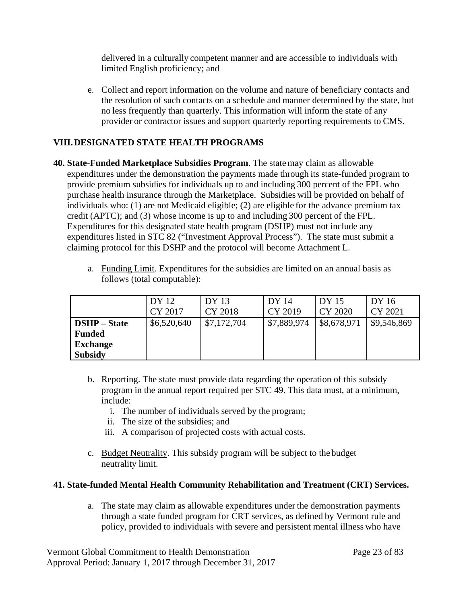delivered in a culturally competent manner and are accessible to individuals with limited English proficiency; and

e. Collect and report information on the volume and nature of beneficiary contacts and the resolution of such contacts on a schedule and manner determined by the state, but no less frequently than quarterly. This information will inform the state of any provider or contractor issues and support quarterly reporting requirements to CMS.

# **VIII.DESIGNATED STATE HEALTH PROGRAMS**

**40. State-Funded Marketplace Subsidies Program**. The state may claim as allowable expenditures under the demonstration the payments made through its state-funded program to provide premium subsidies for individuals up to and including 300 percent of the FPL who purchase health insurance through the Marketplace. Subsidies will be provided on behalf of individuals who: (1) are not Medicaid eligible; (2) are eligible for the advance premium tax credit (APTC); and (3) whose income is up to and including 300 percent of the FPL. Expenditures for this designated state health program (DSHP) must not include any expenditures listed in STC 82 ("Investment Approval Process"). The state must submit a claiming protocol for this DSHP and the protocol will become Attachment L.

|                     | DY 12       | DY 13       | DY 14       | DY 15       | DY 16       |
|---------------------|-------------|-------------|-------------|-------------|-------------|
|                     | CY 2017     | CY 2018     | CY 2019     | CY 2020     | CY 2021     |
| <b>DSHP</b> – State | \$6,520,640 | \$7,172,704 | \$7,889,974 | \$8,678,971 | \$9,546,869 |
| <b>Funded</b>       |             |             |             |             |             |
| <b>Exchange</b>     |             |             |             |             |             |
| <b>Subsidy</b>      |             |             |             |             |             |

a. Funding Limit. Expenditures for the subsidies are limited on an annual basis as follows (total computable):

- b. Reporting. The state must provide data regarding the operation of this subsidy program in the annual report required per STC 49. This data must, at a minimum, include:
	- i. The number of individuals served by the program;
	- ii. The size of the subsidies; and
	- iii. A comparison of projected costs with actual costs.
- c. Budget Neutrality. This subsidy program will be subject to the budget neutrality limit.

# **41. State-funded Mental Health Community Rehabilitation and Treatment (CRT) Services.**

a. The state may claim as allowable expenditures under the demonstration payments through a state funded program for CRT services, as defined by Vermont rule and policy, provided to individuals with severe and persistent mental illness who have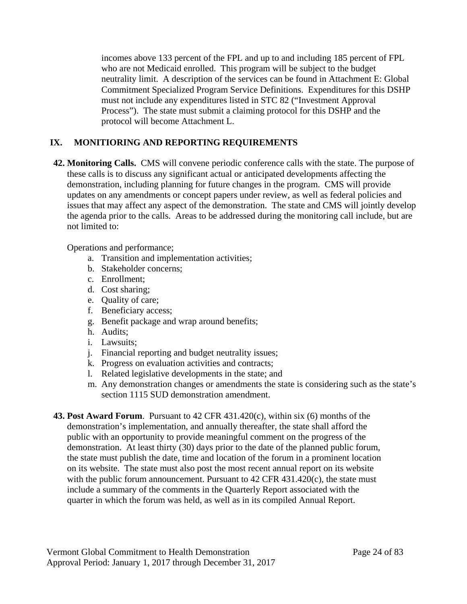incomes above 133 percent of the FPL and up to and including 185 percent of FPL who are not Medicaid enrolled. This program will be subject to the budget neutrality limit. A description of the services can be found in Attachment E: Global Commitment Specialized Program Service Definitions. Expenditures for this DSHP must not include any expenditures listed in STC 82 ("Investment Approval Process"). The state must submit a claiming protocol for this DSHP and the protocol will become Attachment L.

# **IX. MONITIORING AND REPORTING REQUIREMENTS**

**42. Monitoring Calls.** CMS will convene periodic conference calls with the state. The purpose of these calls is to discuss any significant actual or anticipated developments affecting the demonstration, including planning for future changes in the program. CMS will provide updates on any amendments or concept papers under review, as well as federal policies and issues that may affect any aspect of the demonstration. The state and CMS will jointly develop the agenda prior to the calls. Areas to be addressed during the monitoring call include, but are not limited to:

Operations and performance;

- a. Transition and implementation activities;
- b. Stakeholder concerns;
- c. Enrollment;
- d. Cost sharing;
- e. Quality of care;
- f. Beneficiary access;
- g. Benefit package and wrap around benefits;
- h. Audits;
- i. Lawsuits;
- j. Financial reporting and budget neutrality issues;
- k. Progress on evaluation activities and contracts;
- l. Related legislative developments in the state; and
- m. Any demonstration changes or amendments the state is considering such as the state's section 1115 SUD demonstration amendment.
- **43. Post Award Forum**. Pursuant to 42 CFR 431.420(c), within six (6) months of the demonstration's implementation, and annually thereafter, the state shall afford the public with an opportunity to provide meaningful comment on the progress of the demonstration. At least thirty (30) days prior to the date of the planned public forum, the state must publish the date, time and location of the forum in a prominent location on its website. The state must also post the most recent annual report on its website with the public forum announcement. Pursuant to 42 CFR 431.420(c), the state must include a summary of the comments in the Quarterly Report associated with the quarter in which the forum was held, as well as in its compiled Annual Report.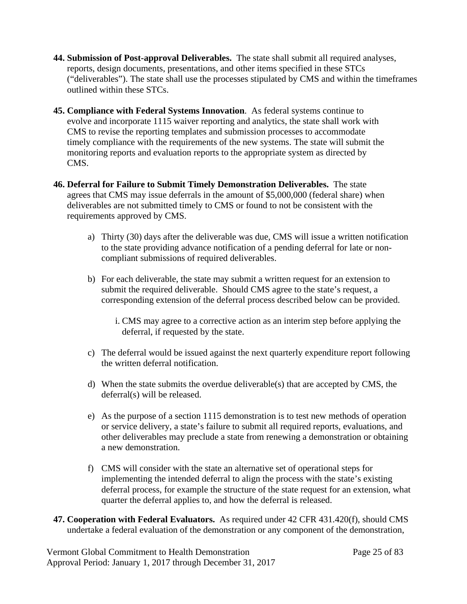- **44. Submission of Post-approval Deliverables.** The state shall submit all required analyses, reports, design documents, presentations, and other items specified in these STCs ("deliverables"). The state shall use the processes stipulated by CMS and within the timeframes outlined within these STCs.
- **45. Compliance with Federal Systems Innovation**. As federal systems continue to evolve and incorporate 1115 waiver reporting and analytics, the state shall work with CMS to revise the reporting templates and submission processes to accommodate timely compliance with the requirements of the new systems. The state will submit the monitoring reports and evaluation reports to the appropriate system as directed by CMS.
- **46. Deferral for Failure to Submit Timely Demonstration Deliverables.** The state agrees that CMS may issue deferrals in the amount of \$5,000,000 (federal share) when deliverables are not submitted timely to CMS or found to not be consistent with the requirements approved by CMS.
	- a) Thirty (30) days after the deliverable was due, CMS will issue a written notification to the state providing advance notification of a pending deferral for late or noncompliant submissions of required deliverables.
	- b) For each deliverable, the state may submit a written request for an extension to submit the required deliverable. Should CMS agree to the state's request, a corresponding extension of the deferral process described below can be provided.
		- i. CMS may agree to a corrective action as an interim step before applying the deferral, if requested by the state.
	- c) The deferral would be issued against the next quarterly expenditure report following the written deferral notification.
	- d) When the state submits the overdue deliverable(s) that are accepted by CMS, the deferral(s) will be released.
	- e) As the purpose of a section 1115 demonstration is to test new methods of operation or service delivery, a state's failure to submit all required reports, evaluations, and other deliverables may preclude a state from renewing a demonstration or obtaining a new demonstration.
	- f) CMS will consider with the state an alternative set of operational steps for implementing the intended deferral to align the process with the state's existing deferral process, for example the structure of the state request for an extension, what quarter the deferral applies to, and how the deferral is released.
- **47. Cooperation with Federal Evaluators.** As required under 42 CFR 431.420(f), should CMS undertake a federal evaluation of the demonstration or any component of the demonstration,

Vermont Global Commitment to Health Demonstration Page 25 of 83 Approval Period: January 1, 2017 through December 31, 2017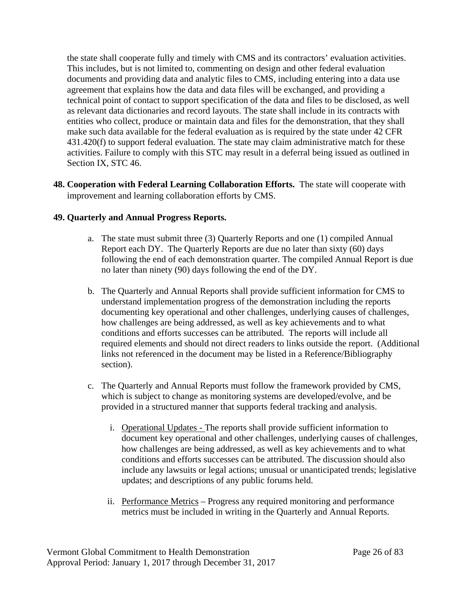the state shall cooperate fully and timely with CMS and its contractors' evaluation activities. This includes, but is not limited to, commenting on design and other federal evaluation documents and providing data and analytic files to CMS, including entering into a data use agreement that explains how the data and data files will be exchanged, and providing a technical point of contact to support specification of the data and files to be disclosed, as well as relevant data dictionaries and record layouts. The state shall include in its contracts with entities who collect, produce or maintain data and files for the demonstration, that they shall make such data available for the federal evaluation as is required by the state under 42 CFR 431.420(f) to support federal evaluation. The state may claim administrative match for these activities. Failure to comply with this STC may result in a deferral being issued as outlined in Section IX, STC 46.

**48. Cooperation with Federal Learning Collaboration Efforts.** The state will cooperate with improvement and learning collaboration efforts by CMS.

# **49. Quarterly and Annual Progress Reports.**

- a. The state must submit three (3) Quarterly Reports and one (1) compiled Annual Report each DY. The Quarterly Reports are due no later than sixty (60) days following the end of each demonstration quarter. The compiled Annual Report is due no later than ninety (90) days following the end of the DY.
- b. The Quarterly and Annual Reports shall provide sufficient information for CMS to understand implementation progress of the demonstration including the reports documenting key operational and other challenges, underlying causes of challenges, how challenges are being addressed, as well as key achievements and to what conditions and efforts successes can be attributed. The reports will include all required elements and should not direct readers to links outside the report. (Additional links not referenced in the document may be listed in a Reference/Bibliography section).
- c. The Quarterly and Annual Reports must follow the framework provided by CMS, which is subject to change as monitoring systems are developed/evolve, and be provided in a structured manner that supports federal tracking and analysis.
	- i. Operational Updates The reports shall provide sufficient information to document key operational and other challenges, underlying causes of challenges, how challenges are being addressed, as well as key achievements and to what conditions and efforts successes can be attributed. The discussion should also include any lawsuits or legal actions; unusual or unanticipated trends; legislative updates; and descriptions of any public forums held.
	- ii. Performance Metrics Progress any required monitoring and performance metrics must be included in writing in the Quarterly and Annual Reports.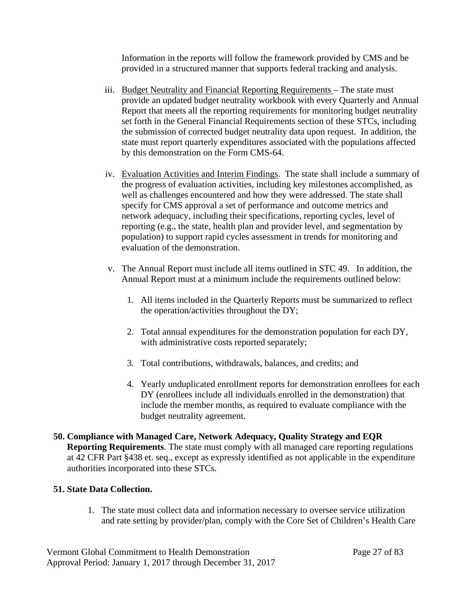Information in the reports will follow the framework provided by CMS and be provided in a structured manner that supports federal tracking and analysis.

- iii. Budget Neutrality and Financial Reporting Requirements The state must provide an updated budget neutrality workbook with every Quarterly and Annual Report that meets all the reporting requirements for monitoring budget neutrality set forth in the General Financial Requirements section of these STCs, including the submission of corrected budget neutrality data upon request. In addition, the state must report quarterly expenditures associated with the populations affected by this demonstration on the Form CMS-64.
- iv. Evaluation Activities and Interim Findings. The state shall include a summary of the progress of evaluation activities, including key milestones accomplished, as well as challenges encountered and how they were addressed. The state shall specify for CMS approval a set of performance and outcome metrics and network adequacy, including their specifications, reporting cycles, level of reporting (e.g., the state, health plan and provider level, and segmentation by population) to support rapid cycles assessment in trends for monitoring and evaluation of the demonstration.
- v. The Annual Report must include all items outlined in STC 49. In addition, the Annual Report must at a minimum include the requirements outlined below:
	- 1. All items included in the Quarterly Reports must be summarized to reflect the operation/activities throughout the DY;
	- 2. Total annual expenditures for the demonstration population for each DY, with administrative costs reported separately;
	- 3. Total contributions, withdrawals, balances, and credits; and
	- 4. Yearly unduplicated enrollment reports for demonstration enrollees for each DY (enrollees include all individuals enrolled in the demonstration) that include the member months, as required to evaluate compliance with the budget neutrality agreement.
- **50. Compliance with Managed Care, Network Adequacy, Quality Strategy and EQR Reporting Requirements**. The state must comply with all managed care reporting regulations at 42 CFR Part §438 et. seq., except as expressly identified as not applicable in the expenditure authorities incorporated into these STCs.

#### **51. State Data Collection.**

1. The state must collect data and information necessary to oversee service utilization and rate setting by provider/plan, comply with the Core Set of Children's Health Care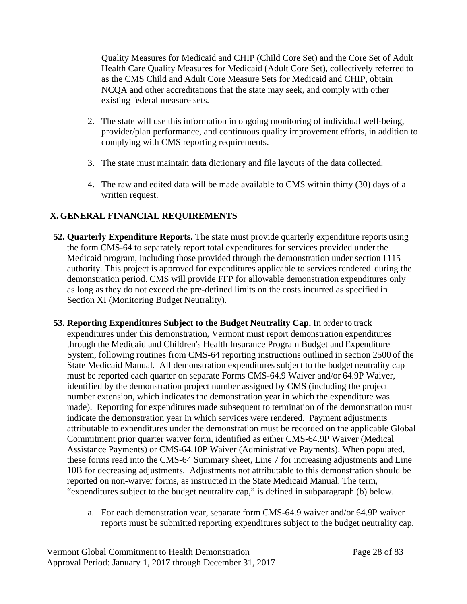Quality Measures for Medicaid and CHIP (Child Core Set) and the Core Set of Adult Health Care Quality Measures for Medicaid (Adult Core Set), collectively referred to as the CMS Child and Adult Core Measure Sets for Medicaid and CHIP, obtain NCQA and other accreditations that the state may seek, and comply with other existing federal measure sets.

- 2. The state will use this information in ongoing monitoring of individual well-being, provider/plan performance, and continuous quality improvement efforts, in addition to complying with CMS reporting requirements.
- 3. The state must maintain data dictionary and file layouts of the data collected.
- 4. The raw and edited data will be made available to CMS within thirty (30) days of a written request.

# **X.GENERAL FINANCIAL REQUIREMENTS**

- **52. Quarterly Expenditure Reports.** The state must provide quarterly expenditure reports using the form CMS-64 to separately report total expenditures for services provided under the Medicaid program, including those provided through the demonstration under section 1115 authority. This project is approved for expenditures applicable to services rendered during the demonstration period. CMS will provide FFP for allowable demonstration expenditures only as long as they do not exceed the pre-defined limits on the costs incurred as specified in Section XI (Monitoring Budget Neutrality).
- **53. Reporting Expenditures Subject to the Budget Neutrality Cap.** In order to track expenditures under this demonstration, Vermont must report demonstration expenditures through the Medicaid and Children's Health Insurance Program Budget and Expenditure System, following routines from CMS-64 reporting instructions outlined in section 2500 of the State Medicaid Manual. All demonstration expenditures subject to the budget neutrality cap must be reported each quarter on separate Forms CMS-64.9 Waiver and/or 64.9P Waiver, identified by the demonstration project number assigned by CMS (including the project number extension, which indicates the demonstration year in which the expenditure was made). Reporting for expenditures made subsequent to termination of the demonstration must indicate the demonstration year in which services were rendered. Payment adjustments attributable to expenditures under the demonstration must be recorded on the applicable Global Commitment prior quarter waiver form, identified as either CMS-64.9P Waiver (Medical Assistance Payments) or CMS-64.10P Waiver (Administrative Payments). When populated, these forms read into the CMS-64 Summary sheet, Line 7 for increasing adjustments and Line 10B for decreasing adjustments. Adjustments not attributable to this demonstration should be reported on non-waiver forms, as instructed in the State Medicaid Manual. The term, "expenditures subject to the budget neutrality cap," is defined in subparagraph (b) below.
	- a. For each demonstration year, separate form CMS-64.9 waiver and/or 64.9P waiver reports must be submitted reporting expenditures subject to the budget neutrality cap.

Vermont Global Commitment to Health Demonstration Page 28 of 83 Approval Period: January 1, 2017 through December 31, 2017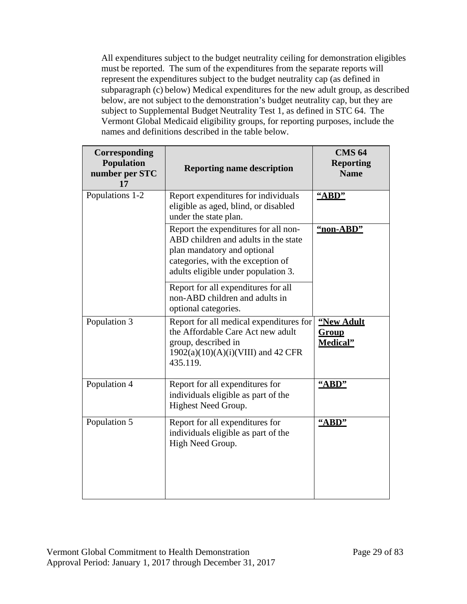All expenditures subject to the budget neutrality ceiling for demonstration eligibles must be reported. The sum of the expenditures from the separate reports will represent the expenditures subject to the budget neutrality cap (as defined in subparagraph (c) below) Medical expenditures for the new adult group, as described below, are not subject to the demonstration's budget neutrality cap, but they are subject to Supplemental Budget Neutrality Test 1, as defined in STC 64. The Vermont Global Medicaid eligibility groups, for reporting purposes, include the names and definitions described in the table below.

| Corresponding<br><b>Population</b><br>number per STC<br>17 | <b>Reporting name description</b>                                                                                                                                                       | <b>CMS 64</b><br><b>Reporting</b><br><b>Name</b> |
|------------------------------------------------------------|-----------------------------------------------------------------------------------------------------------------------------------------------------------------------------------------|--------------------------------------------------|
| Populations 1-2                                            | Report expenditures for individuals<br>eligible as aged, blind, or disabled<br>under the state plan.                                                                                    | "ABD"                                            |
|                                                            | Report the expenditures for all non-<br>ABD children and adults in the state<br>plan mandatory and optional<br>categories, with the exception of<br>adults eligible under population 3. | "non-ABD"                                        |
|                                                            | Report for all expenditures for all<br>non-ABD children and adults in<br>optional categories.                                                                                           |                                                  |
| Population 3                                               | Report for all medical expenditures for<br>the Affordable Care Act new adult<br>group, described in<br>1902(a)(10)(A)(i)(VIII) and 42 CFR<br>435.119.                                   | "New Adult<br>Group<br>Medical"                  |
| Population 4                                               | Report for all expenditures for<br>individuals eligible as part of the<br>Highest Need Group.                                                                                           | "ABD"                                            |
| Population 5                                               | Report for all expenditures for<br>individuals eligible as part of the<br>High Need Group.                                                                                              | "ABD"                                            |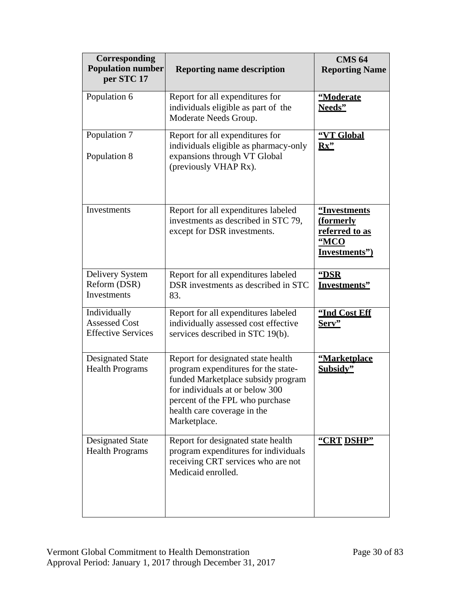| Corresponding<br><b>Population number</b><br>per STC 17           | <b>Reporting name description</b>                                                                                                                                                                                                    | <b>CMS 64</b><br><b>Reporting Name</b>                               |
|-------------------------------------------------------------------|--------------------------------------------------------------------------------------------------------------------------------------------------------------------------------------------------------------------------------------|----------------------------------------------------------------------|
| Population 6                                                      | Report for all expenditures for<br>individuals eligible as part of the<br>Moderate Needs Group.                                                                                                                                      | "Moderate<br>Needs"                                                  |
| Population 7<br>Population 8                                      | Report for all expenditures for<br>individuals eligible as pharmacy-only<br>expansions through VT Global<br>(previously VHAP Rx).                                                                                                    | "VT Global<br>Rx                                                     |
| Investments                                                       | Report for all expenditures labeled<br>investments as described in STC 79,<br>except for DSR investments.                                                                                                                            | "Investments<br>(formerly<br>referred to as<br>"MCO<br>Investments") |
| Delivery System<br>Reform (DSR)<br>Investments                    | Report for all expenditures labeled<br>DSR investments as described in STC<br>83.                                                                                                                                                    | "DSR<br><b>Investments"</b>                                          |
| Individually<br><b>Assessed Cost</b><br><b>Effective Services</b> | Report for all expenditures labeled<br>individually assessed cost effective<br>services described in STC 19(b).                                                                                                                      | "Ind Cost Eff<br>Serv"                                               |
| <b>Designated State</b><br><b>Health Programs</b>                 | Report for designated state health<br>program expenditures for the state-<br>funded Marketplace subsidy program<br>for individuals at or below 300<br>percent of the FPL who purchase<br>health care coverage in the<br>Marketplace. | <u>"Marketplace</u><br>Subsidy"                                      |
| <b>Designated State</b><br><b>Health Programs</b>                 | Report for designated state health<br>program expenditures for individuals<br>receiving CRT services who are not<br>Medicaid enrolled.                                                                                               | "CRT DSHP"                                                           |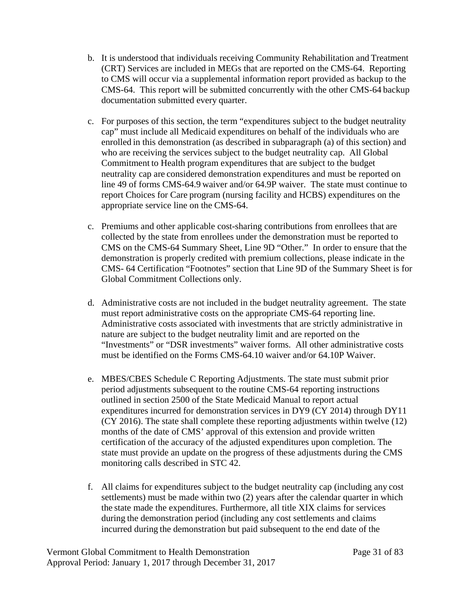- b. It is understood that individuals receiving Community Rehabilitation and Treatment (CRT) Services are included in MEGs that are reported on the CMS-64. Reporting to CMS will occur via a supplemental information report provided as backup to the CMS-64. This report will be submitted concurrently with the other CMS-64 backup documentation submitted every quarter.
- c. For purposes of this section, the term "expenditures subject to the budget neutrality cap" must include all Medicaid expenditures on behalf of the individuals who are enrolled in this demonstration (as described in subparagraph (a) of this section) and who are receiving the services subject to the budget neutrality cap. All Global Commitment to Health program expenditures that are subject to the budget neutrality cap are considered demonstration expenditures and must be reported on line 49 of forms CMS-64.9 waiver and/or 64.9P waiver. The state must continue to report Choices for Care program (nursing facility and HCBS) expenditures on the appropriate service line on the CMS-64.
- c. Premiums and other applicable cost-sharing contributions from enrollees that are collected by the state from enrollees under the demonstration must be reported to CMS on the CMS-64 Summary Sheet, Line 9D "Other." In order to ensure that the demonstration is properly credited with premium collections, please indicate in the CMS- 64 Certification "Footnotes" section that Line 9D of the Summary Sheet is for Global Commitment Collections only.
- d. Administrative costs are not included in the budget neutrality agreement. The state must report administrative costs on the appropriate CMS-64 reporting line. Administrative costs associated with investments that are strictly administrative in nature are subject to the budget neutrality limit and are reported on the "Investments" or "DSR investments" waiver forms. All other administrative costs must be identified on the Forms CMS-64.10 waiver and/or 64.10P Waiver.
- e. MBES/CBES Schedule C Reporting Adjustments. The state must submit prior period adjustments subsequent to the routine CMS-64 reporting instructions outlined in section 2500 of the State Medicaid Manual to report actual expenditures incurred for demonstration services in DY9 (CY 2014) through DY11 (CY 2016). The state shall complete these reporting adjustments within twelve (12) months of the date of CMS' approval of this extension and provide written certification of the accuracy of the adjusted expenditures upon completion. The state must provide an update on the progress of these adjustments during the CMS monitoring calls described in STC 42.
- f. All claims for expenditures subject to the budget neutrality cap (including any cost settlements) must be made within two (2) years after the calendar quarter in which the state made the expenditures. Furthermore, all title XIX claims for services during the demonstration period (including any cost settlements and claims incurred during the demonstration but paid subsequent to the end date of the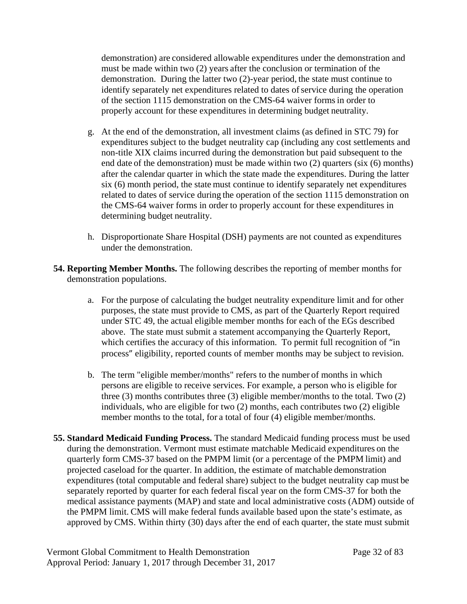demonstration) are considered allowable expenditures under the demonstration and must be made within two (2) years after the conclusion or termination of the demonstration. During the latter two (2)-year period, the state must continue to identify separately net expenditures related to dates of service during the operation of the section 1115 demonstration on the CMS-64 waiver formsin order to properly account for these expenditures in determining budget neutrality.

- g. At the end of the demonstration, all investment claims (as defined in STC 79) for expenditures subject to the budget neutrality cap (including any cost settlements and non-title XIX claims incurred during the demonstration but paid subsequent to the end date of the demonstration) must be made within two (2) quarters (six (6) months) after the calendar quarter in which the state made the expenditures. During the latter six (6) month period, the state must continue to identify separately net expenditures related to dates of service during the operation of the section 1115 demonstration on the CMS-64 waiver forms in order to properly account for these expenditures in determining budget neutrality.
- h. Disproportionate Share Hospital (DSH) payments are not counted as expenditures under the demonstration.
- **54. Reporting Member Months.** The following describes the reporting of member months for demonstration populations.
	- a. For the purpose of calculating the budget neutrality expenditure limit and for other purposes, the state must provide to CMS, as part of the Quarterly Report required under STC 49, the actual eligible member months for each of the EGs described above. The state must submit a statement accompanying the Quarterly Report, which certifies the accuracy of this information. To permit full recognition of "in process" eligibility, reported counts of member months may be subject to revision.
	- b. The term "eligible member/months" refers to the number of months in which persons are eligible to receive services. For example, a person who is eligible for three (3) months contributes three (3) eligible member/months to the total. Two (2) individuals, who are eligible for two (2) months, each contributes two (2) eligible member months to the total, for a total of four (4) eligible member/months.
- **55. Standard Medicaid Funding Process.** The standard Medicaid funding process must be used during the demonstration. Vermont must estimate matchable Medicaid expenditures on the quarterly form CMS-37 based on the PMPM limit (or a percentage of the PMPM limit) and projected caseload for the quarter. In addition, the estimate of matchable demonstration expenditures (total computable and federal share) subject to the budget neutrality cap must be separately reported by quarter for each federal fiscal year on the form CMS-37 for both the medical assistance payments (MAP) and state and local administrative costs (ADM) outside of the PMPM limit. CMS will make federal funds available based upon the state's estimate, as approved by CMS. Within thirty (30) days after the end of each quarter, the state must submit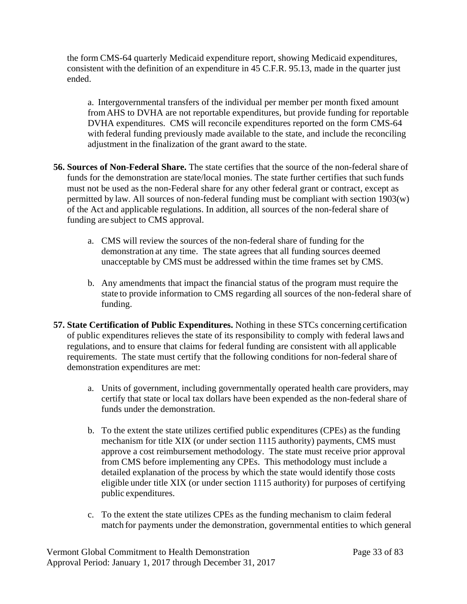the form CMS-64 quarterly Medicaid expenditure report, showing Medicaid expenditures, consistent with the definition of an expenditure in 45 C.F.R. 95.13, made in the quarter just ended.

a. Intergovernmental transfers of the individual per member per month fixed amount fromAHS to DVHA are not reportable expenditures, but provide funding for reportable DVHA expenditures. CMS will reconcile expenditures reported on the form CMS-64 with federal funding previously made available to the state, and include the reconciling adjustment in the finalization of the grant award to the state.

- **56. Sources of Non-Federal Share.** The state certifies that the source of the non-federal share of funds for the demonstration are state/local monies. The state further certifies that such funds must not be used as the non-Federal share for any other federal grant or contract, except as permitted by law. All sources of non-federal funding must be compliant with section 1903(w) of the Act and applicable regulations. In addition, all sources of the non-federal share of funding are subject to CMS approval.
	- a. CMS will review the sources of the non-federal share of funding for the demonstration at any time. The state agrees that all funding sources deemed unacceptable by CMS must be addressed within the time frames set by CMS.
	- b. Any amendments that impact the financial status of the program must require the state to provide information to CMS regarding all sources of the non-federal share of funding.
- **57. State Certification of Public Expenditures.** Nothing in these STCs concerning certification of public expenditures relieves the state of its responsibility to comply with federal laws and regulations, and to ensure that claims for federal funding are consistent with all applicable requirements. The state must certify that the following conditions for non-federal share of demonstration expenditures are met:
	- a. Units of government, including governmentally operated health care providers, may certify that state or local tax dollars have been expended as the non-federal share of funds under the demonstration.
	- b. To the extent the state utilizes certified public expenditures (CPEs) as the funding mechanism for title XIX (or under section 1115 authority) payments, CMS must approve a cost reimbursement methodology. The state must receive prior approval from CMS before implementing any CPEs. This methodology must include a detailed explanation of the process by which the state would identify those costs eligible under title XIX (or under section 1115 authority) for purposes of certifying public expenditures.
	- c. To the extent the state utilizes CPEs as the funding mechanism to claim federal match for payments under the demonstration, governmental entities to which general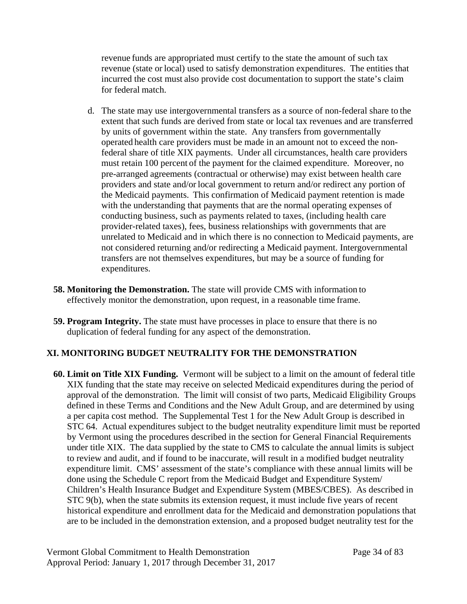revenue funds are appropriated must certify to the state the amount of such tax revenue (state or local) used to satisfy demonstration expenditures. The entities that incurred the cost must also provide cost documentation to support the state's claim for federal match.

- d. The state may use intergovernmental transfers as a source of non-federal share to the extent that such funds are derived from state or local tax revenues and are transferred by units of government within the state. Any transfers from governmentally operated health care providers must be made in an amount not to exceed the nonfederal share of title XIX payments. Under all circumstances, health care providers must retain 100 percent of the payment for the claimed expenditure. Moreover, no pre-arranged agreements (contractual or otherwise) may exist between health care providers and state and/or local government to return and/or redirect any portion of the Medicaid payments. This confirmation of Medicaid payment retention is made with the understanding that payments that are the normal operating expenses of conducting business, such as payments related to taxes, (including health care provider-related taxes), fees, business relationships with governments that are unrelated to Medicaid and in which there is no connection to Medicaid payments, are not considered returning and/or redirecting a Medicaid payment. Intergovernmental transfers are not themselves expenditures, but may be a source of funding for expenditures.
- **58. Monitoring the Demonstration.** The state will provide CMS with information to effectively monitor the demonstration, upon request, in a reasonable time frame.
- **59. Program Integrity.** The state must have processes in place to ensure that there is no duplication of federal funding for any aspect of the demonstration.

# **XI. MONITORING BUDGET NEUTRALITY FOR THE DEMONSTRATION**

**60. Limit on Title XIX Funding.** Vermont will be subject to a limit on the amount of federal title XIX funding that the state may receive on selected Medicaid expenditures during the period of approval of the demonstration. The limit will consist of two parts, Medicaid Eligibility Groups defined in these Terms and Conditions and the New Adult Group, and are determined by using a per capita cost method. The Supplemental Test 1 for the New Adult Group is described in STC 64. Actual expenditures subject to the budget neutrality expenditure limit must be reported by Vermont using the procedures described in the section for General Financial Requirements under title XIX. The data supplied by the state to CMS to calculate the annual limits is subject to review and audit, and if found to be inaccurate, will result in a modified budget neutrality expenditure limit. CMS' assessment of the state's compliance with these annual limits will be done using the Schedule C report from the Medicaid Budget and Expenditure System/ Children's Health Insurance Budget and Expenditure System (MBES/CBES). As described in STC 9(b), when the state submits its extension request, it must include five years of recent historical expenditure and enrollment data for the Medicaid and demonstration populations that are to be included in the demonstration extension, and a proposed budget neutrality test for the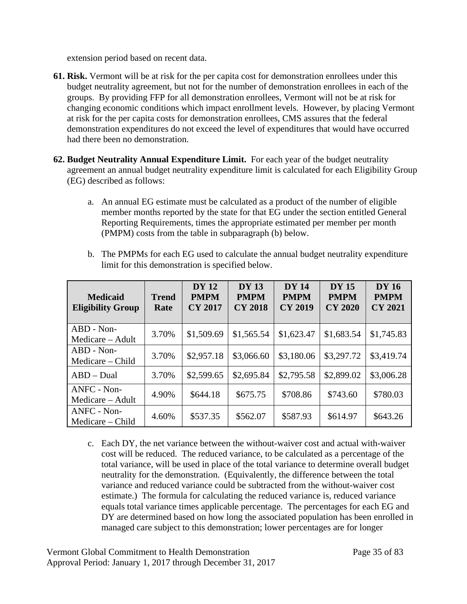extension period based on recent data.

- **61. Risk.** Vermont will be at risk for the per capita cost for demonstration enrollees under this budget neutrality agreement, but not for the number of demonstration enrollees in each of the groups. By providing FFP for all demonstration enrollees, Vermont will not be at risk for changing economic conditions which impact enrollment levels. However, by placing Vermont at risk for the per capita costs for demonstration enrollees, CMS assures that the federal demonstration expenditures do not exceed the level of expenditures that would have occurred had there been no demonstration.
- **62. Budget Neutrality Annual Expenditure Limit.** For each year of the budget neutrality agreement an annual budget neutrality expenditure limit is calculated for each Eligibility Group (EG) described as follows:
	- a. An annual EG estimate must be calculated as a product of the number of eligible member months reported by the state for that EG under the section entitled General Reporting Requirements, times the appropriate estimated per member per month (PMPM) costs from the table in subparagraph (b) below.
	- b. The PMPMs for each EG used to calculate the annual budget neutrality expenditure limit for this demonstration is specified below.

| <b>Medicaid</b><br><b>Eligibility Group</b> | <b>Trend</b><br>Rate | <b>DY</b> 12<br><b>PMPM</b><br><b>CY 2017</b> | <b>DY 13</b><br><b>PMPM</b><br><b>CY 2018</b> | <b>DY 14</b><br><b>PMPM</b><br><b>CY 2019</b> | <b>DY</b> 15<br><b>PMPM</b><br><b>CY 2020</b> | <b>DY 16</b><br><b>PMPM</b><br><b>CY 2021</b> |
|---------------------------------------------|----------------------|-----------------------------------------------|-----------------------------------------------|-----------------------------------------------|-----------------------------------------------|-----------------------------------------------|
| ABD - Non-<br>Medicare – Adult              | 3.70%                | \$1,509.69                                    | \$1,565.54                                    | \$1,623.47                                    | \$1,683.54                                    | \$1,745.83                                    |
| ABD - Non-<br>Medicare – Child              | 3.70%                | \$2,957.18                                    | \$3,066.60                                    | \$3,180.06                                    | \$3,297.72                                    | \$3,419.74                                    |
| $ABD - Dual$                                | 3.70%                | \$2,599.65                                    | \$2,695.84                                    | \$2,795.58                                    | \$2,899.02                                    | \$3,006.28                                    |
| ANFC - Non-<br>Medicare – Adult             | 4.90%                | \$644.18                                      | \$675.75                                      | \$708.86                                      | \$743.60                                      | \$780.03                                      |
| ANFC - Non-<br>Medicare – Child             | 4.60%                | \$537.35                                      | \$562.07                                      | \$587.93                                      | \$614.97                                      | \$643.26                                      |

c. Each DY, the net variance between the without-waiver cost and actual with-waiver cost will be reduced. The reduced variance, to be calculated as a percentage of the total variance, will be used in place of the total variance to determine overall budget neutrality for the demonstration. (Equivalently, the difference between the total variance and reduced variance could be subtracted from the without-waiver cost estimate.) The formula for calculating the reduced variance is, reduced variance equals total variance times applicable percentage. The percentages for each EG and DY are determined based on how long the associated population has been enrolled in managed care subject to this demonstration; lower percentages are for longer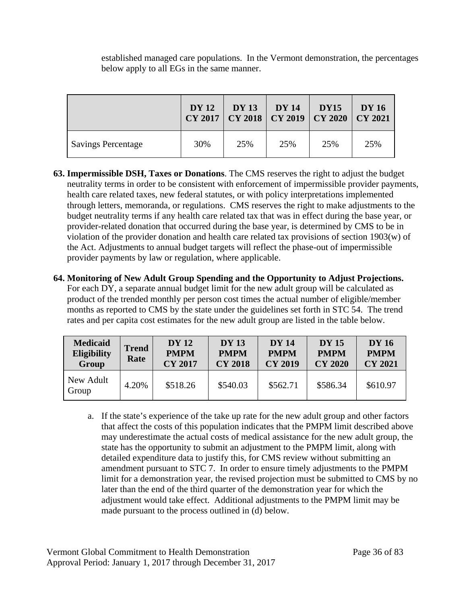established managed care populations. In the Vermont demonstration, the percentages below apply to all EGs in the same manner.

|                           | <b>DY</b> 12 | <b>DY 13</b><br>CY 2017   CY 2018   CY 2019   CY 2020 | <b>DY</b> 14 | <b>DY15</b> | <b>DY</b> 16<br>$\overline{\text{CV }2021}$ |
|---------------------------|--------------|-------------------------------------------------------|--------------|-------------|---------------------------------------------|
| <b>Savings Percentage</b> | 30%          | 25%                                                   | 25%          | 25%         | 25%                                         |

- **63. Impermissible DSH, Taxes or Donations**. The CMS reserves the right to adjust the budget neutrality terms in order to be consistent with enforcement of impermissible provider payments, health care related taxes, new federal statutes, or with policy interpretations implemented through letters, memoranda, or regulations. CMS reserves the right to make adjustments to the budget neutrality terms if any health care related tax that was in effect during the base year, or provider-related donation that occurred during the base year, is determined by CMS to be in violation of the provider donation and health care related tax provisions of section 1903(w) of the Act. Adjustments to annual budget targets will reflect the phase-out of impermissible provider payments by law or regulation, where applicable.
- **64. Monitoring of New Adult Group Spending and the Opportunity to Adjust Projections.**  For each DY, a separate annual budget limit for the new adult group will be calculated as product of the trended monthly per person cost times the actual number of eligible/member months as reported to CMS by the state under the guidelines set forth in STC 54. The trend rates and per capita cost estimates for the new adult group are listed in the table below.

| <b>Medicaid</b><br><b>Eligibility</b><br>Group | <b>Trend</b><br>Rate | <b>DY</b> 12<br><b>PMPM</b><br><b>CY 2017</b> | <b>DY 13</b><br><b>PMPM</b><br><b>CY 2018</b> | <b>DY 14</b><br><b>PMPM</b><br><b>CY 2019</b> | <b>DY</b> 15<br><b>PMPM</b><br><b>CY 2020</b> | <b>DY</b> 16<br><b>PMPM</b><br><b>CY 2021</b> |
|------------------------------------------------|----------------------|-----------------------------------------------|-----------------------------------------------|-----------------------------------------------|-----------------------------------------------|-----------------------------------------------|
| New Adult<br>Group                             | 4.20%                | \$518.26                                      | \$540.03                                      | \$562.71                                      | \$586.34                                      | \$610.97                                      |

a. If the state's experience of the take up rate for the new adult group and other factors that affect the costs of this population indicates that the PMPM limit described above may underestimate the actual costs of medical assistance for the new adult group, the state has the opportunity to submit an adjustment to the PMPM limit, along with detailed expenditure data to justify this, for CMS review without submitting an amendment pursuant to STC 7. In order to ensure timely adjustments to the PMPM limit for a demonstration year, the revised projection must be submitted to CMS by no later than the end of the third quarter of the demonstration year for which the adjustment would take effect. Additional adjustments to the PMPM limit may be made pursuant to the process outlined in (d) below.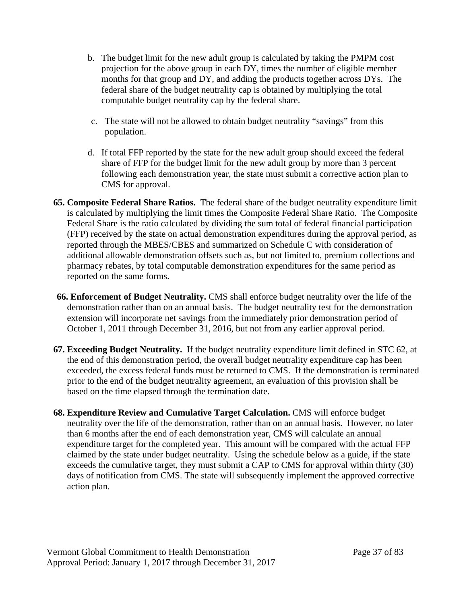- b. The budget limit for the new adult group is calculated by taking the PMPM cost projection for the above group in each DY, times the number of eligible member months for that group and DY, and adding the products together across DYs. The federal share of the budget neutrality cap is obtained by multiplying the total computable budget neutrality cap by the federal share.
- c. The state will not be allowed to obtain budget neutrality "savings" from this population.
- d. If total FFP reported by the state for the new adult group should exceed the federal share of FFP for the budget limit for the new adult group by more than 3 percent following each demonstration year, the state must submit a corrective action plan to CMS for approval.
- **65. Composite Federal Share Ratios.** The federal share of the budget neutrality expenditure limit is calculated by multiplying the limit times the Composite Federal Share Ratio. The Composite Federal Share is the ratio calculated by dividing the sum total of federal financial participation (FFP) received by the state on actual demonstration expenditures during the approval period, as reported through the MBES/CBES and summarized on Schedule C with consideration of additional allowable demonstration offsets such as, but not limited to, premium collections and pharmacy rebates, by total computable demonstration expenditures for the same period as reported on the same forms.
- **66. Enforcement of Budget Neutrality.** CMS shall enforce budget neutrality over the life of the demonstration rather than on an annual basis. The budget neutrality test for the demonstration extension will incorporate net savings from the immediately prior demonstration period of October 1, 2011 through December 31, 2016, but not from any earlier approval period.
- **67. Exceeding Budget Neutrality.** If the budget neutrality expenditure limit defined in STC 62, at the end of this demonstration period, the overall budget neutrality expenditure cap has been exceeded, the excess federal funds must be returned to CMS. If the demonstration is terminated prior to the end of the budget neutrality agreement, an evaluation of this provision shall be based on the time elapsed through the termination date.
- **68. Expenditure Review and Cumulative Target Calculation.** CMS will enforce budget neutrality over the life of the demonstration, rather than on an annual basis. However, no later than 6 months after the end of each demonstration year, CMS will calculate an annual expenditure target for the completed year. This amount will be compared with the actual FFP claimed by the state under budget neutrality. Using the schedule below as a guide, if the state exceeds the cumulative target, they must submit a CAP to CMS for approval within thirty (30) days of notification from CMS. The state will subsequently implement the approved corrective action plan.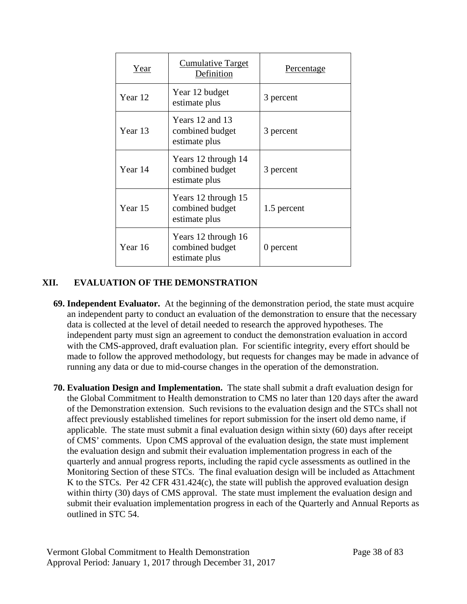| Year    | Cumulative Target<br>Definition                         | Percentage  |
|---------|---------------------------------------------------------|-------------|
| Year 12 | Year 12 budget<br>estimate plus                         | 3 percent   |
| Year 13 | Years 12 and 13<br>combined budget<br>estimate plus     | 3 percent   |
| Year 14 | Years 12 through 14<br>combined budget<br>estimate plus | 3 percent   |
| Year 15 | Years 12 through 15<br>combined budget<br>estimate plus | 1.5 percent |
| Year 16 | Years 12 through 16<br>combined budget<br>estimate plus | 0 percent   |

# **XII. EVALUATION OF THE DEMONSTRATION**

- <span id="page-46-0"></span>**69. Independent Evaluator.** At the beginning of the demonstration period, the state must acquire an independent party to conduct an evaluation of the demonstration to ensure that the necessary data is collected at the level of detail needed to research the approved hypotheses. The independent party must sign an agreement to conduct the demonstration evaluation in accord with the CMS-approved, draft evaluation plan. For scientific integrity, every effort should be made to follow the approved methodology, but requests for changes may be made in advance of running any data or due to mid-course changes in the operation of the demonstration.
- **70. Evaluation Design and Implementation.** The state shall submit a draft evaluation design for the Global Commitment to Health demonstration to CMS no later than 120 days after the award of the Demonstration extension. Such revisions to the evaluation design and the STCs shall not affect previously established timelines for report submission for the insert old demo name, if applicable. The state must submit a final evaluation design within sixty (60) days after receipt of CMS' comments. Upon CMS approval of the evaluation design, the state must implement the evaluation design and submit their evaluation implementation progress in each of the quarterly and annual progress reports, including the rapid cycle assessments as outlined in the Monitoring Section of these STCs. The final evaluation design will be included as Attachment K to the STCs. Per 42 CFR 431.424(c), the state will publish the approved evaluation design within thirty (30) days of CMS approval. The state must implement the evaluation design and submit their evaluation implementation progress in each of the Quarterly and Annual Reports as outlined in STC 54.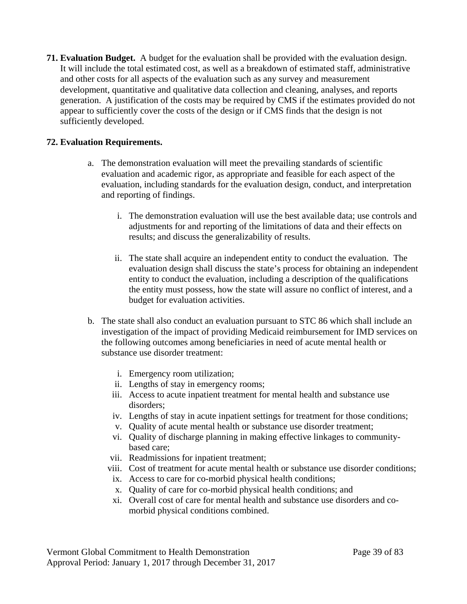**71. Evaluation Budget.** A budget for the evaluation shall be provided with the evaluation design. It will include the total estimated cost, as well as a breakdown of estimated staff, administrative and other costs for all aspects of the evaluation such as any survey and measurement development, quantitative and qualitative data collection and cleaning, analyses, and reports generation. A justification of the costs may be required by CMS if the estimates provided do not appear to sufficiently cover the costs of the design or if CMS finds that the design is not sufficiently developed.

# **72. Evaluation Requirements.**

- a. The demonstration evaluation will meet the prevailing standards of scientific evaluation and academic rigor, as appropriate and feasible for each aspect of the evaluation, including standards for the evaluation design, conduct, and interpretation and reporting of findings.
	- i. The demonstration evaluation will use the best available data; use controls and adjustments for and reporting of the limitations of data and their effects on results; and discuss the generalizability of results.
	- ii. The state shall acquire an independent entity to conduct the evaluation. The evaluation design shall discuss the state's process for obtaining an independent entity to conduct the evaluation, including a description of the qualifications the entity must possess, how the state will assure no conflict of interest, and a budget for evaluation activities.
- b. The state shall also conduct an evaluation pursuant to STC 86 which shall include an investigation of the impact of providing Medicaid reimbursement for IMD services on the following outcomes among beneficiaries in need of acute mental health or substance use disorder treatment:
	- i. Emergency room utilization;
	- ii. Lengths of stay in emergency rooms;
	- iii. Access to acute inpatient treatment for mental health and substance use disorders;
	- iv. Lengths of stay in acute inpatient settings for treatment for those conditions;
	- v. Quality of acute mental health or substance use disorder treatment;
	- vi. Quality of discharge planning in making effective linkages to communitybased care;
	- vii. Readmissions for inpatient treatment;
	- viii. Cost of treatment for acute mental health or substance use disorder conditions;
	- ix. Access to care for co-morbid physical health conditions;
	- x. Quality of care for co-morbid physical health conditions; and
	- xi. Overall cost of care for mental health and substance use disorders and comorbid physical conditions combined.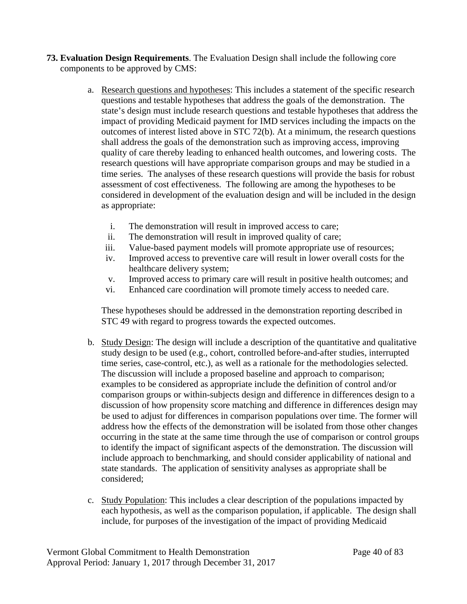- **73. Evaluation Design Requirements**. The Evaluation Design shall include the following core components to be approved by CMS:
	- a. Research questions and hypotheses: This includes a statement of the specific research questions and testable hypotheses that address the goals of the demonstration. The state's design must include research questions and testable hypotheses that address the impact of providing Medicaid payment for IMD services including the impacts on the outcomes of interest listed above in STC 72(b). At a minimum, the research questions shall address the goals of the demonstration such as improving access, improving quality of care thereby leading to enhanced health outcomes, and lowering costs. The research questions will have appropriate comparison groups and may be studied in a time series. The analyses of these research questions will provide the basis for robust assessment of cost effectiveness. The following are among the hypotheses to be considered in development of the evaluation design and will be included in the design as appropriate:
		- i. The demonstration will result in improved access to care;
		- ii. The demonstration will result in improved quality of care;
		- iii. Value-based payment models will promote appropriate use of resources;
		- iv. Improved access to preventive care will result in lower overall costs for the healthcare delivery system;
		- v. Improved access to primary care will result in positive health outcomes; and
		- vi. Enhanced care coordination will promote timely access to needed care.

These hypotheses should be addressed in the demonstration reporting described in STC 49 with regard to progress towards the expected outcomes.

- b. Study Design: The design will include a description of the quantitative and qualitative study design to be used (e.g., cohort, controlled before-and-after studies, interrupted time series, case-control, etc.), as well as a rationale for the methodologies selected. The discussion will include a proposed baseline and approach to comparison; examples to be considered as appropriate include the definition of control and/or comparison groups or within-subjects design and difference in differences design to a discussion of how propensity score matching and difference in differences design may be used to adjust for differences in comparison populations over time. The former will address how the effects of the demonstration will be isolated from those other changes occurring in the state at the same time through the use of comparison or control groups to identify the impact of significant aspects of the demonstration. The discussion will include approach to benchmarking, and should consider applicability of national and state standards. The application of sensitivity analyses as appropriate shall be considered;
- c. Study Population: This includes a clear description of the populations impacted by each hypothesis, as well as the comparison population, if applicable. The design shall include, for purposes of the investigation of the impact of providing Medicaid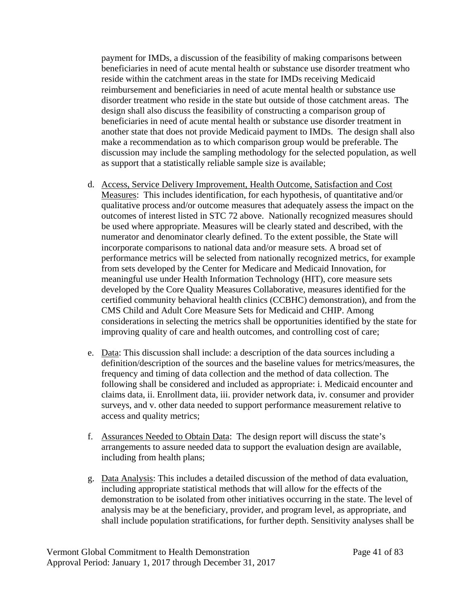payment for IMDs, a discussion of the feasibility of making comparisons between beneficiaries in need of acute mental health or substance use disorder treatment who reside within the catchment areas in the state for IMDs receiving Medicaid reimbursement and beneficiaries in need of acute mental health or substance use disorder treatment who reside in the state but outside of those catchment areas. The design shall also discuss the feasibility of constructing a comparison group of beneficiaries in need of acute mental health or substance use disorder treatment in another state that does not provide Medicaid payment to IMDs. The design shall also make a recommendation as to which comparison group would be preferable. The discussion may include the sampling methodology for the selected population, as well as support that a statistically reliable sample size is available;

- d. Access, Service Delivery Improvement, Health Outcome, Satisfaction and Cost Measures: This includes identification, for each hypothesis, of quantitative and/or qualitative process and/or outcome measures that adequately assess the impact on the outcomes of interest listed in STC 72 above. Nationally recognized measures should be used where appropriate. Measures will be clearly stated and described, with the numerator and denominator clearly defined. To the extent possible, the State will incorporate comparisons to national data and/or measure sets. A broad set of performance metrics will be selected from nationally recognized metrics, for example from sets developed by the Center for Medicare and Medicaid Innovation, for meaningful use under Health Information Technology (HIT), core measure sets developed by the Core Quality Measures Collaborative, measures identified for the [certified community behavioral health clinics \(CCBHC\) demonstration\)](http://www.samhsa.gov/section-223/quality-measures), and from the CMS Child and Adult Core Measure Sets for Medicaid and CHIP. Among considerations in selecting the metrics shall be opportunities identified by the state for improving quality of care and health outcomes, and controlling cost of care;
- e. Data: This discussion shall include: a description of the data sources including a definition/description of the sources and the baseline values for metrics/measures, the frequency and timing of data collection and the method of data collection. The following shall be considered and included as appropriate: i. Medicaid encounter and claims data, ii. Enrollment data, iii. provider network data, iv. consumer and provider surveys, and v. other data needed to support performance measurement relative to access and quality metrics;
- f. Assurances Needed to Obtain Data: The design report will discuss the state's arrangements to assure needed data to support the evaluation design are available, including from health plans;
- g. Data Analysis: This includes a detailed discussion of the method of data evaluation, including appropriate statistical methods that will allow for the effects of the demonstration to be isolated from other initiatives occurring in the state. The level of analysis may be at the beneficiary, provider, and program level, as appropriate, and shall include population stratifications, for further depth. Sensitivity analyses shall be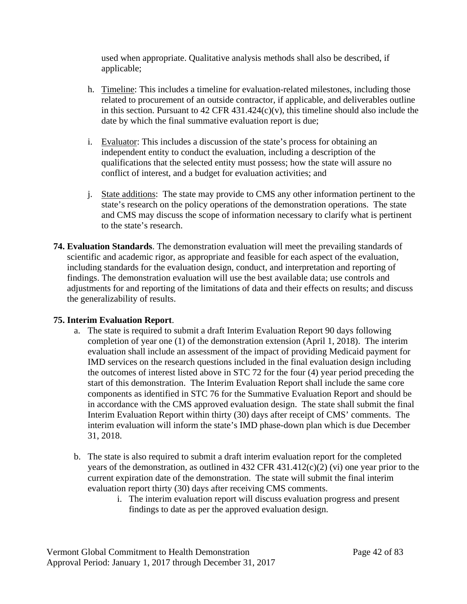used when appropriate. Qualitative analysis methods shall also be described, if applicable;

- h. Timeline: This includes a timeline for evaluation-related milestones, including those related to procurement of an outside contractor, if applicable, and deliverables outline in this section. Pursuant to  $42$  CFR  $431.424(c)(v)$ , this timeline should also include the date by which the final summative evaluation report is due;
- i. Evaluator: This includes a discussion of the state's process for obtaining an independent entity to conduct the evaluation, including a description of the qualifications that the selected entity must possess; how the state will assure no conflict of interest, and a budget for evaluation activities; and
- j. State additions: The state may provide to CMS any other information pertinent to the state's research on the policy operations of the demonstration operations. The state and CMS may discuss the scope of information necessary to clarify what is pertinent to the state's research.
- **74. Evaluation Standards**. The demonstration evaluation will meet the prevailing standards of scientific and academic rigor, as appropriate and feasible for each aspect of the evaluation, including standards for the evaluation design, conduct, and interpretation and reporting of findings. The demonstration evaluation will use the best available data; use controls and adjustments for and reporting of the limitations of data and their effects on results; and discuss the generalizability of results.

# **75. Interim Evaluation Report**.

- a. The state is required to submit a draft Interim Evaluation Report 90 days following completion of year one (1) of the demonstration extension (April 1, 2018). The interim evaluation shall include an assessment of the impact of providing Medicaid payment for IMD services on the research questions included in the final evaluation design including the outcomes of interest listed above in STC 72 for the four (4) year period preceding the start of this demonstration. The Interim Evaluation Report shall include the same core components as identified in STC 76 for the Summative Evaluation Report and should be in accordance with the CMS approved evaluation design. The state shall submit the final Interim Evaluation Report within thirty (30) days after receipt of CMS' comments. The interim evaluation will inform the state's IMD phase-down plan which is due December 31, 2018.
- b. The state is also required to submit a draft interim evaluation report for the completed years of the demonstration, as outlined in 432 CFR 431.412(c)(2) (vi) one year prior to the current expiration date of the demonstration. The state will submit the final interim evaluation report thirty (30) days after receiving CMS comments.
	- i. The interim evaluation report will discuss evaluation progress and present findings to date as per the approved evaluation design.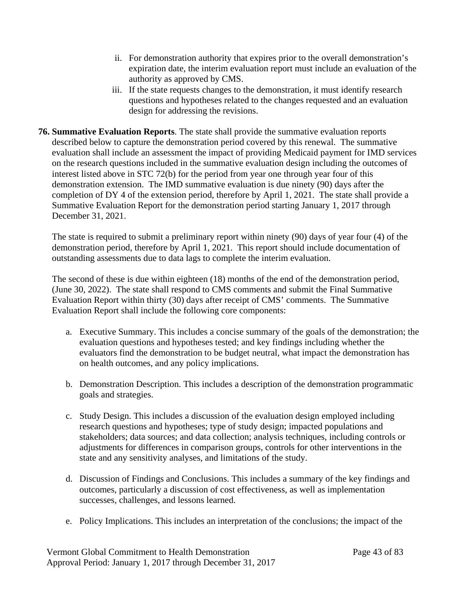- ii. For demonstration authority that expires prior to the overall demonstration's expiration date, the interim evaluation report must include an evaluation of the authority as approved by CMS.
- iii. If the state requests changes to the demonstration, it must identify research questions and hypotheses related to the changes requested and an evaluation design for addressing the revisions.
- **76. Summative Evaluation Reports**. The state shall provide the summative evaluation reports described below to capture the demonstration period covered by this renewal. The summative evaluation shall include an assessment the impact of providing Medicaid payment for IMD services on the research questions included in the summative evaluation design including the outcomes of interest listed above in STC 72(b) for the period from year one through year four of this demonstration extension. The IMD summative evaluation is due ninety (90) days after the completion of DY 4 of the extension period, therefore by April 1, 2021. The state shall provide a Summative Evaluation Report for the demonstration period starting January 1, 2017 through December 31, 2021.

The state is required to submit a preliminary report within ninety (90) days of year four (4) of the demonstration period, therefore by April 1, 2021. This report should include documentation of outstanding assessments due to data lags to complete the interim evaluation.

The second of these is due within eighteen (18) months of the end of the demonstration period, (June 30, 2022). The state shall respond to CMS comments and submit the Final Summative Evaluation Report within thirty (30) days after receipt of CMS' comments. The Summative Evaluation Report shall include the following core components:

- a. Executive Summary. This includes a concise summary of the goals of the demonstration; the evaluation questions and hypotheses tested; and key findings including whether the evaluators find the demonstration to be budget neutral, what impact the demonstration has on health outcomes, and any policy implications.
- b. Demonstration Description. This includes a description of the demonstration programmatic goals and strategies.
- c. Study Design. This includes a discussion of the evaluation design employed including research questions and hypotheses; type of study design; impacted populations and stakeholders; data sources; and data collection; analysis techniques, including controls or adjustments for differences in comparison groups, controls for other interventions in the state and any sensitivity analyses, and limitations of the study.
- d. Discussion of Findings and Conclusions. This includes a summary of the key findings and outcomes, particularly a discussion of cost effectiveness, as well as implementation successes, challenges, and lessons learned.
- e. Policy Implications. This includes an interpretation of the conclusions; the impact of the

Vermont Global Commitment to Health Demonstration Page 43 of 83 Approval Period: January 1, 2017 through December 31, 2017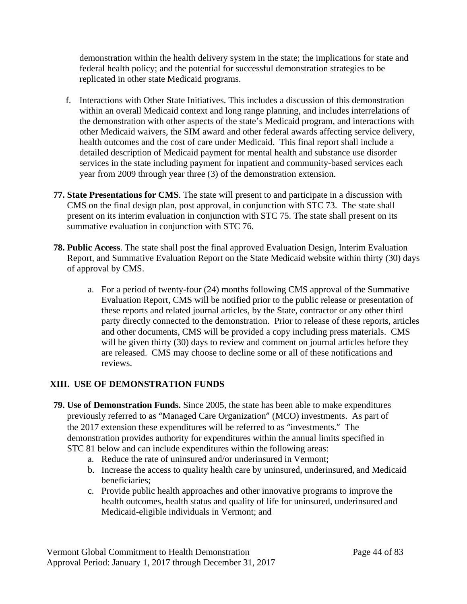demonstration within the health delivery system in the state; the implications for state and federal health policy; and the potential for successful demonstration strategies to be replicated in other state Medicaid programs.

- f. Interactions with Other State Initiatives. This includes a discussion of this demonstration within an overall Medicaid context and long range planning, and includes interrelations of the demonstration with other aspects of the state's Medicaid program, and interactions with other Medicaid waivers, the SIM award and other federal awards affecting service delivery, health outcomes and the cost of care under Medicaid. This final report shall include a detailed description of Medicaid payment for mental health and substance use disorder services in the state including payment for inpatient and community-based services each year from 2009 through year three (3) of the demonstration extension.
- **77. State Presentations for CMS**. The state will present to and participate in a discussion with CMS on the final design plan, post approval, in conjunction with STC 73. The state shall present on its interim evaluation in conjunction with STC 75. The state shall present on its summative evaluation in conjunction with STC 76.
- **78. Public Access**. The state shall post the final approved Evaluation Design, Interim Evaluation Report, and Summative Evaluation Report on the State Medicaid website within thirty (30) days of approval by CMS.
	- a. For a period of twenty-four (24) months following CMS approval of the Summative Evaluation Report, CMS will be notified prior to the public release or presentation of these reports and related journal articles, by the State, contractor or any other third party directly connected to the demonstration. Prior to release of these reports, articles and other documents, CMS will be provided a copy including press materials. CMS will be given thirty (30) days to review and comment on journal articles before they are released. CMS may choose to decline some or all of these notifications and reviews.

# <span id="page-52-0"></span>**XIII. USE OF DEMONSTRATION FUNDS**

- **79. Use of Demonstration Funds.** Since 2005, the state has been able to make expenditures previously referred to as "Managed Care Organization" (MCO) investments. As part of the 2017 extension these expenditures will be referred to as "investments." The demonstration provides authority for expenditures within the annual limits specified in STC 81 below and can include expenditures within the following areas:
	- a. Reduce the rate of uninsured and/or underinsured in Vermont;
	- b. Increase the access to quality health care by uninsured, underinsured, and Medicaid beneficiaries;
	- c. Provide public health approaches and other innovative programs to improve the health outcomes, health status and quality of life for uninsured, underinsured and Medicaid-eligible individuals in Vermont; and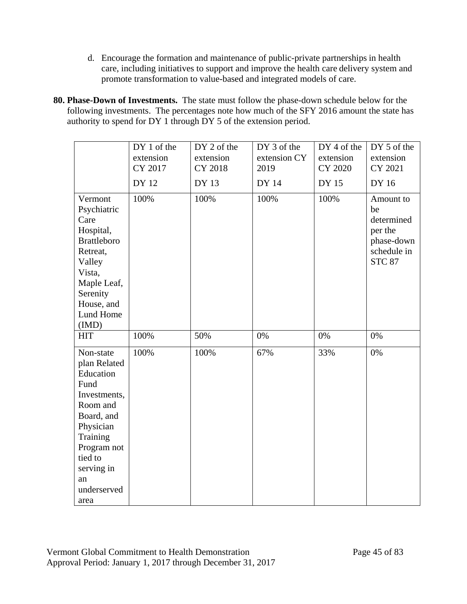- d. Encourage the formation and maintenance of public-private partnerships in health care, including initiatives to support and improve the health care delivery system and promote transformation to value-based and integrated models of care.
- **80. Phase-Down of Investments.** The state must follow the phase-down schedule below for the following investments. The percentages note how much of the SFY 2016 amount the state has authority to spend for DY 1 through DY 5 of the extension period.

|                                                                                                                                                                                        | DY 1 of the<br>extension<br>CY 2017<br><b>DY 12</b> | DY 2 of the<br>extension<br>CY 2018<br>DY 13 | DY 3 of the<br>extension CY<br>2019<br><b>DY 14</b> | DY 4 of the<br>extension<br><b>CY 2020</b><br><b>DY 15</b> | DY 5 of the<br>extension<br>CY 2021<br>DY 16                                           |
|----------------------------------------------------------------------------------------------------------------------------------------------------------------------------------------|-----------------------------------------------------|----------------------------------------------|-----------------------------------------------------|------------------------------------------------------------|----------------------------------------------------------------------------------------|
| Vermont<br>Psychiatric<br>Care<br>Hospital,<br><b>Brattleboro</b><br>Retreat,<br>Valley<br>Vista,<br>Maple Leaf,<br>Serenity<br>House, and<br>Lund Home                                | 100%                                                | 100%                                         | 100%                                                | 100%                                                       | Amount to<br>be<br>determined<br>per the<br>phase-down<br>schedule in<br><b>STC 87</b> |
| (IMD)<br><b>HIT</b>                                                                                                                                                                    | 100%                                                | 50%                                          | 0%                                                  | 0%                                                         | 0%                                                                                     |
| Non-state<br>plan Related<br>Education<br>Fund<br>Investments,<br>Room and<br>Board, and<br>Physician<br>Training<br>Program not<br>tied to<br>serving in<br>an<br>underserved<br>area | 100%                                                | 100%                                         | 67%                                                 | 33%                                                        | 0%                                                                                     |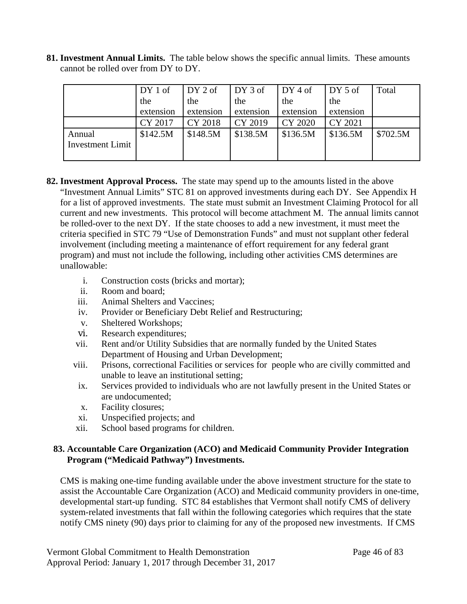**81. Investment Annual Limits.** The table below shows the specific annual limits. These amounts cannot be rolled over from DY to DY.

|                         | DY 1 of   | DY 2 of   | DY 3 of   | $DY4$ of  | DY 5 of   | Total    |
|-------------------------|-----------|-----------|-----------|-----------|-----------|----------|
|                         | the       | the       | the       | the       | the       |          |
|                         | extension | extension | extension | extension | extension |          |
|                         | CY 2017   | CY 2018   | CY 2019   | CY 2020   | CY 2021   |          |
| Annual                  | \$142.5M  | \$148.5M  | \$138.5M  | \$136.5M  | \$136.5M  | \$702.5M |
| <b>Investment Limit</b> |           |           |           |           |           |          |
|                         |           |           |           |           |           |          |

- **82. Investment Approval Process.** The state may spend up to the amounts listed in the above "Investment Annual Limits" STC 81 on approved investments during each DY. See Appendix H for a list of approved investments. The state must submit an Investment Claiming Protocol for all current and new investments. This protocol will become attachment M. The annual limits cannot be rolled-over to the next DY. If the state chooses to add a new investment, it must meet the criteria specified in STC 79 "Use of Demonstration Funds" and must not supplant other federal involvement (including meeting a maintenance of effort requirement for any federal grant program) and must not include the following, including other activities CMS determines are unallowable:
	- i. Construction costs (bricks and mortar);
	- ii. Room and board;
	- iii. Animal Shelters and Vaccines;
	- iv. Provider or Beneficiary Debt Relief and Restructuring;
	- v. Sheltered Workshops;
	- vi. Research expenditures;
	- vii. Rent and/or Utility Subsidies that are normally funded by the United States Department of Housing and Urban Development;
	- viii. Prisons, correctional Facilities or services for people who are civilly committed and unable to leave an institutional setting;
	- ix. Services provided to individuals who are not lawfully present in the United States or are undocumented;
	- x. Facility closures;
	- xi. Unspecified projects; and
	- xii. School based programs for children.

## **83. Accountable Care Organization (ACO) and Medicaid Community Provider Integration Program ("Medicaid Pathway") Investments.**

CMS is making one-time funding available under the above investment structure for the state to assist the Accountable Care Organization (ACO) and Medicaid community providers in one-time, developmental start-up funding. STC 84 establishes that Vermont shall notify CMS of delivery system-related investments that fall within the following categories which requires that the state notify CMS ninety (90) days prior to claiming for any of the proposed new investments. If CMS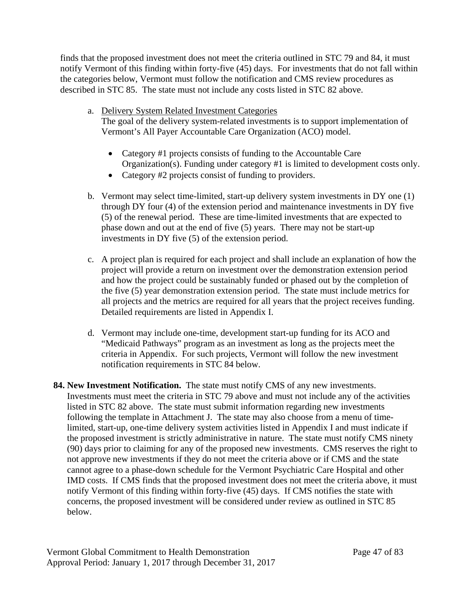finds that the proposed investment does not meet the criteria outlined in STC 79 and 84, it must notify Vermont of this finding within forty-five (45) days. For investments that do not fall within the categories below, Vermont must follow the notification and CMS review procedures as described in STC 85. The state must not include any costs listed in STC 82 above.

- a. Delivery System Related Investment Categories The goal of the delivery system-related investments is to support implementation of Vermont's All Payer Accountable Care Organization (ACO) model.
	- Category #1 projects consists of funding to the Accountable Care Organization(s). Funding under category #1 is limited to development costs only.
	- Category #2 projects consist of funding to providers.
- b. Vermont may select time-limited, start-up delivery system investments in DY one (1) through DY four (4) of the extension period and maintenance investments in DY five (5) of the renewal period. These are time-limited investments that are expected to phase down and out at the end of five (5) years. There may not be start-up investments in DY five (5) of the extension period.
- c. A project plan is required for each project and shall include an explanation of how the project will provide a return on investment over the demonstration extension period and how the project could be sustainably funded or phased out by the completion of the five (5) year demonstration extension period. The state must include metrics for all projects and the metrics are required for all years that the project receives funding. Detailed requirements are listed in Appendix I.
- d. Vermont may include one-time, development start-up funding for its ACO and "Medicaid Pathways" program as an investment as long as the projects meet the criteria in Appendix. For such projects, Vermont will follow the new investment notification requirements in STC 84 below.
- **84. New Investment Notification.** The state must notify CMS of any new investments. Investments must meet the criteria in STC 79 above and must not include any of the activities listed in STC 82 above. The state must submit information regarding new investments following the template in Attachment J. The state may also choose from a menu of timelimited, start-up, one-time delivery system activities listed in Appendix I and must indicate if the proposed investment is strictly administrative in nature. The state must notify CMS ninety (90) days prior to claiming for any of the proposed new investments. CMS reserves the right to not approve new investments if they do not meet the criteria above or if CMS and the state cannot agree to a phase-down schedule for the Vermont Psychiatric Care Hospital and other IMD costs. If CMS finds that the proposed investment does not meet the criteria above, it must notify Vermont of this finding within forty-five (45) days. If CMS notifies the state with concerns, the proposed investment will be considered under review as outlined in STC 85 below.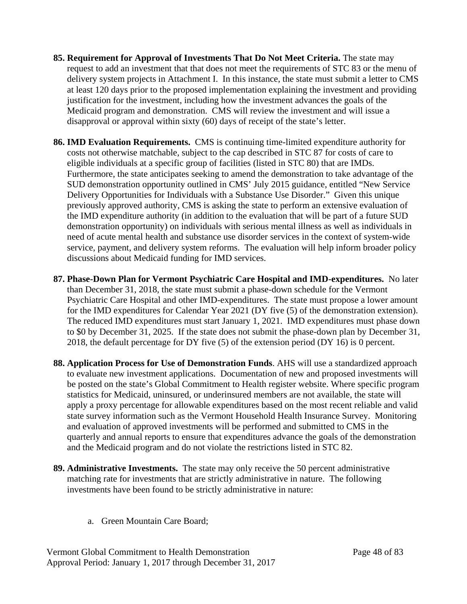- **85. Requirement for Approval of Investments That Do Not Meet Criteria.** The state may request to add an investment that that does not meet the requirements of STC 83 or the menu of delivery system projects in Attachment I. In this instance, the state must submit a letter to CMS at least 120 days prior to the proposed implementation explaining the investment and providing justification for the investment, including how the investment advances the goals of the Medicaid program and demonstration. CMS will review the investment and will issue a disapproval or approval within sixty (60) days of receipt of the state's letter.
- **86. IMD Evaluation Requirements.** CMS is continuing time-limited expenditure authority for costs not otherwise matchable, subject to the cap described in STC 87 for costs of care to eligible individuals at a specific group of facilities (listed in STC 80) that are IMDs. Furthermore, the state anticipates seeking to amend the demonstration to take advantage of the SUD demonstration opportunity outlined in CMS' July 2015 guidance, entitled "New Service Delivery Opportunities for Individuals with a Substance Use Disorder." Given this unique previously approved authority, CMS is asking the state to perform an extensive evaluation of the IMD expenditure authority (in addition to the evaluation that will be part of a future SUD demonstration opportunity) on individuals with serious mental illness as well as individuals in need of acute mental health and substance use disorder services in the context of system-wide service, payment, and delivery system reforms. The evaluation will help inform broader policy discussions about Medicaid funding for IMD services.
- **87. Phase-Down Plan for Vermont Psychiatric Care Hospital and IMD-expenditures.** No later than December 31, 2018, the state must submit a phase-down schedule for the Vermont Psychiatric Care Hospital and other IMD-expenditures. The state must propose a lower amount for the IMD expenditures for Calendar Year 2021 (DY five (5) of the demonstration extension). The reduced IMD expenditures must start January 1, 2021. IMD expenditures must phase down to \$0 by December 31, 2025. If the state does not submit the phase-down plan by December 31, 2018, the default percentage for DY five (5) of the extension period (DY 16) is 0 percent.
- **88. Application Process for Use of Demonstration Funds**. AHS will use a standardized approach to evaluate new investment applications. Documentation of new and proposed investments will be posted on the state's Global Commitment to Health register website. Where specific program statistics for Medicaid, uninsured, or underinsured members are not available, the state will apply a proxy percentage for allowable expenditures based on the most recent reliable and valid state survey information such as the Vermont Household Health Insurance Survey. Monitoring and evaluation of approved investments will be performed and submitted to CMS in the quarterly and annual reports to ensure that expenditures advance the goals of the demonstration and the Medicaid program and do not violate the restrictions listed in STC 82.
- **89. Administrative Investments.** The state may only receive the 50 percent administrative matching rate for investments that are strictly administrative in nature. The following investments have been found to be strictly administrative in nature:
	- a. Green Mountain Care Board;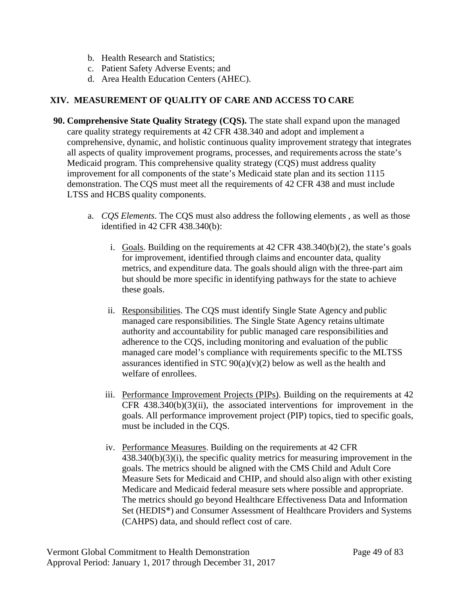- b. Health Research and Statistics;
- c. Patient Safety Adverse Events; and
- d. Area Health Education Centers (AHEC).

# **XIV. MEASUREMENT OF QUALITY OF CARE AND ACCESS TO CARE**

- **90. Comprehensive State Quality Strategy (CQS).** The state shall expand upon the managed care quality strategy requirements at 42 CFR 438.340 and adopt and implement a comprehensive, dynamic, and holistic continuous quality improvement strategy that integrates all aspects of quality improvement programs, processes, and requirements across the state's Medicaid program. This comprehensive quality strategy (CQS) must address quality improvement for all components of the state's Medicaid state plan and its section 1115 demonstration. The CQS must meet all the requirements of 42 CFR 438 and must include LTSS and HCBS quality components.
	- a. *CQS Elements*. The CQS must also address the following elements , as well as those identified in 42 CFR 438.340(b):
		- i. Goals. Building on the requirements at 42 CFR 438.340(b)(2), the state's goals for improvement, identified through claims and encounter data, quality metrics, and expenditure data. The goals should align with the three-part aim but should be more specific in identifying pathways for the state to achieve these goals.
		- ii. Responsibilities. The CQS must identify Single State Agency and public managed care responsibilities. The Single State Agency retains ultimate authority and accountability for public managed care responsibilities and adherence to the CQS, including monitoring and evaluation of the public managed care model's compliance with requirements specific to the MLTSS assurances identified in STC  $90(a)(v)(2)$  below as well as the health and welfare of enrollees.
		- iii. Performance Improvement Projects (PIPs). Building on the requirements at 42 CFR  $438.340(b)(3)(ii)$ , the associated interventions for improvement in the goals. All performance improvement project (PIP) topics, tied to specific goals, must be included in the CQS.
		- iv. Performance Measures. Building on the requirements at 42 CFR 438.340(b)(3)(i), the specific quality metrics for measuring improvement in the goals. The metrics should be aligned with the CMS Child and Adult Core Measure Sets for Medicaid and CHIP, and should also align with other existing Medicare and Medicaid federal measure sets where possible and appropriate. The metrics should go beyond Healthcare Effectiveness Data and Information Set (HEDIS®) and Consumer Assessment of Healthcare Providers and Systems (CAHPS) data, and should reflect cost of care.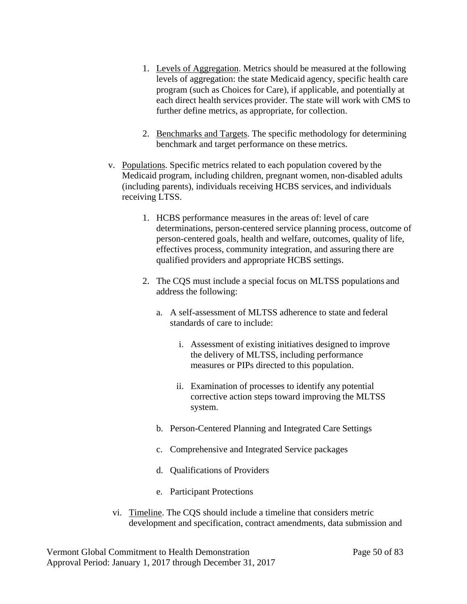- 1. Levels of Aggregation. Metrics should be measured at the following levels of aggregation: the state Medicaid agency, specific health care program (such as Choices for Care), if applicable, and potentially at each direct health services provider. The state will work with CMS to further define metrics, as appropriate, for collection.
- 2. Benchmarks and Targets. The specific methodology for determining benchmark and target performance on these metrics.
- v. Populations. Specific metrics related to each population covered by the Medicaid program, including children, pregnant women, non-disabled adults (including parents), individuals receiving HCBS services, and individuals receiving LTSS.
	- 1. HCBS performance measures in the areas of: level of care determinations, person-centered service planning process, outcome of person-centered goals, health and welfare, outcomes, quality of life, effectives process, community integration, and assuring there are qualified providers and appropriate HCBS settings.
	- 2. The CQS must include a special focus on MLTSS populations and address the following:
		- a. A self-assessment of MLTSS adherence to state and federal standards of care to include:
			- i. Assessment of existing initiatives designed to improve the delivery of MLTSS, including performance measures or PIPs directed to this population.
			- ii. Examination of processes to identify any potential corrective action steps toward improving the MLTSS system.
		- b. Person-Centered Planning and Integrated Care Settings
		- c. Comprehensive and Integrated Service packages
		- d. Qualifications of Providers
		- e. Participant Protections
- vi. Timeline. The CQS should include a timeline that considers metric development and specification, contract amendments, data submission and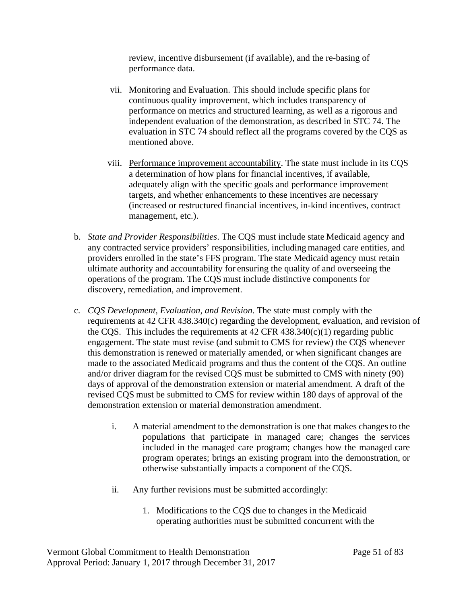review, incentive disbursement (if available), and the re-basing of performance data.

- vii. Monitoring and Evaluation. This should include specific plans for continuous quality improvement, which includes transparency of performance on metrics and structured learning, as well as a rigorous and independent evaluation of the demonstration, as described in STC 74. The evaluation in STC 74 should reflect all the programs covered by the CQS as mentioned above.
- viii. Performance improvement accountability. The state must include in its CQS a determination of how plans for financial incentives, if available, adequately align with the specific goals and performance improvement targets, and whether enhancements to these incentives are necessary (increased or restructured financial incentives, in-kind incentives, contract management, etc.).
- b. *State and Provider Responsibilities*. The CQS must include state Medicaid agency and any contracted service providers' responsibilities, including managed care entities, and providers enrolled in the state's FFS program. The state Medicaid agency must retain ultimate authority and accountability for ensuring the quality of and overseeing the operations of the program. The CQS must include distinctive components for discovery, remediation, and improvement.
- c. *CQS Development, Evaluation, and Revision*. The state must comply with the requirements at 42 CFR 438.340(c) regarding the development, evaluation, and revision of the CQS. This includes the requirements at  $42$  CFR  $438.340(c)(1)$  regarding public engagement. The state must revise (and submit to CMS for review) the CQS whenever this demonstration is renewed or materially amended, or when significant changes are made to the associated Medicaid programs and thus the content of the CQS. An outline and/or driver diagram for the revised CQS must be submitted to CMS with ninety (90) days of approval of the demonstration extension or material amendment. A draft of the revised CQS must be submitted to CMS for review within 180 days of approval of the demonstration extension or material demonstration amendment.
	- i. A material amendment to the demonstration is one that makes changes to the populations that participate in managed care; changes the services included in the managed care program; changes how the managed care program operates; brings an existing program into the demonstration, or otherwise substantially impacts a component of the CQS.
	- ii. Any further revisions must be submitted accordingly:
		- 1. Modifications to the CQS due to changes in the Medicaid operating authorities must be submitted concurrent with the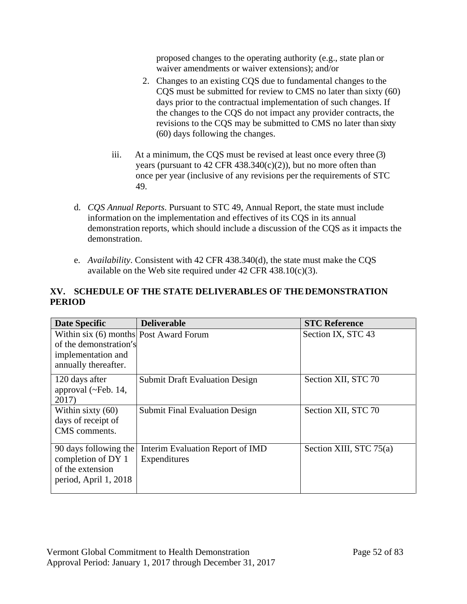proposed changes to the operating authority (e.g., state plan or waiver amendments or waiver extensions); and/or

- 2. Changes to an existing CQS due to fundamental changes to the CQS must be submitted for review to CMS no later than sixty (60) days prior to the contractual implementation of such changes. If the changes to the CQS do not impact any provider contracts, the revisions to the CQS may be submitted to CMS no later than sixty (60) days following the changes.
- iii. At a minimum, the CQS must be revised at least once every three (3) years (pursuant to  $42$  CFR  $438.340(c)(2)$ ), but no more often than once per year (inclusive of any revisions per the requirements of STC 49.
- d. *CQS Annual Reports*. Pursuant to STC 49, Annual Report, the state must include information on the implementation and effectives of its CQS in its annual demonstration reports, which should include a discussion of the CQS as it impacts the demonstration.
- e. *Availability*. Consistent with 42 CFR 438.340(d), the state must make the CQS available on the Web site required under  $42 \text{ CFR } 438.10(c)(3)$ .

# **XV. SCHEDULE OF THE STATE DELIVERABLES OF THEDEMONSTRATION PERIOD**

| <b>Date Specific</b>                                                                                           | <b>Deliverable</b>                               | <b>STC Reference</b>    |
|----------------------------------------------------------------------------------------------------------------|--------------------------------------------------|-------------------------|
| Within six (6) months Post Award Forum<br>of the demonstration's<br>implementation and<br>annually thereafter. |                                                  | Section IX, STC 43      |
| 120 days after<br>approval $(\sim$ Feb. 14,<br>2017)                                                           | <b>Submit Draft Evaluation Design</b>            | Section XII, STC 70     |
| Within sixty $(60)$<br>days of receipt of<br>CMS comments.                                                     | <b>Submit Final Evaluation Design</b>            | Section XII, STC 70     |
| 90 days following the<br>completion of DY 1<br>of the extension<br>period, April 1, 2018                       | Interim Evaluation Report of IMD<br>Expenditures | Section XIII, STC 75(a) |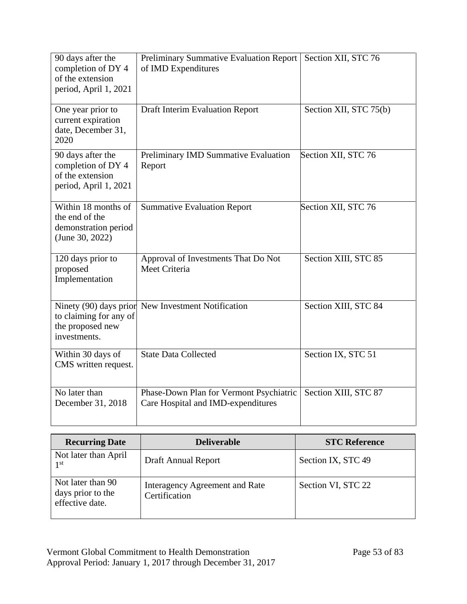| 90 days after the<br>completion of DY 4<br>of the extension<br>period, April 1, 2021 | Preliminary Summative Evaluation Report<br>of IMD Expenditures                | Section XII, STC 76    |
|--------------------------------------------------------------------------------------|-------------------------------------------------------------------------------|------------------------|
| One year prior to<br>current expiration<br>date, December 31,<br>2020                | <b>Draft Interim Evaluation Report</b>                                        | Section XII, STC 75(b) |
| 90 days after the<br>completion of DY 4<br>of the extension<br>period, April 1, 2021 | Preliminary IMD Summative Evaluation<br>Report                                | Section XII, STC 76    |
| Within 18 months of<br>the end of the<br>demonstration period<br>(June 30, 2022)     | <b>Summative Evaluation Report</b>                                            | Section XII, STC 76    |
| 120 days prior to<br>proposed<br>Implementation                                      | Approval of Investments That Do Not<br>Meet Criteria                          | Section XIII, STC 85   |
| to claiming for any of<br>the proposed new<br>investments.                           | Ninety (90) days prior New Investment Notification                            | Section XIII, STC 84   |
| Within 30 days of<br>CMS written request.                                            | <b>State Data Collected</b>                                                   | Section IX, STC 51     |
| No later than<br>December 31, 2018                                                   | Phase-Down Plan for Vermont Psychiatric<br>Care Hospital and IMD-expenditures | Section XIII, STC 87   |

| <b>Recurring Date</b>                                     | <b>Deliverable</b>                              | <b>STC Reference</b> |
|-----------------------------------------------------------|-------------------------------------------------|----------------------|
| Not later than April<br>1 <sup>st</sup>                   | Draft Annual Report                             | Section IX, STC 49   |
| Not later than 90<br>days prior to the<br>effective date. | Interagency Agreement and Rate<br>Certification | Section VI, STC 22   |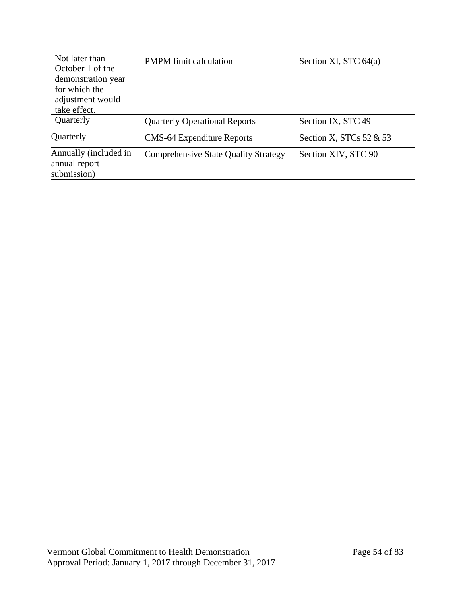| Not later than                         | <b>PMPM</b> limit calculation               | Section XI, STC $64(a)$    |
|----------------------------------------|---------------------------------------------|----------------------------|
| October 1 of the<br>demonstration year |                                             |                            |
| for which the                          |                                             |                            |
| adjustment would                       |                                             |                            |
| take effect.                           |                                             |                            |
| Quarterly                              | <b>Quarterly Operational Reports</b>        | Section IX, STC 49         |
| Quarterly                              | <b>CMS-64 Expenditure Reports</b>           | Section X, STCs $52 \& 53$ |
| Annually (included in                  | <b>Comprehensive State Quality Strategy</b> | Section XIV, STC 90        |
| annual report                          |                                             |                            |
| submission)                            |                                             |                            |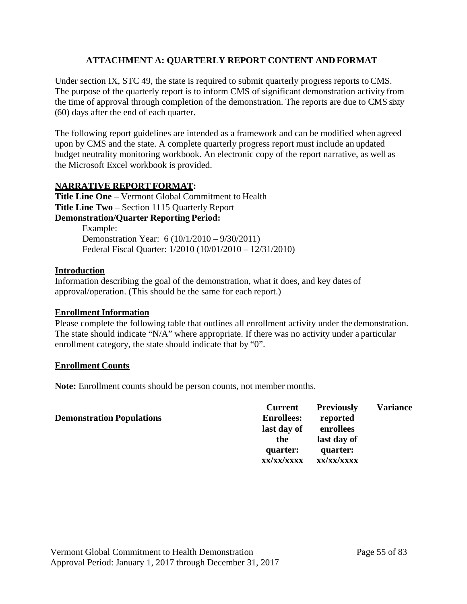# **ATTACHMENT A: QUARTERLY REPORT CONTENT AND FORMAT**

Under section IX, STC 49, the state is required to submit quarterly progress reports to CMS. The purpose of the quarterly report is to inform CMS of significant demonstration activity from the time of approval through completion of the demonstration. The reports are due to CMS sixty (60) days after the end of each quarter.

The following report guidelines are intended as a framework and can be modified when agreed upon by CMS and the state. A complete quarterly progress report must include an updated budget neutrality monitoring workbook. An electronic copy of the report narrative, as well as the Microsoft Excel workbook is provided.

# **NARRATIVE REPORT FORMAT:**

**Title Line One** – Vermont Global Commitment to Health **Title Line Two** – Section 1115 Quarterly Report **Demonstration/Quarter Reporting Period:**

Example: Demonstration Year: 6 (10/1/2010 – 9/30/2011) Federal Fiscal Quarter: 1/2010 (10/01/2010 – 12/31/2010)

## **Introduction**

Information describing the goal of the demonstration, what it does, and key dates of approval/operation. (This should be the same for each report.)

# **Enrollment Information**

Please complete the following table that outlines all enrollment activity under the demonstration. The state should indicate "N/A" where appropriate. If there was no activity under a particular enrollment category, the state should indicate that by "0".

# **Enrollment Counts**

Note: Enrollment counts should be person counts, not member months.

#### **Demonstration Populations Current Enrollees: last day of enrollees the quarter: xx/xx/xxxx xx/xx/xxxx Previously reported last day of quarter: Variance**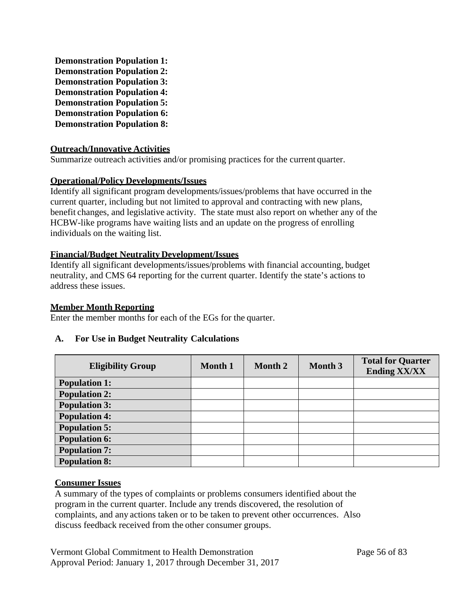**Demonstration Population 1: Demonstration Population 2: Demonstration Population 3: Demonstration Population 4: Demonstration Population 5: Demonstration Population 6: Demonstration Population 8:**

## **Outreach/Innovative Activities**

Summarize outreach activities and/or promising practices for the current quarter.

### **Operational/Policy Developments/Issues**

Identify all significant program developments/issues/problems that have occurred in the current quarter, including but not limited to approval and contracting with new plans, benefit changes, and legislative activity. The state must also report on whether any of the HCBW-like programs have waiting lists and an update on the progress of enrolling individuals on the waiting list.

### **Financial/Budget Neutrality Development/Issues**

Identify all significant developments/issues/problems with financial accounting, budget neutrality, and CMS 64 reporting for the current quarter. Identify the state's actions to address these issues.

#### **Member Month Reporting**

Enter the member months for each of the EGs for the quarter.

### **A. For Use in Budget Neutrality Calculations**

| <b>Eligibility Group</b> | <b>Month 1</b> | <b>Month 2</b> | Month 3 | <b>Total for Quarter</b><br><b>Ending XX/XX</b> |
|--------------------------|----------------|----------------|---------|-------------------------------------------------|
| <b>Population 1:</b>     |                |                |         |                                                 |
| <b>Population 2:</b>     |                |                |         |                                                 |
| <b>Population 3:</b>     |                |                |         |                                                 |
| <b>Population 4:</b>     |                |                |         |                                                 |
| <b>Population 5:</b>     |                |                |         |                                                 |
| <b>Population 6:</b>     |                |                |         |                                                 |
| <b>Population 7:</b>     |                |                |         |                                                 |
| <b>Population 8:</b>     |                |                |         |                                                 |

### **Consumer Issues**

A summary of the types of complaints or problems consumers identified about the program in the current quarter. Include any trends discovered, the resolution of complaints, and any actions taken or to be taken to prevent other occurrences. Also discuss feedback received from the other consumer groups.

Vermont Global Commitment to Health Demonstration Page 56 of 83 Approval Period: January 1, 2017 through December 31, 2017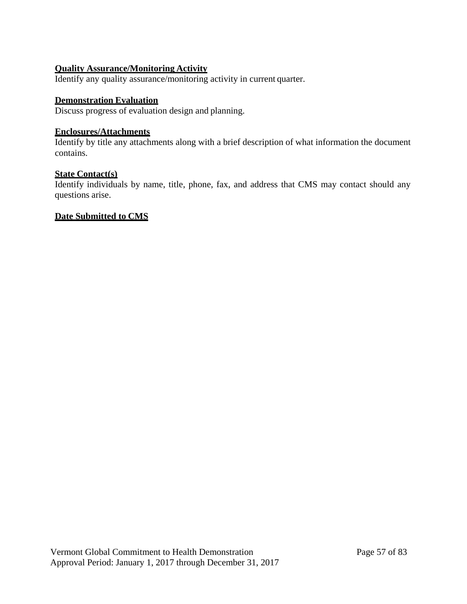# **Quality Assurance/Monitoring Activity**

Identify any quality assurance/monitoring activity in current quarter.

#### **Demonstration Evaluation**

Discuss progress of evaluation design and planning.

# **Enclosures/Attachments**

Identify by title any attachments along with a brief description of what information the document contains.

## **State Contact(s)**

Identify individuals by name, title, phone, fax, and address that CMS may contact should any questions arise.

### **Date Submitted to CMS**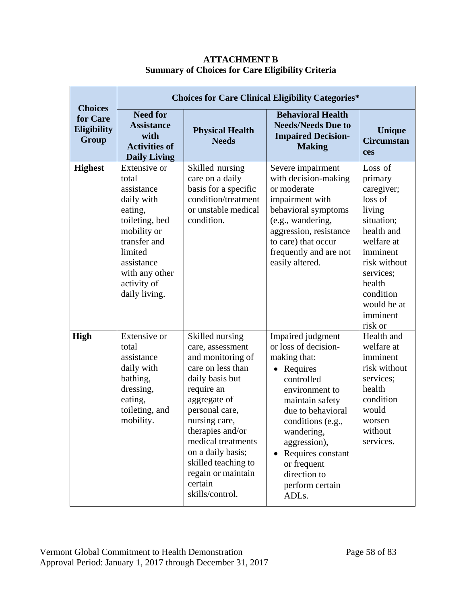|                                                    | <b>Choices for Care Clinical Eligibility Categories*</b>                                                                                                                                 |                                                                                                                                                                                                                                                                                                             |                                                                                                                                                                                                                                                                                                            |                                                                                                                                                                                                       |  |  |  |  |  |
|----------------------------------------------------|------------------------------------------------------------------------------------------------------------------------------------------------------------------------------------------|-------------------------------------------------------------------------------------------------------------------------------------------------------------------------------------------------------------------------------------------------------------------------------------------------------------|------------------------------------------------------------------------------------------------------------------------------------------------------------------------------------------------------------------------------------------------------------------------------------------------------------|-------------------------------------------------------------------------------------------------------------------------------------------------------------------------------------------------------|--|--|--|--|--|
| <b>Choices</b><br>for Care<br>Eligibility<br>Group | <b>Need for</b><br><b>Assistance</b><br>with<br><b>Activities of</b><br><b>Daily Living</b>                                                                                              | <b>Physical Health</b><br><b>Needs</b>                                                                                                                                                                                                                                                                      | <b>Behavioral Health</b><br><b>Needs/Needs Due to</b><br><b>Impaired Decision-</b><br><b>Making</b>                                                                                                                                                                                                        | <b>Unique</b><br><b>Circumstan</b><br>ces                                                                                                                                                             |  |  |  |  |  |
| <b>Highest</b>                                     | Extensive or<br>total<br>assistance<br>daily with<br>eating,<br>toileting, bed<br>mobility or<br>transfer and<br>limited<br>assistance<br>with any other<br>activity of<br>daily living. | Skilled nursing<br>care on a daily<br>basis for a specific<br>condition/treatment<br>or unstable medical<br>condition.                                                                                                                                                                                      | Severe impairment<br>with decision-making<br>or moderate<br>impairment with<br>behavioral symptoms<br>(e.g., wandering,<br>aggression, resistance<br>to care) that occur<br>frequently and are not<br>easily altered.                                                                                      | Loss of<br>primary<br>caregiver;<br>loss of<br>living<br>situation;<br>health and<br>welfare at<br>imminent<br>risk without<br>services;<br>health<br>condition<br>would be at<br>imminent<br>risk or |  |  |  |  |  |
| <b>High</b>                                        | <b>Extensive or</b><br>total<br>assistance<br>daily with<br>bathing,<br>dressing,<br>eating,<br>toileting, and<br>mobility.                                                              | Skilled nursing<br>care, assessment<br>and monitoring of<br>care on less than<br>daily basis but<br>require an<br>aggregate of<br>personal care,<br>nursing care,<br>therapies and/or<br>medical treatments<br>on a daily basis;<br>skilled teaching to<br>regain or maintain<br>certain<br>skills/control. | Impaired judgment<br>or loss of decision-<br>making that:<br>Requires<br>$\bullet$<br>controlled<br>environment to<br>maintain safety<br>due to behavioral<br>conditions (e.g.,<br>wandering,<br>aggression),<br>Requires constant<br>$\bullet$<br>or frequent<br>direction to<br>perform certain<br>ADLs. | Health and<br>welfare at<br>imminent<br>risk without<br>services;<br>health<br>condition<br>would<br>worsen<br>without<br>services.                                                                   |  |  |  |  |  |

# **ATTACHMENT B Summary of Choices for Care Eligibility Criteria**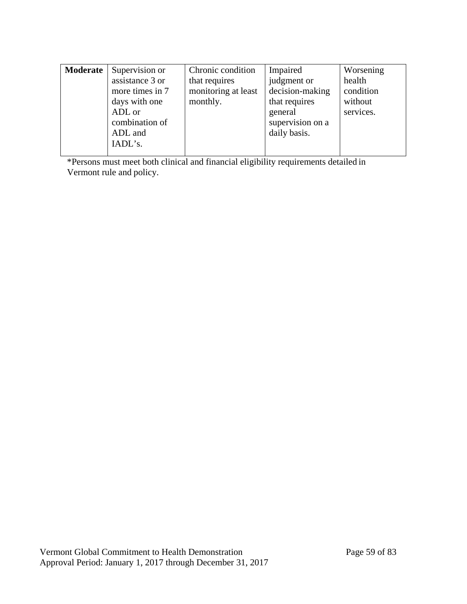| Moderate | Supervision or  | Chronic condition   | Impaired         | Worsening |
|----------|-----------------|---------------------|------------------|-----------|
|          | assistance 3 or | that requires       | judgment or      | health    |
|          | more times in 7 | monitoring at least | decision-making  | condition |
|          | days with one   | monthly.            | that requires    | without   |
|          | ADL or          |                     | general          | services. |
|          | combination of  |                     | supervision on a |           |
|          | ADL and         |                     | daily basis.     |           |
|          | IADL's.         |                     |                  |           |
|          |                 |                     |                  |           |

\*Persons must meet both clinical and financial eligibility requirements detailed in Vermont rule and policy.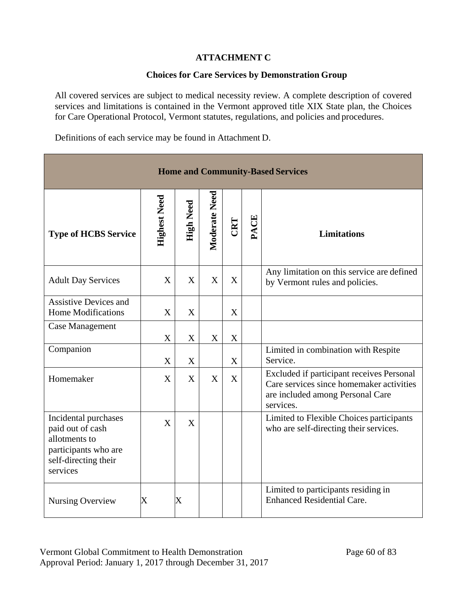# **ATTACHMENT C**

# **Choices for Care Services by Demonstration Group**

All covered services are subject to medical necessity review. A complete description of covered services and limitations is contained in the Vermont approved title XIX State plan, the Choices for Care Operational Protocol, Vermont statutes, regulations, and policies and procedures.

Definitions of each service may be found in Attachment D.

| <b>Home and Community-Based Services</b>                                                                              |                           |                   |               |     |      |                                                                                                                                        |
|-----------------------------------------------------------------------------------------------------------------------|---------------------------|-------------------|---------------|-----|------|----------------------------------------------------------------------------------------------------------------------------------------|
| <b>Type of HCBS Service</b>                                                                                           | <b>Highest Need</b>       | <b>High Need</b>  | Moderate Need | CRT | PACE | <b>Limitations</b>                                                                                                                     |
| <b>Adult Day Services</b>                                                                                             | $\boldsymbol{X}$          | X                 | X             | X   |      | Any limitation on this service are defined<br>by Vermont rules and policies.                                                           |
| <b>Assistive Devices and</b><br><b>Home Modifications</b>                                                             | $\boldsymbol{\mathrm{X}}$ | X                 |               | X   |      |                                                                                                                                        |
| Case Management                                                                                                       | X                         | X                 | X             | X   |      |                                                                                                                                        |
| Companion                                                                                                             | $\mathbf X$               | $\mathbf X$       |               | X   |      | Limited in combination with Respite<br>Service.                                                                                        |
| Homemaker                                                                                                             | X                         | X                 | X             | X   |      | Excluded if participant receives Personal<br>Care services since homemaker activities<br>are included among Personal Care<br>services. |
| Incidental purchases<br>paid out of cash<br>allotments to<br>participants who are<br>self-directing their<br>services | X                         | X                 |               |     |      | Limited to Flexible Choices participants<br>who are self-directing their services.                                                     |
| Nursing Overview                                                                                                      | X                         | $\rm\overline{X}$ |               |     |      | Limited to participants residing in<br><b>Enhanced Residential Care.</b>                                                               |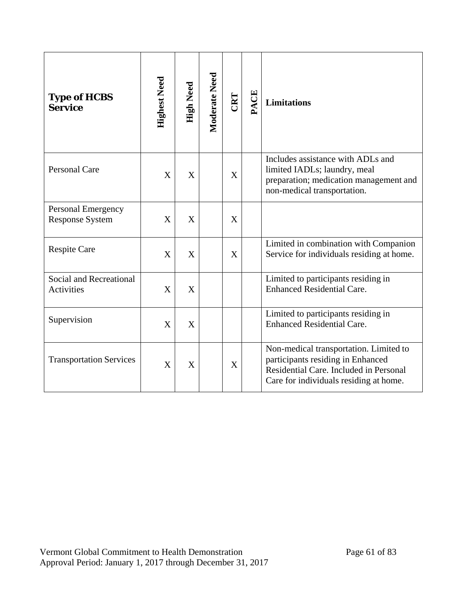| <b>Type of HCBS</b><br><b>Service</b>               | <b>Highest Need</b> | High Need | Moderate Need | CRT | ACE | <b>Limitations</b>                                                                                                                                              |
|-----------------------------------------------------|---------------------|-----------|---------------|-----|-----|-----------------------------------------------------------------------------------------------------------------------------------------------------------------|
| <b>Personal Care</b>                                | X                   | X         |               | X   |     | Includes assistance with ADLs and<br>limited IADLs; laundry, meal<br>preparation; medication management and<br>non-medical transportation.                      |
| <b>Personal Emergency</b><br><b>Response System</b> | X                   | X         |               | X   |     |                                                                                                                                                                 |
| <b>Respite Care</b>                                 | X                   | X         |               | X   |     | Limited in combination with Companion<br>Service for individuals residing at home.                                                                              |
| Social and Recreational<br>Activities               | X                   | X         |               |     |     | Limited to participants residing in<br><b>Enhanced Residential Care.</b>                                                                                        |
| Supervision                                         | X                   | X         |               |     |     | Limited to participants residing in<br><b>Enhanced Residential Care.</b>                                                                                        |
| <b>Transportation Services</b>                      | X                   | X         |               | X   |     | Non-medical transportation. Limited to<br>participants residing in Enhanced<br>Residential Care. Included in Personal<br>Care for individuals residing at home. |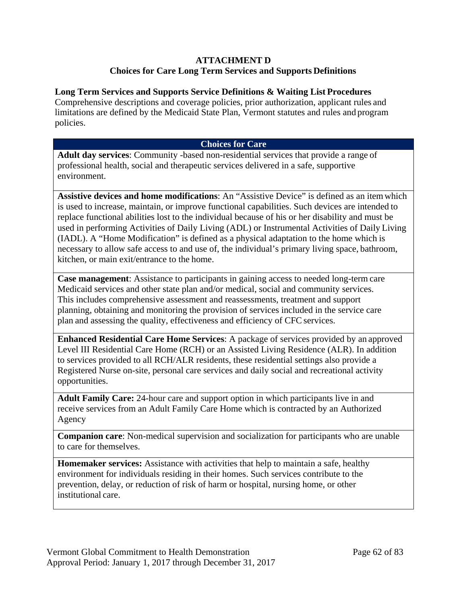## **ATTACHMENT D Choices for Care Long Term Services and Supports Definitions**

## **Long Term Services and Supports Service Definitions & Waiting List Procedures**

Comprehensive descriptions and coverage policies, prior authorization, applicant rules and limitations are defined by the Medicaid State Plan, Vermont statutes and rules and program policies.

## **Choices for Care**

**Adult day services**: Community -based non-residential services that provide a range of professional health, social and therapeutic services delivered in a safe, supportive environment.

**Assistive devices and home modifications**: An "Assistive Device" is defined as an itemwhich is used to increase, maintain, or improve functional capabilities. Such devices are intended to replace functional abilities lost to the individual because of his or her disability and must be used in performing Activities of Daily Living (ADL) or Instrumental Activities of Daily Living (IADL). A "Home Modification" is defined as a physical adaptation to the home which is necessary to allow safe access to and use of, the individual's primary living space, bathroom, kitchen, or main exit/entrance to the home.

**Case management**: Assistance to participants in gaining access to needed long-term care Medicaid services and other state plan and/or medical, social and community services. This includes comprehensive assessment and reassessments, treatment and support planning, obtaining and monitoring the provision of services included in the service care plan and assessing the quality, effectiveness and efficiency of CFC services.

**Enhanced Residential Care Home Services**: A package of services provided by an approved Level III Residential Care Home (RCH) or an Assisted Living Residence (ALR). In addition to services provided to all RCH/ALR residents, these residential settings also provide a Registered Nurse on-site, personal care services and daily social and recreational activity opportunities.

**Adult Family Care:** 24-hour care and support option in which participants live in and receive services from an Adult Family Care Home which is contracted by an Authorized Agency

**Companion care**: Non-medical supervision and socialization for participants who are unable to care for themselves.

**Homemaker services:** Assistance with activities that help to maintain a safe, healthy environment for individuals residing in their homes. Such services contribute to the prevention, delay, or reduction of risk of harm or hospital, nursing home, or other institutional care.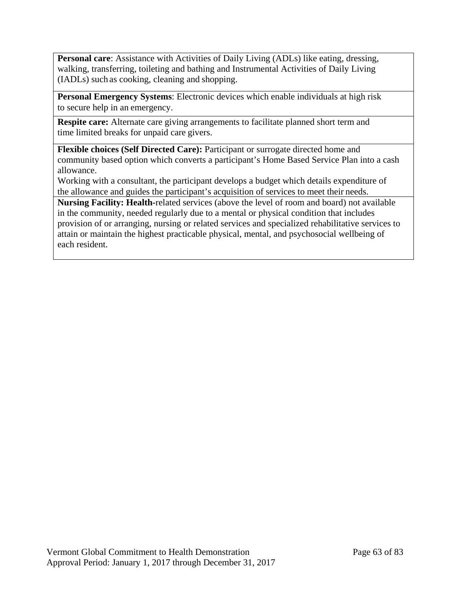**Personal care:** Assistance with Activities of Daily Living (ADLs) like eating, dressing, walking, transferring, toileting and bathing and Instrumental Activities of Daily Living (IADLs) such as cooking, cleaning and shopping.

**Personal Emergency Systems**: Electronic devices which enable individuals at high risk to secure help in an emergency.

**Respite care:** Alternate care giving arrangements to facilitate planned short term and time limited breaks for unpaid care givers.

**Flexible choices (Self Directed Care):** Participant or surrogate directed home and community based option which converts a participant's Home Based Service Plan into a cash allowance.

Working with a consultant, the participant develops a budget which details expenditure of the allowance and guides the participant's acquisition of services to meet their needs.

**Nursing Facility: Health-**related services (above the level of room and board) not available in the community, needed regularly due to a mental or physical condition that includes provision of or arranging, nursing or related services and specialized rehabilitative services to attain or maintain the highest practicable physical, mental, and psychosocial wellbeing of each resident.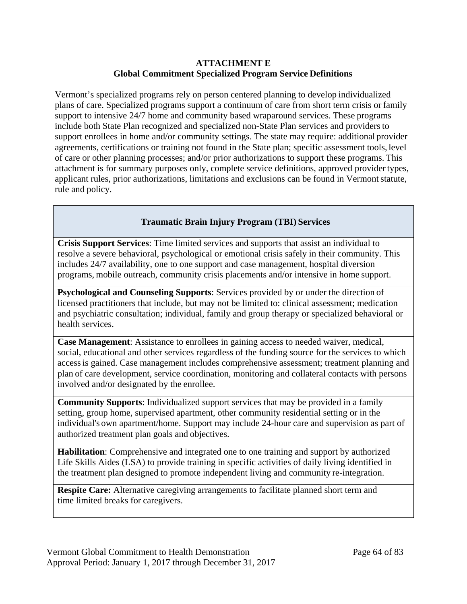### **ATTACHMENT E Global Commitment Specialized Program Service Definitions**

Vermont's specialized programs rely on person centered planning to develop individualized plans of care. Specialized programs support a continuum of care from short term crisis or family support to intensive 24/7 home and community based wraparound services. These programs include both State Plan recognized and specialized non-State Plan services and providers to support enrollees in home and/or community settings. The state may require: additional provider agreements, certifications or training not found in the State plan; specific assessment tools, level of care or other planning processes; and/or prior authorizations to support these programs. This attachment is for summary purposes only, complete service definitions, approved providertypes, applicant rules, prior authorizations, limitations and exclusions can be found in Vermont statute, rule and policy.

## **Traumatic Brain Injury Program (TBI) Services**

**Crisis Support Services**: Time limited services and supports that assist an individual to resolve a severe behavioral, psychological or emotional crisis safely in their community. This includes 24/7 availability, one to one support and case management, hospital diversion programs, mobile outreach, community crisis placements and/or intensive in home support.

**Psychological and Counseling Supports**: Services provided by or under the direction of licensed practitioners that include, but may not be limited to: clinical assessment; medication and psychiatric consultation; individual, family and group therapy or specialized behavioral or health services.

**Case Management**: Assistance to enrollees in gaining access to needed waiver, medical, social, educational and other services regardless of the funding source for the services to which accessis gained. Case management includes comprehensive assessment; treatment planning and plan of care development, service coordination, monitoring and collateral contacts with persons involved and/or designated by the enrollee.

**Community Supports**: Individualized support services that may be provided in a family setting, group home, supervised apartment, other community residential setting or in the individual's own apartment/home. Support may include 24-hour care and supervision as part of authorized treatment plan goals and objectives.

**Habilitation**: Comprehensive and integrated one to one training and support by authorized Life Skills Aides (LSA) to provide training in specific activities of daily living identified in the treatment plan designed to promote independent living and community re-integration.

**Respite Care:** Alternative caregiving arrangements to facilitate planned short term and time limited breaks for caregivers.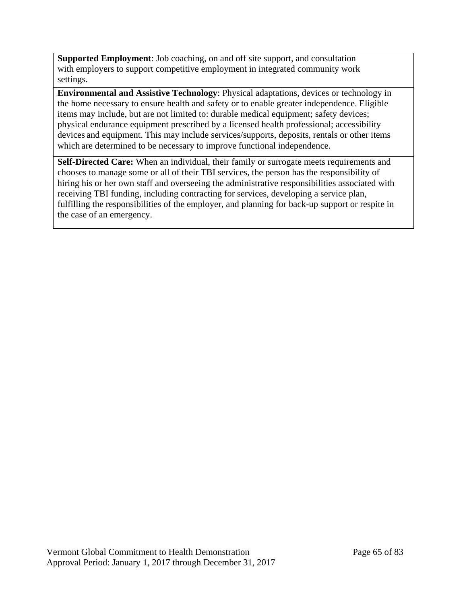**Supported Employment**: Job coaching, on and off site support, and consultation with employers to support competitive employment in integrated community work settings.

**Environmental and Assistive Technology**: Physical adaptations, devices or technology in the home necessary to ensure health and safety or to enable greater independence. Eligible items may include, but are not limited to: durable medical equipment; safety devices; physical endurance equipment prescribed by a licensed health professional; accessibility devices and equipment. This may include services/supports, deposits, rentals or other items which are determined to be necessary to improve functional independence.

**Self-Directed Care:** When an individual, their family or surrogate meets requirements and chooses to manage some or all of their TBI services, the person has the responsibility of hiring his or her own staff and overseeing the administrative responsibilities associated with receiving TBI funding, including contracting for services, developing a service plan, fulfilling the responsibilities of the employer, and planning for back-up support or respite in the case of an emergency.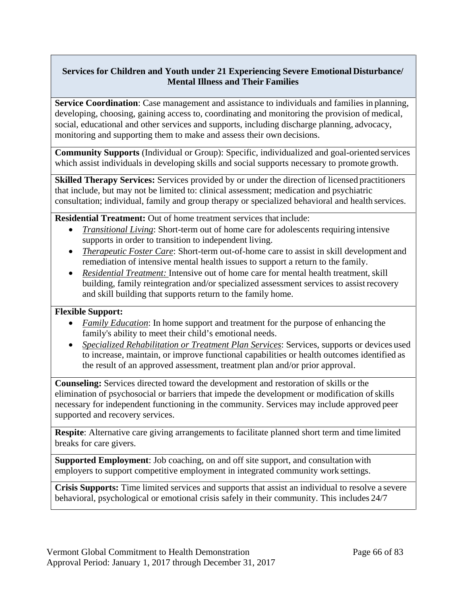## **Services for Children and Youth under 21 Experiencing Severe Emotional Disturbance/ Mental Illness and Their Families**

**Service Coordination**: Case management and assistance to individuals and families in planning, developing, choosing, gaining access to, coordinating and monitoring the provision of medical, social, educational and other services and supports, including discharge planning, advocacy, monitoring and supporting them to make and assess their own decisions.

**Community Supports** (Individual or Group): Specific, individualized and goal-oriented services which assist individuals in developing skills and social supports necessary to promote growth.

**Skilled Therapy Services:** Services provided by or under the direction of licensed practitioners that include, but may not be limited to: clinical assessment; medication and psychiatric consultation; individual, family and group therapy or specialized behavioral and health services.

**Residential Treatment:** Out of home treatment services that include:

- *Transitional Living*: Short-term out of home care for adolescents requiring intensive supports in order to transition to independent living.
- *Therapeutic Foster Care:* Short-term out-of-home care to assist in skill development and remediation of intensive mental health issues to support a return to the family.
- *Residential Treatment:* Intensive out of home care for mental health treatment, skill building, family reintegration and/or specialized assessment services to assist recovery and skill building that supports return to the family home.

### **Flexible Support:**

- *Family Education*: In home support and treatment for the purpose of enhancing the family's ability to meet their child's emotional needs.
- *Specialized Rehabilitation or Treatment Plan Services*: Services, supports or devices used to increase, maintain, or improve functional capabilities or health outcomes identified as the result of an approved assessment, treatment plan and/or prior approval.

**Counseling:** Services directed toward the development and restoration of skills or the elimination of psychosocial or barriers that impede the development or modification of skills necessary for independent functioning in the community. Services may include approved peer supported and recovery services.

**Respite**: Alternative care giving arrangements to facilitate planned short term and time limited breaks for care givers.

**Supported Employment**: Job coaching, on and off site support, and consultation with employers to support competitive employment in integrated community work settings.

**Crisis Supports:** Time limited services and supports that assist an individual to resolve a severe behavioral, psychological or emotional crisis safely in their community. This includes 24/7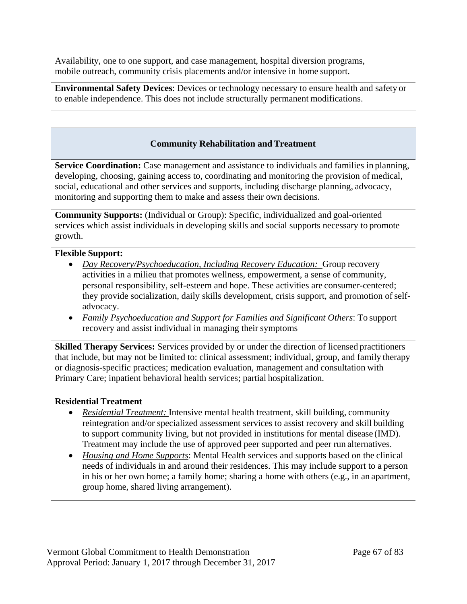Availability, one to one support, and case management, hospital diversion programs, mobile outreach, community crisis placements and/or intensive in home support.

**Environmental Safety Devices**: Devices or technology necessary to ensure health and safety or to enable independence. This does not include structurally permanent modifications.

# **Community Rehabilitation and Treatment**

**Service Coordination:** Case management and assistance to individuals and families in planning, developing, choosing, gaining access to, coordinating and monitoring the provision of medical, social, educational and other services and supports, including discharge planning, advocacy, monitoring and supporting them to make and assess their own decisions.

**Community Supports:** (Individual or Group): Specific, individualized and goal-oriented services which assist individuals in developing skills and social supports necessary to promote growth.

#### **Flexible Support:**

- *Day Recovery/Psychoeducation, Including Recovery Education:* Group recovery activities in a milieu that promotes wellness, empowerment, a sense of community, personal responsibility, self-esteem and hope. These activities are consumer-centered; they provide socialization, daily skills development, crisis support, and promotion of selfadvocacy.
- *Family Psychoeducation and Support for Families and Significant Others*: To support recovery and assist individual in managing their symptoms

**Skilled Therapy Services:** Services provided by or under the direction of licensed practitioners that include, but may not be limited to: clinical assessment; individual, group, and family therapy or diagnosis-specific practices; medication evaluation, management and consultation with Primary Care; inpatient behavioral health services; partial hospitalization.

#### **Residential Treatment**

- *Residential Treatment:* Intensive mental health treatment, skill building, community reintegration and/or specialized assessment services to assist recovery and skill building to support community living, but not provided in institutions for mental disease (IMD). Treatment may include the use of approved peer supported and peer run alternatives.
- *Housing and Home Supports*: Mental Health services and supports based on the clinical needs of individuals in and around their residences. This may include support to a person in his or her own home; a family home; sharing a home with others (e.g., in an apartment, group home, shared living arrangement).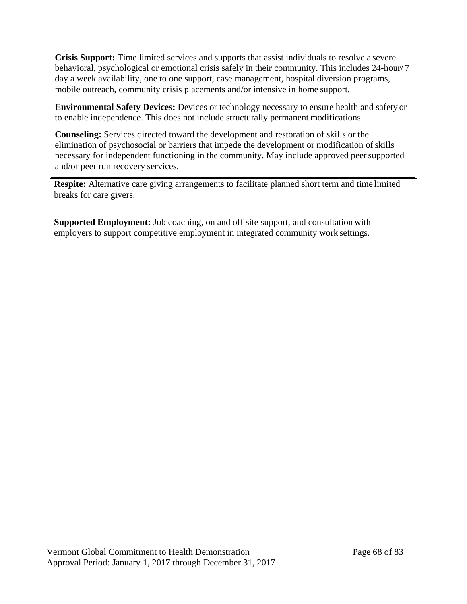**Crisis Support:** Time limited services and supports that assist individuals to resolve a severe behavioral, psychological or emotional crisis safely in their community. This includes 24-hour/ 7 day a week availability, one to one support, case management, hospital diversion programs, mobile outreach, community crisis placements and/or intensive in home support.

**Environmental Safety Devices:** Devices or technology necessary to ensure health and safety or to enable independence. This does not include structurally permanent modifications.

**Counseling:** Services directed toward the development and restoration of skills or the elimination of psychosocial or barriers that impede the development or modification of skills necessary for independent functioning in the community. May include approved peersupported and/or peer run recovery services.

**Respite:** Alternative care giving arrangements to facilitate planned short term and time limited breaks for care givers.

**Supported Employment:** Job coaching, on and off site support, and consultation with employers to support competitive employment in integrated community work settings.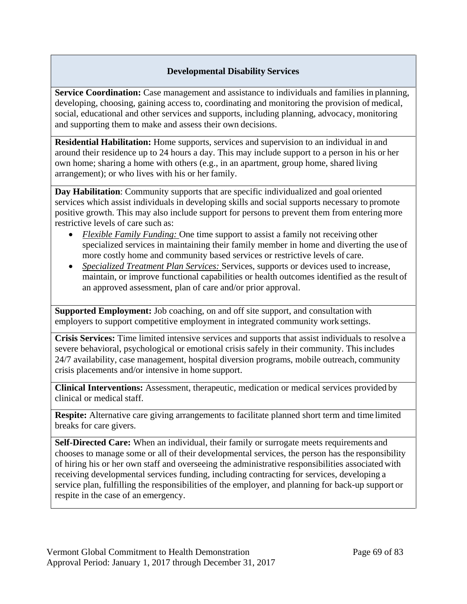## **Developmental Disability Services**

**Service Coordination:** Case management and assistance to individuals and families in planning, developing, choosing, gaining access to, coordinating and monitoring the provision of medical, social, educational and other services and supports, including planning, advocacy, monitoring and supporting them to make and assess their own decisions.

**Residential Habilitation:** Home supports, services and supervision to an individual in and around their residence up to 24 hours a day. This may include support to a person in his or her own home; sharing a home with others (e.g., in an apartment, group home, shared living arrangement); or who lives with his or her family.

**Day Habilitation**: Community supports that are specific individualized and goal oriented services which assist individuals in developing skills and social supports necessary to promote positive growth. This may also include support for persons to prevent them from entering more restrictive levels of care such as:

- *Flexible Family Funding:* One time support to assist a family not receiving other specialized services in maintaining their family member in home and diverting the use of more costly home and community based services or restrictive levels of care.
- *Specialized Treatment Plan Services:* Services, supports or devices used to increase, maintain, or improve functional capabilities or health outcomes identified as the result of an approved assessment, plan of care and/or prior approval.

**Supported Employment:** Job coaching, on and off site support, and consultation with employers to support competitive employment in integrated community work settings.

**Crisis Services:** Time limited intensive services and supports that assist individuals to resolve a severe behavioral, psychological or emotional crisis safely in their community. This includes 24/7 availability, case management, hospital diversion programs, mobile outreach, community crisis placements and/or intensive in home support.

**Clinical Interventions:** Assessment, therapeutic, medication or medical services provided by clinical or medical staff.

**Respite:** Alternative care giving arrangements to facilitate planned short term and time limited breaks for care givers.

**Self-Directed Care:** When an individual, their family or surrogate meets requirements and chooses to manage some or all of their developmental services, the person has the responsibility of hiring his or her own staff and overseeing the administrative responsibilities associated with receiving developmental services funding, including contracting for services, developing a service plan, fulfilling the responsibilities of the employer, and planning for back-up support or respite in the case of an emergency.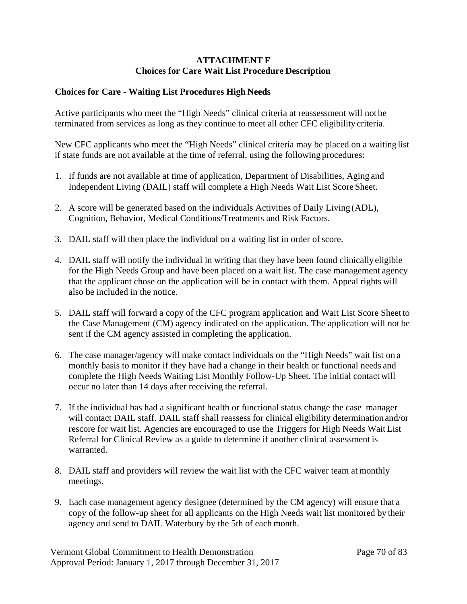#### **ATTACHMENT F Choices for Care Wait List Procedure Description**

#### **Choices for Care - Waiting List Procedures High Needs**

Active participants who meet the "High Needs" clinical criteria at reassessment will not be terminated from services as long as they continue to meet all other CFC eligibility criteria.

New CFC applicants who meet the "High Needs" clinical criteria may be placed on a waiting list if state funds are not available at the time of referral, using the following procedures:

- 1. If funds are not available at time of application, Department of Disabilities, Aging and Independent Living (DAIL) staff will complete a High Needs Wait List Score Sheet.
- 2. A score will be generated based on the individuals Activities of Daily Living (ADL), Cognition, Behavior, Medical Conditions/Treatments and Risk Factors.
- 3. DAIL staff will then place the individual on a waiting list in order of score.
- 4. DAIL staff will notify the individual in writing that they have been found clinically eligible for the High Needs Group and have been placed on a wait list. The case management agency that the applicant chose on the application will be in contact with them. Appeal rights will also be included in the notice.
- 5. DAIL staff will forward a copy of the CFC program application and Wait List Score Sheet to the Case Management (CM) agency indicated on the application. The application will not be sent if the CM agency assisted in completing the application.
- 6. The case manager/agency will make contact individuals on the "High Needs" wait list on a monthly basis to monitor if they have had a change in their health or functional needs and complete the High Needs Waiting List Monthly Follow-Up Sheet. The initial contact will occur no later than 14 days after receiving the referral.
- 7. If the individual has had a significant health or functional status change the case manager will contact DAIL staff. DAIL staff shall reassess for clinical eligibility determination and/or rescore for wait list. Agencies are encouraged to use the Triggers for High Needs Wait List Referral for Clinical Review as a guide to determine if another clinical assessment is warranted.
- 8. DAIL staff and providers will review the wait list with the CFC waiver team at monthly meetings.
- 9. Each case management agency designee (determined by the CM agency) will ensure that a copy of the follow-up sheet for all applicants on the High Needs wait list monitored by their agency and send to DAIL Waterbury by the 5th of each month.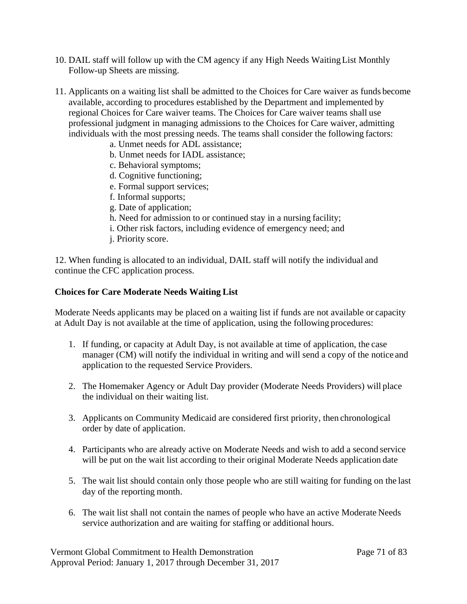- 10. DAIL staff will follow up with the CM agency if any High Needs WaitingList Monthly Follow-up Sheets are missing.
- 11. Applicants on a waiting list shall be admitted to the Choices for Care waiver as funds become available, according to procedures established by the Department and implemented by regional Choices for Care waiver teams. The Choices for Care waiver teams shall use professional judgment in managing admissions to the Choices for Care waiver, admitting individuals with the most pressing needs. The teams shall consider the following factors:
	- a. Unmet needs for ADL assistance;
	- b. Unmet needs for IADL assistance;
	- c. Behavioral symptoms;
	- d. Cognitive functioning;
	- e. Formal support services;
	- f. Informal supports;
	- g. Date of application;
	- h. Need for admission to or continued stay in a nursing facility;
	- i. Other risk factors, including evidence of emergency need; and
	- j. Priority score.

12. When funding is allocated to an individual, DAIL staff will notify the individual and continue the CFC application process.

#### **Choices for Care Moderate Needs Waiting List**

Moderate Needs applicants may be placed on a waiting list if funds are not available or capacity at Adult Day is not available at the time of application, using the following procedures:

- 1. If funding, or capacity at Adult Day, is not available at time of application, the case manager (CM) will notify the individual in writing and will send a copy of the notice and application to the requested Service Providers.
- 2. The Homemaker Agency or Adult Day provider (Moderate Needs Providers) will place the individual on their waiting list.
- 3. Applicants on Community Medicaid are considered first priority, then chronological order by date of application.
- 4. Participants who are already active on Moderate Needs and wish to add a second service will be put on the wait list according to their original Moderate Needs application date
- 5. The wait list should contain only those people who are still waiting for funding on the last day of the reporting month.
- 6. The wait list shall not contain the names of people who have an active Moderate Needs service authorization and are waiting for staffing or additional hours.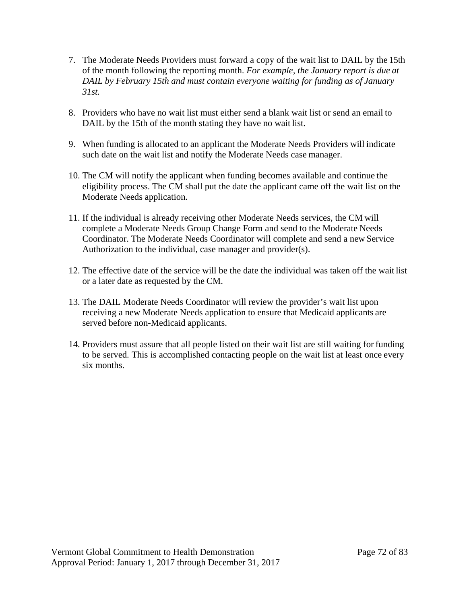- 7. The Moderate Needs Providers must forward a copy of the wait list to DAIL by the 15th of the month following the reporting month. *For example, the January report is due at DAIL by February 15th and must contain everyone waiting for funding as of January 31st.*
- 8. Providers who have no wait list must either send a blank wait list or send an email to DAIL by the 15th of the month stating they have no wait list.
- 9. When funding is allocated to an applicant the Moderate Needs Providers will indicate such date on the wait list and notify the Moderate Needs case manager.
- 10. The CM will notify the applicant when funding becomes available and continue the eligibility process. The CM shall put the date the applicant came off the wait list on the Moderate Needs application.
- 11. If the individual is already receiving other Moderate Needs services, the CM will complete a Moderate Needs Group Change Form and send to the Moderate Needs Coordinator. The Moderate Needs Coordinator will complete and send a new Service Authorization to the individual, case manager and provider(s).
- 12. The effective date of the service will be the date the individual was taken off the wait list or a later date as requested by the CM.
- 13. The DAIL Moderate Needs Coordinator will review the provider's wait list upon receiving a new Moderate Needs application to ensure that Medicaid applicants are served before non-Medicaid applicants.
- 14. Providers must assure that all people listed on their wait list are still waiting for funding to be served. This is accomplished contacting people on the wait list at least once every six months.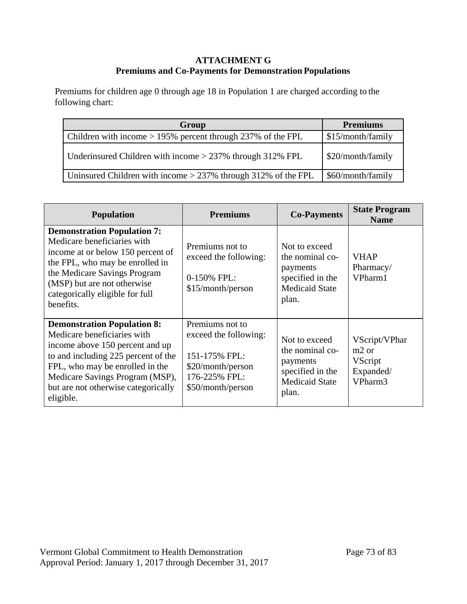### **ATTACHMENT G Premiums and Co-Payments for Demonstration Populations**

Premiums for children age 0 through age 18 in Population 1 are charged according to the following chart:

| Group                                                           | <b>Premiums</b>   |
|-----------------------------------------------------------------|-------------------|
| Children with income $> 195\%$ percent through 237% of the FPL  | \$15/month/family |
| Underinsured Children with income $>$ 237% through 312% FPL     | \$20/month/family |
| Uninsured Children with income $>$ 237% through 312% of the FPL | \$60/month/family |

| <b>Population</b>                                                                                                                                                                                                                                                     | <b>Premiums</b>                                                                                                      | <b>Co-Payments</b>                                                                                 | <b>State Program</b><br><b>Name</b>                                          |
|-----------------------------------------------------------------------------------------------------------------------------------------------------------------------------------------------------------------------------------------------------------------------|----------------------------------------------------------------------------------------------------------------------|----------------------------------------------------------------------------------------------------|------------------------------------------------------------------------------|
| <b>Demonstration Population 7:</b><br>Medicare beneficiaries with<br>income at or below 150 percent of<br>the FPL, who may be enrolled in<br>the Medicare Savings Program<br>(MSP) but are not otherwise<br>categorically eligible for full<br>benefits.              | Premiums not to<br>exceed the following:<br>0-150% FPL:<br>\$15/month/person                                         | Not to exceed<br>the nominal co-<br>payments<br>specified in the<br><b>Medicaid State</b><br>plan. | <b>VHAP</b><br>Pharmacy/<br>VPharm1                                          |
| <b>Demonstration Population 8:</b><br>Medicare beneficiaries with<br>income above 150 percent and up<br>to and including 225 percent of the<br>FPL, who may be enrolled in the<br>Medicare Savings Program (MSP),<br>but are not otherwise categorically<br>eligible. | Premiums not to<br>exceed the following:<br>151-175% FPL:<br>\$20/month/person<br>176-225% FPL:<br>\$50/month/person | Not to exceed<br>the nominal co-<br>payments<br>specified in the<br><b>Medicaid State</b><br>plan. | VScript/VPhar<br>m <sub>2</sub> or<br><b>VScript</b><br>Expanded/<br>VPharm3 |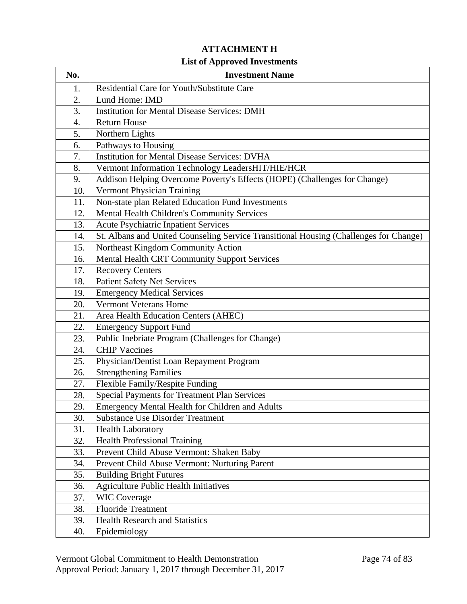# **ATTACHMENT H**

### **List of Approved Investments**

| No. | <b>Investment Name</b>                                                                |
|-----|---------------------------------------------------------------------------------------|
| 1.  | Residential Care for Youth/Substitute Care                                            |
| 2.  | Lund Home: IMD                                                                        |
| 3.  | <b>Institution for Mental Disease Services: DMH</b>                                   |
| 4.  | <b>Return House</b>                                                                   |
| 5.  | Northern Lights                                                                       |
| 6.  | Pathways to Housing                                                                   |
| 7.  | <b>Institution for Mental Disease Services: DVHA</b>                                  |
| 8.  | Vermont Information Technology LeadersHIT/HIE/HCR                                     |
| 9.  | Addison Helping Overcome Poverty's Effects (HOPE) (Challenges for Change)             |
| 10. | Vermont Physician Training                                                            |
| 11. | Non-state plan Related Education Fund Investments                                     |
| 12. | Mental Health Children's Community Services                                           |
| 13. | Acute Psychiatric Inpatient Services                                                  |
| 14. | St. Albans and United Counseling Service Transitional Housing (Challenges for Change) |
| 15. | Northeast Kingdom Community Action                                                    |
| 16. | <b>Mental Health CRT Community Support Services</b>                                   |
| 17. | <b>Recovery Centers</b>                                                               |
| 18. | <b>Patient Safety Net Services</b>                                                    |
| 19. | <b>Emergency Medical Services</b>                                                     |
| 20. | <b>Vermont Veterans Home</b>                                                          |
| 21. | Area Health Education Centers (AHEC)                                                  |
| 22. | <b>Emergency Support Fund</b>                                                         |
| 23. | Public Inebriate Program (Challenges for Change)                                      |
| 24. | <b>CHIP Vaccines</b>                                                                  |
| 25. | Physician/Dentist Loan Repayment Program                                              |
| 26. | <b>Strengthening Families</b>                                                         |
| 27. | Flexible Family/Respite Funding                                                       |
| 28. | <b>Special Payments for Treatment Plan Services</b>                                   |
| 29. | Emergency Mental Health for Children and Adults                                       |
| 30. | <b>Substance Use Disorder Treatment</b>                                               |
| 31. | <b>Health Laboratory</b>                                                              |
| 32. | <b>Health Professional Training</b>                                                   |
| 33. | Prevent Child Abuse Vermont: Shaken Baby                                              |
| 34. | Prevent Child Abuse Vermont: Nurturing Parent                                         |
| 35. | <b>Building Bright Futures</b>                                                        |
| 36. | <b>Agriculture Public Health Initiatives</b>                                          |
| 37. | <b>WIC Coverage</b>                                                                   |
| 38. | <b>Fluoride Treatment</b>                                                             |
| 39. | <b>Health Research and Statistics</b>                                                 |
| 40. | Epidemiology                                                                          |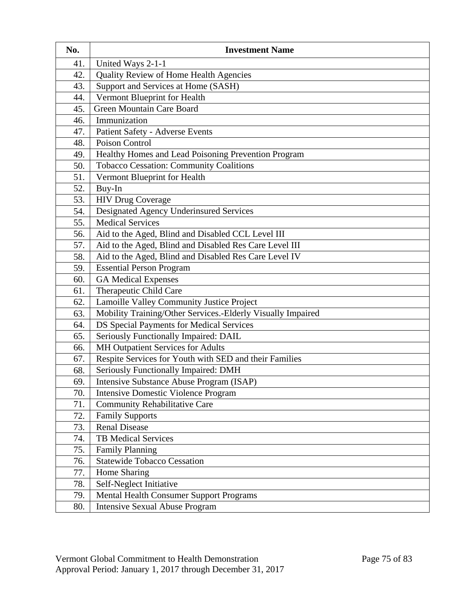| No. | <b>Investment Name</b>                                      |
|-----|-------------------------------------------------------------|
| 41. | United Ways 2-1-1                                           |
| 42. | Quality Review of Home Health Agencies                      |
| 43. | Support and Services at Home (SASH)                         |
| 44. | Vermont Blueprint for Health                                |
| 45. | Green Mountain Care Board                                   |
| 46. | Immunization                                                |
| 47. | Patient Safety - Adverse Events                             |
| 48. | Poison Control                                              |
| 49. | Healthy Homes and Lead Poisoning Prevention Program         |
| 50. | Tobacco Cessation: Community Coalitions                     |
| 51. | Vermont Blueprint for Health                                |
| 52. | Buy-In                                                      |
| 53. | <b>HIV Drug Coverage</b>                                    |
| 54. | Designated Agency Underinsured Services                     |
| 55. | <b>Medical Services</b>                                     |
| 56. | Aid to the Aged, Blind and Disabled CCL Level III           |
| 57. | Aid to the Aged, Blind and Disabled Res Care Level III      |
| 58. | Aid to the Aged, Blind and Disabled Res Care Level IV       |
| 59. | <b>Essential Person Program</b>                             |
| 60. | <b>GA Medical Expenses</b>                                  |
| 61. | Therapeutic Child Care                                      |
| 62. | Lamoille Valley Community Justice Project                   |
| 63. | Mobility Training/Other Services.-Elderly Visually Impaired |
| 64. | DS Special Payments for Medical Services                    |
| 65. | Seriously Functionally Impaired: DAIL                       |
| 66. | MH Outpatient Services for Adults                           |
| 67. | Respite Services for Youth with SED and their Families      |
| 68. | Seriously Functionally Impaired: DMH                        |
| 69. | Intensive Substance Abuse Program (ISAP)                    |
| 70. | <b>Intensive Domestic Violence Program</b>                  |
| 71. | <b>Community Rehabilitative Care</b>                        |
| 72. | <b>Family Supports</b>                                      |
| 73. | <b>Renal Disease</b>                                        |
| 74. | <b>TB Medical Services</b>                                  |
| 75. | <b>Family Planning</b>                                      |
| 76. | <b>Statewide Tobacco Cessation</b>                          |
| 77. | Home Sharing                                                |
| 78. | Self-Neglect Initiative                                     |
| 79. | <b>Mental Health Consumer Support Programs</b>              |
| 80. | <b>Intensive Sexual Abuse Program</b>                       |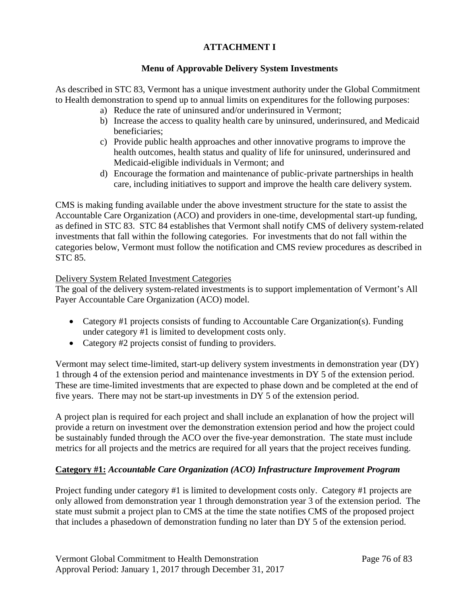## **ATTACHMENT I**

### **Menu of Approvable Delivery System Investments**

As described in STC 83, Vermont has a unique investment authority under the Global Commitment to Health demonstration to spend up to annual limits on expenditures for the following purposes:

- a) Reduce the rate of uninsured and/or underinsured in Vermont;
- b) Increase the access to quality health care by uninsured, underinsured, and Medicaid beneficiaries;
- c) Provide public health approaches and other innovative programs to improve the health outcomes, health status and quality of life for uninsured, underinsured and Medicaid-eligible individuals in Vermont; and
- d) Encourage the formation and maintenance of public-private partnerships in health care, including initiatives to support and improve the health care delivery system.

CMS is making funding available under the above investment structure for the state to assist the Accountable Care Organization (ACO) and providers in one-time, developmental start-up funding, as defined in STC 83. STC 84 establishes that Vermont shall notify CMS of delivery system-related investments that fall within the following categories. For investments that do not fall within the categories below, Vermont must follow the notification and CMS review procedures as described in STC 85.

### Delivery System Related Investment Categories

The goal of the delivery system-related investments is to support implementation of Vermont's All Payer Accountable Care Organization (ACO) model.

- Category #1 projects consists of funding to Accountable Care Organization(s). Funding under category #1 is limited to development costs only.
- Category #2 projects consist of funding to providers.

Vermont may select time-limited, start-up delivery system investments in demonstration year (DY) 1 through 4 of the extension period and maintenance investments in DY 5 of the extension period. These are time-limited investments that are expected to phase down and be completed at the end of five years. There may not be start-up investments in DY 5 of the extension period.

A project plan is required for each project and shall include an explanation of how the project will provide a return on investment over the demonstration extension period and how the project could be sustainably funded through the ACO over the five-year demonstration. The state must include metrics for all projects and the metrics are required for all years that the project receives funding.

### **Category #1:** *Accountable Care Organization (ACO) Infrastructure Improvement Program*

Project funding under category #1 is limited to development costs only. Category #1 projects are only allowed from demonstration year 1 through demonstration year 3 of the extension period. The state must submit a project plan to CMS at the time the state notifies CMS of the proposed project that includes a phasedown of demonstration funding no later than DY 5 of the extension period.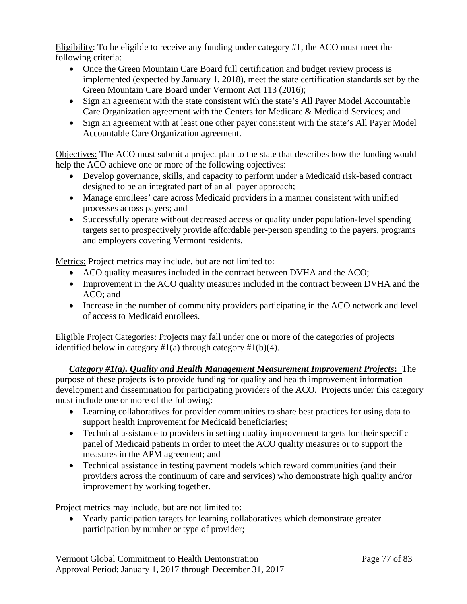Eligibility: To be eligible to receive any funding under category #1, the ACO must meet the following criteria:

- Once the Green Mountain Care Board full certification and budget review process is implemented (expected by January 1, 2018), meet the state certification standards set by the Green Mountain Care Board under Vermont Act 113 (2016);
- Sign an agreement with the state consistent with the state's All Payer Model Accountable Care Organization agreement with the Centers for Medicare & Medicaid Services; and
- Sign an agreement with at least one other payer consistent with the state's All Payer Model Accountable Care Organization agreement.

Objectives: The ACO must submit a project plan to the state that describes how the funding would help the ACO achieve one or more of the following objectives:

- Develop governance, skills, and capacity to perform under a Medicaid risk-based contract designed to be an integrated part of an all payer approach;
- Manage enrollees' care across Medicaid providers in a manner consistent with unified processes across payers; and
- Successfully operate without decreased access or quality under population-level spending targets set to prospectively provide affordable per-person spending to the payers, programs and employers covering Vermont residents.

Metrics: Project metrics may include, but are not limited to:

- ACO quality measures included in the contract between DVHA and the ACO;
- Improvement in the ACO quality measures included in the contract between DVHA and the ACO; and
- Increase in the number of community providers participating in the ACO network and level of access to Medicaid enrollees.

Eligible Project Categories: Projects may fall under one or more of the categories of projects identified below in category  $#1(a)$  through category  $#1(b)(4)$ .

*Category #1(a). Quality and Health Management Measurement Improvement Projects***:** The purpose of these projects is to provide funding for quality and health improvement information development and dissemination for participating providers of the ACO. Projects under this category must include one or more of the following:

- Learning collaboratives for provider communities to share best practices for using data to support health improvement for Medicaid beneficiaries;
- Technical assistance to providers in setting quality improvement targets for their specific panel of Medicaid patients in order to meet the ACO quality measures or to support the measures in the APM agreement; and
- Technical assistance in testing payment models which reward communities (and their providers across the continuum of care and services) who demonstrate high quality and/or improvement by working together.

Project metrics may include, but are not limited to:

• Yearly participation targets for learning collaboratives which demonstrate greater participation by number or type of provider;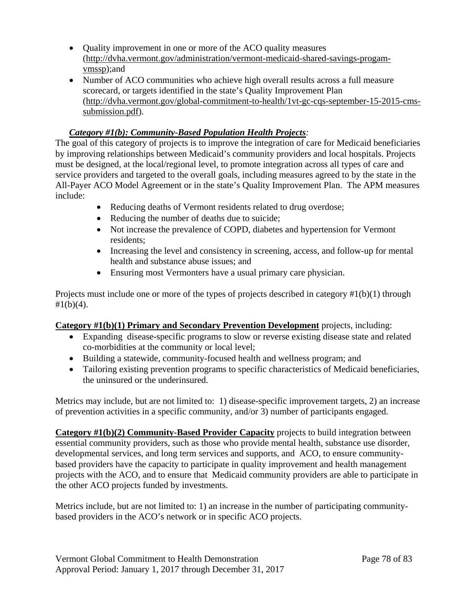- Ouality improvement in one or more of the ACO quality measures [\(http://dvha.vermont.gov/administration/vermont-medicaid-shared-savings-progam](http://dvha.vermont.gov/administration/vermont-medicaid-shared-savings-progam-vmssp)[vmssp\)](http://dvha.vermont.gov/administration/vermont-medicaid-shared-savings-progam-vmssp);and
- Number of ACO communities who achieve high overall results across a full measure scorecard, or targets identified in the state's Quality Improvement Plan [\(http://dvha.vermont.gov/global-commitment-to-health/1vt-gc-cqs-september-15-2015-cms](http://dvha.vermont.gov/global-commitment-to-health/1vt-gc-cqs-september-15-2015-cms-submission.pdf)[submission.pdf\)](http://dvha.vermont.gov/global-commitment-to-health/1vt-gc-cqs-september-15-2015-cms-submission.pdf).

## *Category #1(b): Community-Based Population Health Projects:*

The goal of this category of projects is to improve the integration of care for Medicaid beneficiaries by improving relationships between Medicaid's community providers and local hospitals. Projects must be designed, at the local/regional level, to promote integration across all types of care and service providers and targeted to the overall goals, including measures agreed to by the state in the All-Payer ACO Model Agreement or in the state's Quality Improvement Plan. The APM measures include:

- Reducing deaths of Vermont residents related to drug overdose;
- Reducing the number of deaths due to suicide;
- Not increase the prevalence of COPD, diabetes and hypertension for Vermont residents;
- Increasing the level and consistency in screening, access, and follow-up for mental health and substance abuse issues; and
- Ensuring most Vermonters have a usual primary care physician.

Projects must include one or more of the types of projects described in category #1(b)(1) through  $#1(b)(4)$ .

### **Category #1(b)(1) Primary and Secondary Prevention Development** projects, including:

- Expanding disease-specific programs to slow or reverse existing disease state and related co-morbidities at the community or local level;
- Building a statewide, community-focused health and wellness program; and
- Tailoring existing prevention programs to specific characteristics of Medicaid beneficiaries, the uninsured or the underinsured.

Metrics may include, but are not limited to: 1) disease-specific improvement targets, 2) an increase of prevention activities in a specific community, and/or 3) number of participants engaged.

**Category #1(b)(2) Community-Based Provider Capacity** projects to build integration between essential community providers, such as those who provide mental health, substance use disorder, developmental services, and long term services and supports, and ACO, to ensure communitybased providers have the capacity to participate in quality improvement and health management projects with the ACO, and to ensure that Medicaid community providers are able to participate in the other ACO projects funded by investments.

Metrics include, but are not limited to: 1) an increase in the number of participating communitybased providers in the ACO's network or in specific ACO projects.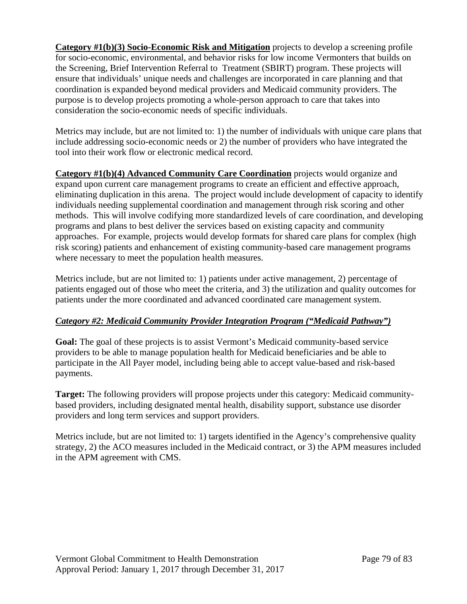**Category #1(b)(3) Socio-Economic Risk and Mitigation** projects to develop a screening profile for socio-economic, environmental, and behavior risks for low income Vermonters that builds on the Screening, Brief Intervention Referral to Treatment (SBIRT) program. These projects will ensure that individuals' unique needs and challenges are incorporated in care planning and that coordination is expanded beyond medical providers and Medicaid community providers. The purpose is to develop projects promoting a whole-person approach to care that takes into consideration the socio-economic needs of specific individuals.

Metrics may include, but are not limited to: 1) the number of individuals with unique care plans that include addressing socio-economic needs or 2) the number of providers who have integrated the tool into their work flow or electronic medical record.

**Category #1(b)(4) Advanced Community Care Coordination** projects would organize and expand upon current care management programs to create an efficient and effective approach, eliminating duplication in this arena. The project would include development of capacity to identify individuals needing supplemental coordination and management through risk scoring and other methods. This will involve codifying more standardized levels of care coordination, and developing programs and plans to best deliver the services based on existing capacity and community approaches. For example, projects would develop formats for shared care plans for complex (high risk scoring) patients and enhancement of existing community-based care management programs where necessary to meet the population health measures.

Metrics include, but are not limited to: 1) patients under active management, 2) percentage of patients engaged out of those who meet the criteria, and 3) the utilization and quality outcomes for patients under the more coordinated and advanced coordinated care management system.

# *Category #2: Medicaid Community Provider Integration Program ("Medicaid Pathway")*

**Goal:** The goal of these projects is to assist Vermont's Medicaid community-based service providers to be able to manage population health for Medicaid beneficiaries and be able to participate in the All Payer model, including being able to accept value-based and risk-based payments.

**Target:** The following providers will propose projects under this category: Medicaid communitybased providers, including designated mental health, disability support, substance use disorder providers and long term services and support providers.

Metrics include, but are not limited to: 1) targets identified in the Agency's comprehensive quality strategy, 2) the ACO measures included in the Medicaid contract, or 3) the APM measures included in the APM agreement with CMS.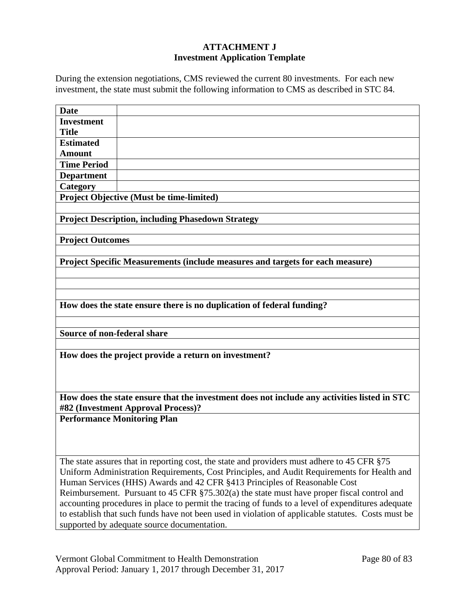### **ATTACHMENT J Investment Application Template**

During the extension negotiations, CMS reviewed the current 80 investments. For each new investment, the state must submit the following information to CMS as described in STC 84.

| <b>Date</b>                                                                                 |                                                                                                                  |  |
|---------------------------------------------------------------------------------------------|------------------------------------------------------------------------------------------------------------------|--|
| <b>Investment</b>                                                                           |                                                                                                                  |  |
| <b>Title</b>                                                                                |                                                                                                                  |  |
| <b>Estimated</b>                                                                            |                                                                                                                  |  |
| <b>Amount</b>                                                                               |                                                                                                                  |  |
| <b>Time Period</b>                                                                          |                                                                                                                  |  |
| <b>Department</b>                                                                           |                                                                                                                  |  |
| Category                                                                                    |                                                                                                                  |  |
|                                                                                             | <b>Project Objective (Must be time-limited)</b>                                                                  |  |
|                                                                                             |                                                                                                                  |  |
|                                                                                             | <b>Project Description, including Phasedown Strategy</b>                                                         |  |
|                                                                                             |                                                                                                                  |  |
| <b>Project Outcomes</b>                                                                     |                                                                                                                  |  |
|                                                                                             |                                                                                                                  |  |
|                                                                                             | <b>Project Specific Measurements (include measures and targets for each measure)</b>                             |  |
|                                                                                             |                                                                                                                  |  |
|                                                                                             |                                                                                                                  |  |
|                                                                                             |                                                                                                                  |  |
|                                                                                             | How does the state ensure there is no duplication of federal funding?                                            |  |
|                                                                                             |                                                                                                                  |  |
|                                                                                             |                                                                                                                  |  |
| Source of non-federal share                                                                 |                                                                                                                  |  |
|                                                                                             |                                                                                                                  |  |
|                                                                                             | How does the project provide a return on investment?                                                             |  |
|                                                                                             |                                                                                                                  |  |
|                                                                                             |                                                                                                                  |  |
|                                                                                             |                                                                                                                  |  |
|                                                                                             | How does the state ensure that the investment does not include any activities listed in STC                      |  |
|                                                                                             | #82 (Investment Approval Process)?                                                                               |  |
|                                                                                             | <b>Performance Monitoring Plan</b>                                                                               |  |
|                                                                                             |                                                                                                                  |  |
|                                                                                             |                                                                                                                  |  |
|                                                                                             |                                                                                                                  |  |
|                                                                                             | The state assures that in reporting cost, the state and providers must adhere to 45 CFR §75                      |  |
| Uniform Administration Requirements, Cost Principles, and Audit Requirements for Health and |                                                                                                                  |  |
|                                                                                             | Human Services (HHS) Awards and 42 CFR §413 Principles of Reasonable Cost                                        |  |
|                                                                                             | Reimbursement. Pursuant to $45 \text{ CFR } \frac{2}{3}$ 75.302(a) the state must have proper fiscal control and |  |
|                                                                                             | accounting procedures in place to permit the tracing of funds to a level of expenditures adequate                |  |
|                                                                                             | to establish that such funds have not been used in violation of applicable statutes. Costs must be               |  |
|                                                                                             | supported by adequate source documentation.                                                                      |  |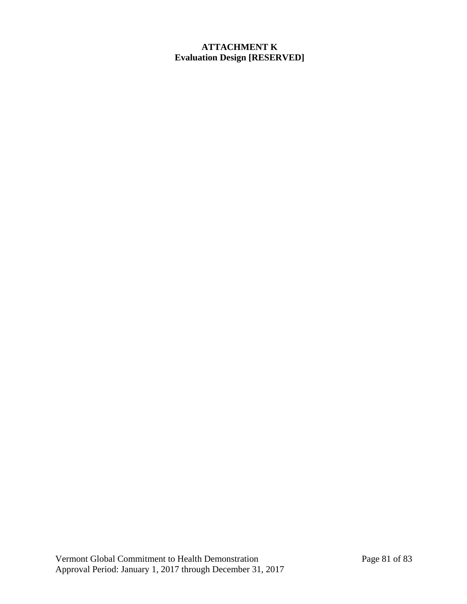### **ATTACHMENT K Evaluation Design [RESERVED]**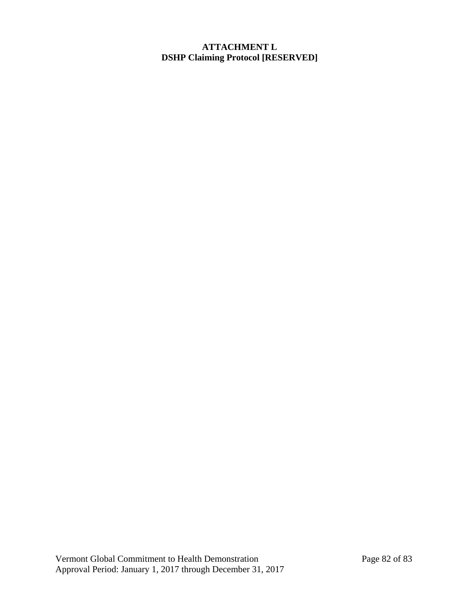### **ATTACHMENT L DSHP Claiming Protocol [RESERVED]**